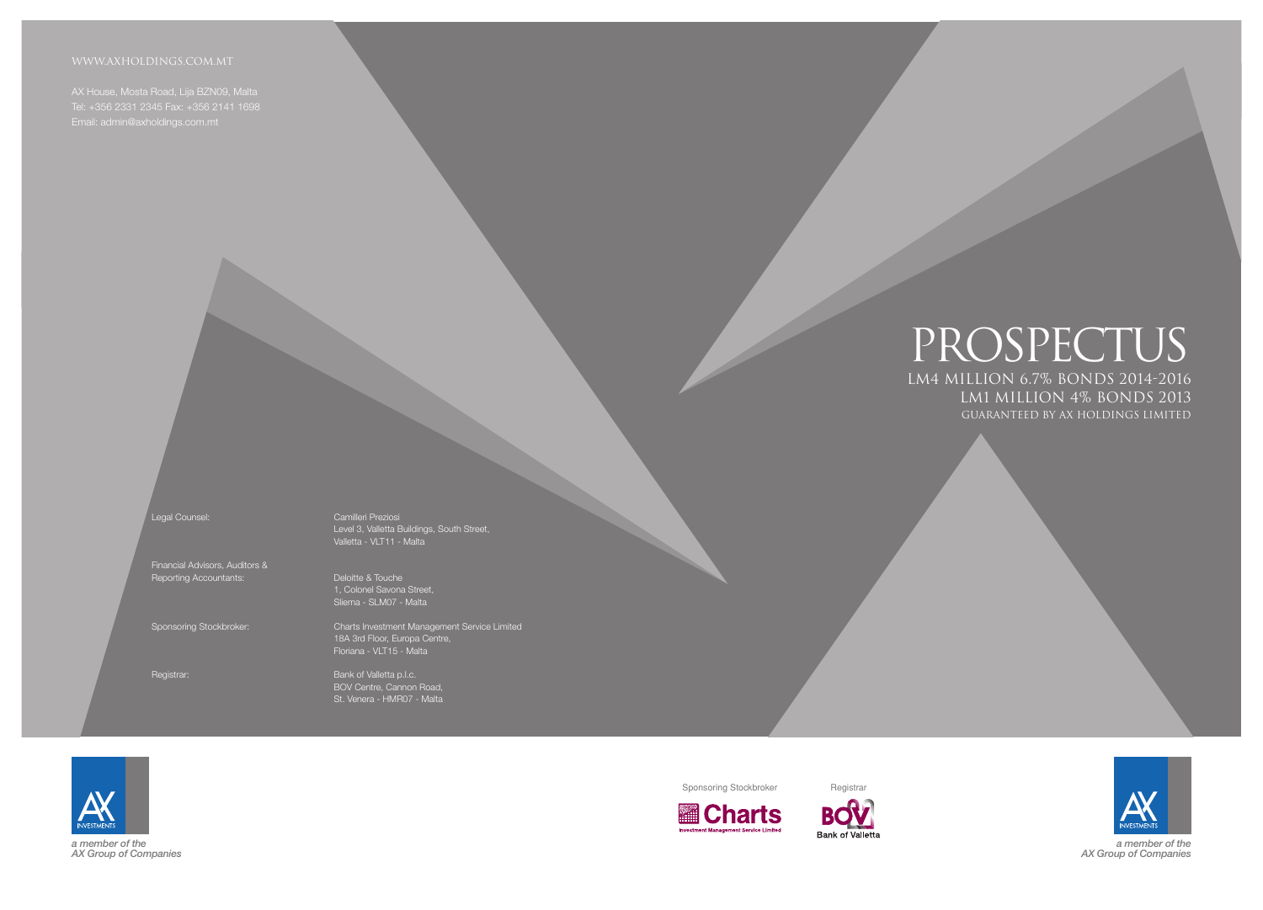# Lm4 million 6.7% Bonds 2014-2016 PROSPECTUS Lm1 million 4% Bonds 2013 Guaranteed by AX Holdings Limited



Financial Advisors, Auditors & Reporting Accountants: Deloitte & Touche

Tel: +356 2331 2345 Fax: +356 2141 1698 Email: admin@axholdings.com.mt

Legal Counsel: Camilleri Preziosi Level 3, Valletta Buildings, South Street, Valletta - VLT11 - Malta

Registrar: Bank of Valletta p.l.c. BOV Centre, Cannon Road, St. Venera - HMR07 - Malta

1, Colonel Savona Street, Sliema - SLM07 - Malta

Sponsoring Stockbroker: Charts Investment Management Service Limited 18A 3rd Floor, Europa Centre, Floriana - VLT15 - Malta

> *a member of the AX Group of Companies*



Sponsoring Stockbroker Registrar







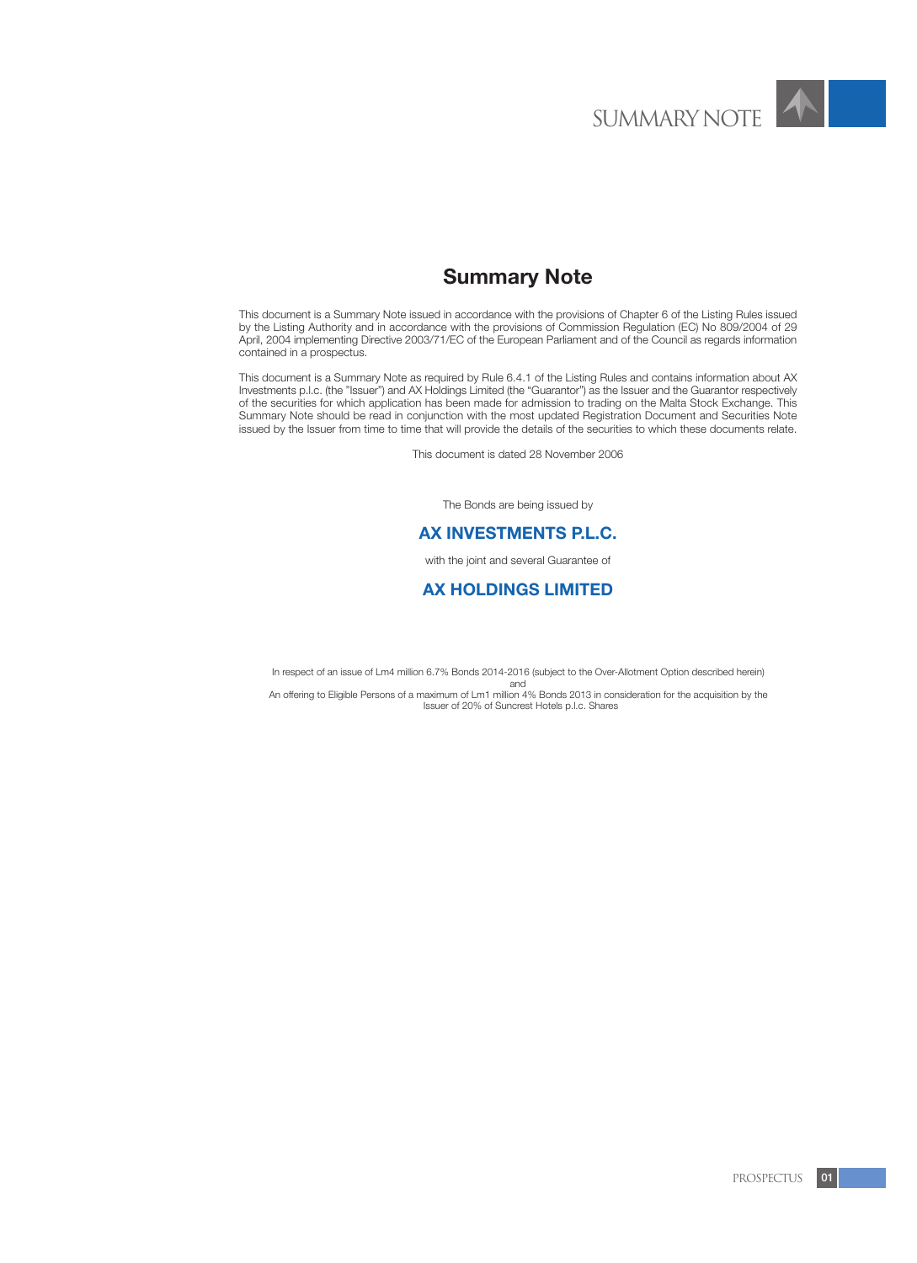

# **Summary Note**

This document is a Summary Note issued in accordance with the provisions of Chapter 6 of the Listing Rules issued by the Listing Authority and in accordance with the provisions of Commission Regulation (EC) No 809/2004 of 29 April, 2004 implementing Directive 2003/71/EC of the European Parliament and of the Council as regards information contained in a prospectus.

This document is a Summary Note as required by Rule 6.4.1 of the Listing Rules and contains information about AX Investments p.l.c. (the "Issuer") and AX Holdings Limited (the "Guarantor") as the Issuer and the Guarantor respectively of the securities for which application has been made for admission to trading on the Malta Stock Exchange. This Summary Note should be read in conjunction with the most updated Registration Document and Securities Note issued by the Issuer from time to time that will provide the details of the securities to which these documents relate.

This document is dated 28 November 2006

The Bonds are being issued by

# **AX INVESTMENTS P.L.C.**

with the joint and several Guarantee of

# **AX HOLDINGS LIMITED**

In respect of an issue of Lm4 million 6.7% Bonds 2014-2016 (subject to the Over-Allotment Option described herein) and

An offering to Eligible Persons of a maximum of Lm1 million 4% Bonds 2013 in consideration for the acquisition by the Issuer of 20% of Suncrest Hotels p.l.c. Shares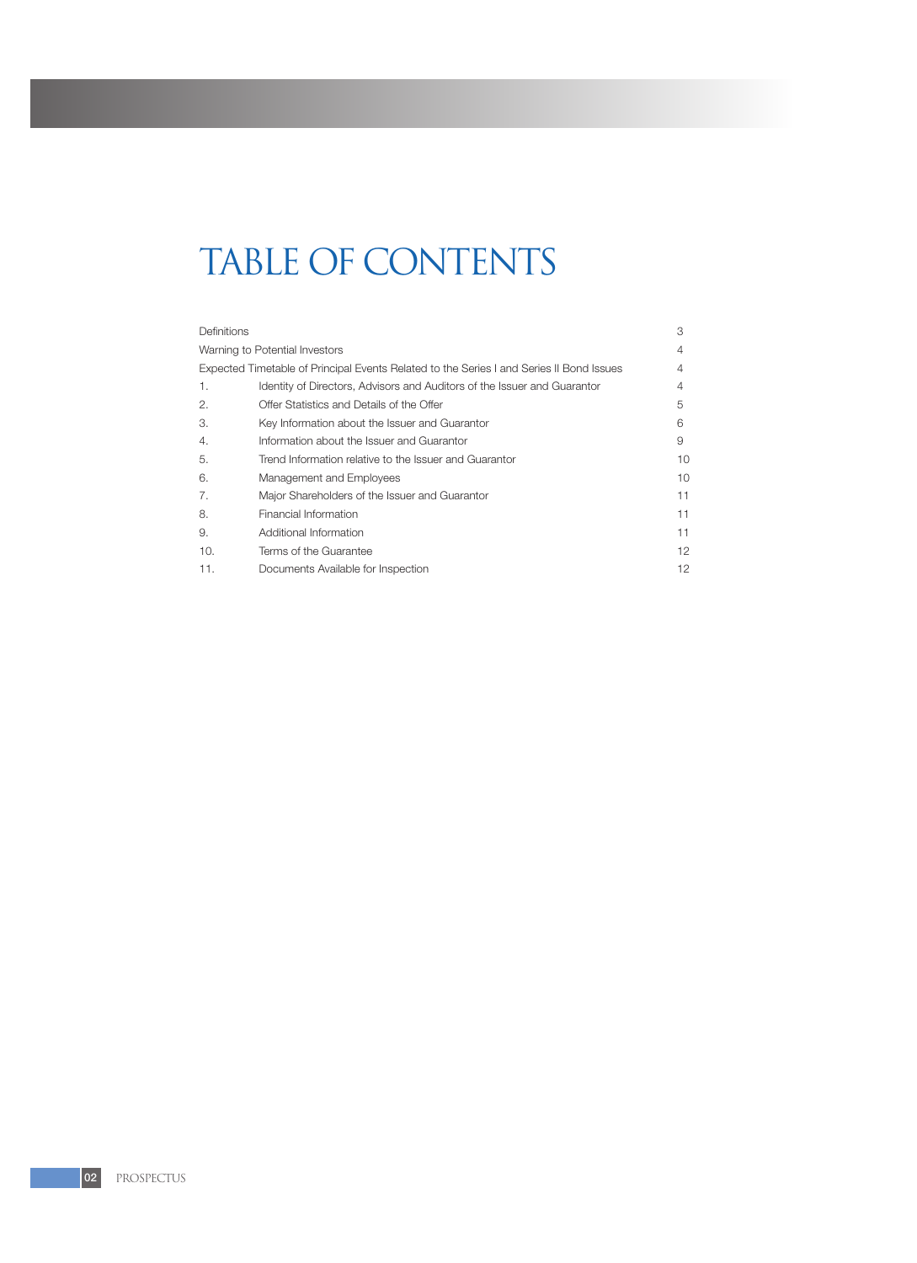# TABLE OF CONTENTS

| <b>Definitions</b> |                                                                                          | 3  |
|--------------------|------------------------------------------------------------------------------------------|----|
|                    | Warning to Potential Investors                                                           | 4  |
|                    | Expected Timetable of Principal Events Related to the Series I and Series II Bond Issues | 4  |
| 1.                 | Identity of Directors, Advisors and Auditors of the Issuer and Guarantor                 | 4  |
| 2.                 | Offer Statistics and Details of the Offer                                                | 5  |
| 3.                 | Key Information about the Issuer and Guarantor                                           | 6  |
| 4.                 | Information about the Issuer and Guarantor                                               | 9  |
| 5.                 | Trend Information relative to the Issuer and Guarantor                                   | 10 |
| 6.                 | Management and Employees                                                                 | 10 |
| 7.                 | Major Shareholders of the Issuer and Guarantor                                           | 11 |
| 8.                 | Financial Information                                                                    | 11 |
| 9.                 | Additional Information                                                                   | 11 |
| 10.                | Terms of the Guarantee                                                                   | 12 |
| 11.                | Documents Available for Inspection                                                       | 12 |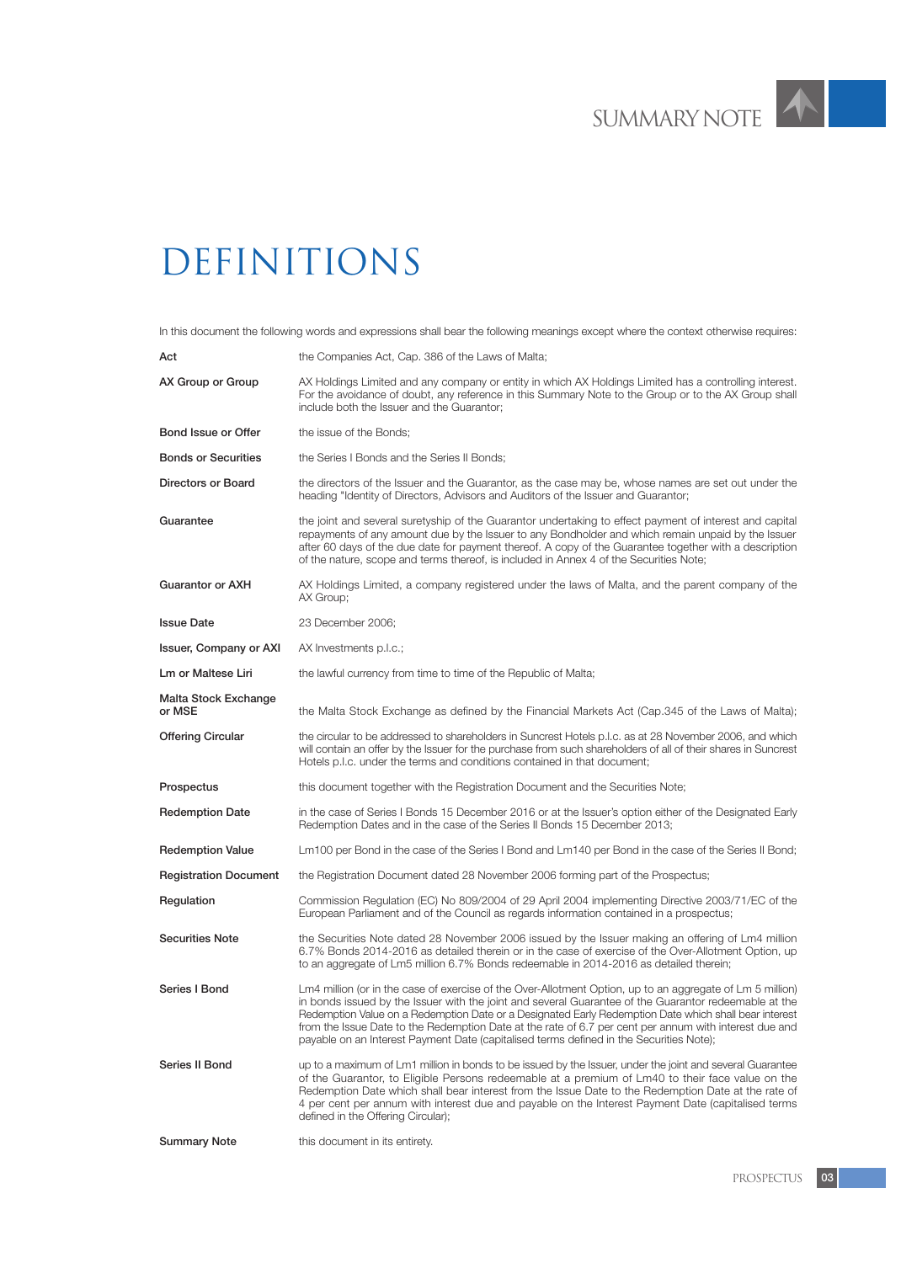$\blacktriangle$ 

# **DEFINITIONS**

In this document the following words and expressions shall bear the following meanings except where the context otherwise requires:

| Act                                   | the Companies Act, Cap. 386 of the Laws of Malta;                                                                                                                                                                                                                                                                                                                                                                                                                                                                                |
|---------------------------------------|----------------------------------------------------------------------------------------------------------------------------------------------------------------------------------------------------------------------------------------------------------------------------------------------------------------------------------------------------------------------------------------------------------------------------------------------------------------------------------------------------------------------------------|
| AX Group or Group                     | AX Holdings Limited and any company or entity in which AX Holdings Limited has a controlling interest.<br>For the avoidance of doubt, any reference in this Summary Note to the Group or to the AX Group shall<br>include both the Issuer and the Guarantor;                                                                                                                                                                                                                                                                     |
| Bond Issue or Offer                   | the issue of the Bonds;                                                                                                                                                                                                                                                                                                                                                                                                                                                                                                          |
| <b>Bonds or Securities</b>            | the Series I Bonds and the Series II Bonds;                                                                                                                                                                                                                                                                                                                                                                                                                                                                                      |
| Directors or Board                    | the directors of the Issuer and the Guarantor, as the case may be, whose names are set out under the<br>heading "Identity of Directors, Advisors and Auditors of the Issuer and Guarantor;                                                                                                                                                                                                                                                                                                                                       |
| Guarantee                             | the joint and several suretyship of the Guarantor undertaking to effect payment of interest and capital<br>repayments of any amount due by the Issuer to any Bondholder and which remain unpaid by the Issuer<br>after 60 days of the due date for payment thereof. A copy of the Guarantee together with a description<br>of the nature, scope and terms thereof, is included in Annex 4 of the Securities Note;                                                                                                                |
| <b>Guarantor or AXH</b>               | AX Holdings Limited, a company registered under the laws of Malta, and the parent company of the<br>AX Group;                                                                                                                                                                                                                                                                                                                                                                                                                    |
| <b>Issue Date</b>                     | 23 December 2006;                                                                                                                                                                                                                                                                                                                                                                                                                                                                                                                |
| <b>Issuer, Company or AXI</b>         | AX Investments p.l.c.;                                                                                                                                                                                                                                                                                                                                                                                                                                                                                                           |
| Lm or Maltese Liri                    | the lawful currency from time to time of the Republic of Malta;                                                                                                                                                                                                                                                                                                                                                                                                                                                                  |
| <b>Malta Stock Exchange</b><br>or MSE | the Malta Stock Exchange as defined by the Financial Markets Act (Cap.345 of the Laws of Malta);                                                                                                                                                                                                                                                                                                                                                                                                                                 |
| <b>Offering Circular</b>              | the circular to be addressed to shareholders in Suncrest Hotels p.l.c. as at 28 November 2006, and which<br>will contain an offer by the Issuer for the purchase from such shareholders of all of their shares in Suncrest<br>Hotels p.l.c. under the terms and conditions contained in that document;                                                                                                                                                                                                                           |
| Prospectus                            | this document together with the Registration Document and the Securities Note;                                                                                                                                                                                                                                                                                                                                                                                                                                                   |
| <b>Redemption Date</b>                | in the case of Series I Bonds 15 December 2016 or at the Issuer's option either of the Designated Early<br>Redemption Dates and in the case of the Series II Bonds 15 December 2013;                                                                                                                                                                                                                                                                                                                                             |
| <b>Redemption Value</b>               | Lm100 per Bond in the case of the Series I Bond and Lm140 per Bond in the case of the Series II Bond;                                                                                                                                                                                                                                                                                                                                                                                                                            |
| <b>Registration Document</b>          | the Registration Document dated 28 November 2006 forming part of the Prospectus;                                                                                                                                                                                                                                                                                                                                                                                                                                                 |
| Regulation                            | Commission Regulation (EC) No 809/2004 of 29 April 2004 implementing Directive 2003/71/EC of the<br>European Parliament and of the Council as regards information contained in a prospectus;                                                                                                                                                                                                                                                                                                                                     |
| <b>Securities Note</b>                | the Securities Note dated 28 November 2006 issued by the Issuer making an offering of Lm4 million<br>6.7% Bonds 2014-2016 as detailed therein or in the case of exercise of the Over-Allotment Option, up<br>to an aggregate of Lm5 million 6.7% Bonds redeemable in 2014-2016 as detailed therein;                                                                                                                                                                                                                              |
| Series I Bond                         | Lm4 million (or in the case of exercise of the Over-Allotment Option, up to an aggregate of Lm 5 million)<br>in bonds issued by the Issuer with the joint and several Guarantee of the Guarantor redeemable at the<br>Redemption Value on a Redemption Date or a Designated Early Redemption Date which shall bear interest<br>from the Issue Date to the Redemption Date at the rate of 6.7 per cent per annum with interest due and<br>payable on an Interest Payment Date (capitalised terms defined in the Securities Note); |
| Series II Bond                        | up to a maximum of Lm1 million in bonds to be issued by the Issuer, under the joint and several Guarantee<br>of the Guarantor, to Eligible Persons redeemable at a premium of Lm40 to their face value on the<br>Redemption Date which shall bear interest from the Issue Date to the Redemption Date at the rate of<br>4 per cent per annum with interest due and payable on the Interest Payment Date (capitalised terms<br>defined in the Offering Circular);                                                                 |
| <b>Summary Note</b>                   | this document in its entirety.                                                                                                                                                                                                                                                                                                                                                                                                                                                                                                   |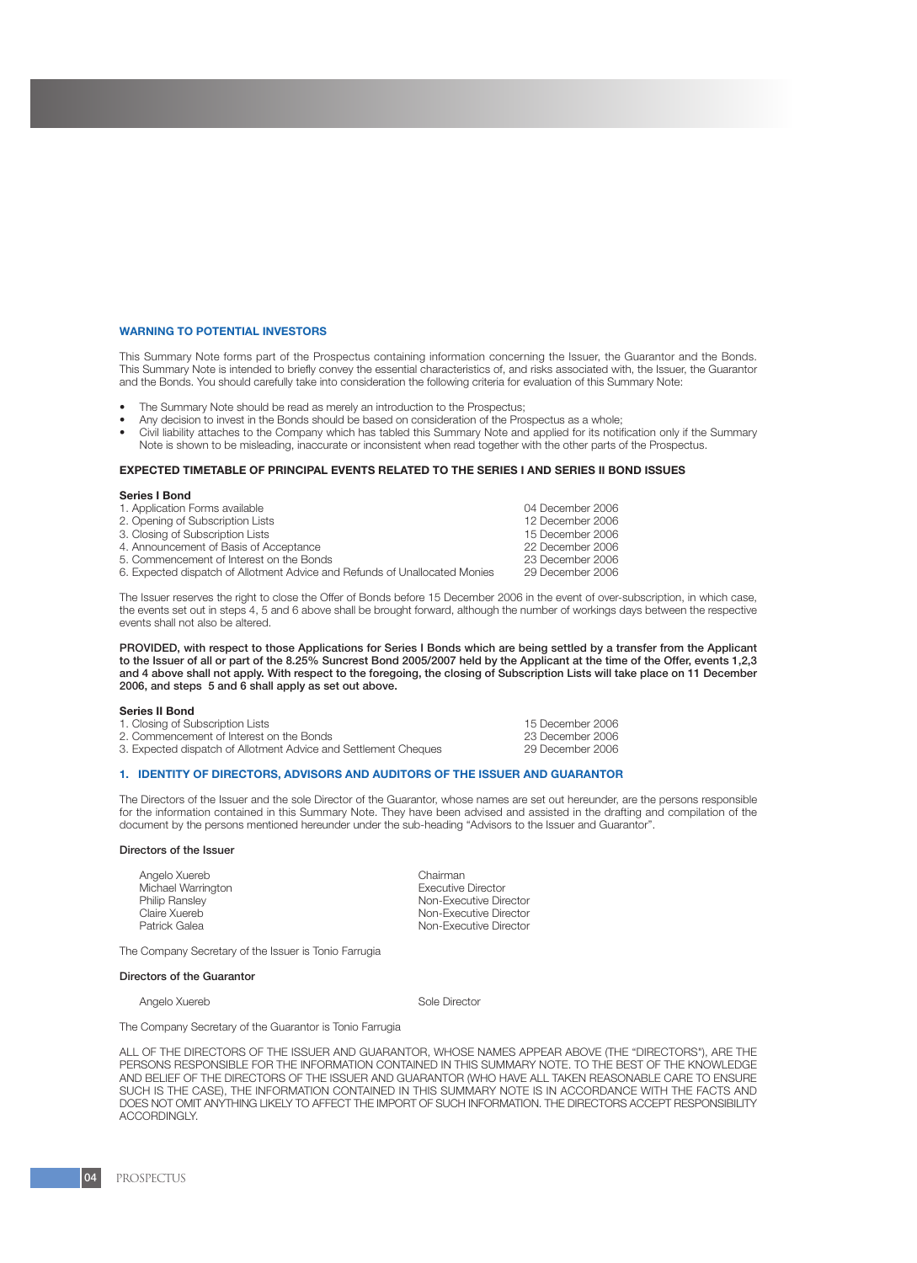#### **WARNING TO POTENTIAL INVESTORS**

This Summary Note forms part of the Prospectus containing information concerning the Issuer, the Guarantor and the Bonds. This Summary Note is intended to briefly convey the essential characteristics of, and risks associated with, the Issuer, the Guarantor and the Bonds. You should carefully take into consideration the following criteria for evaluation of this Summary Note:

- The Summary Note should be read as merely an introduction to the Prospectus;
- Any decision to invest in the Bonds should be based on consideration of the Prospectus as a whole;
- Civil liability attaches to the Company which has tabled this Summary Note and applied for its notification only if the Summary Note is shown to be misleading, inaccurate or inconsistent when read together with the other parts of the Prospectus.

#### **EXPECTED TIMETABLE OF PRINCIPAL EVENTS RELATED TO THE SERIES I AND SERIES II BOND ISSUES**

#### **Series I Bond**

| 1. Application Forms available                                             | 04 December 2006 |
|----------------------------------------------------------------------------|------------------|
| 2. Opening of Subscription Lists                                           | 12 December 2006 |
| 3. Closing of Subscription Lists                                           | 15 December 2006 |
| 4. Announcement of Basis of Acceptance                                     | 22 December 2006 |
| 5. Commencement of Interest on the Bonds                                   | 23 December 2006 |
| 6. Expected dispatch of Allotment Advice and Refunds of Unallocated Monies | 29 December 2006 |
|                                                                            |                  |

The Issuer reserves the right to close the Offer of Bonds before 15 December 2006 in the event of over-subscription, in which case, the events set out in steps 4, 5 and 6 above shall be brought forward, although the number of workings days between the respective events shall not also be altered.

PROVIDED, with respect to those Applications for Series I Bonds which are being settled by a transfer from the Applicant to the Issuer of all or part of the 8.25% Suncrest Bond 2005/2007 held by the Applicant at the time of the Offer, events 1,2,3 and 4 above shall not apply. With respect to the foregoing, the closing of Subscription Lists will take place on 11 December 2006, and steps 5 and 6 shall apply as set out above.

#### **Series II Bond**

| 1. Closing of Subscription Lists                                | 15 December 2006 |
|-----------------------------------------------------------------|------------------|
| 2. Commencement of Interest on the Bonds                        | 23 December 2006 |
| 3. Expected dispatch of Allotment Advice and Settlement Cheques | 29 December 2006 |

#### **1. IDENTITY OF DIRECTORS, ADVISORS AND AUDITORS OF THE ISSUER AND GUARANTOR**

The Directors of the Issuer and the sole Director of the Guarantor, whose names are set out hereunder, are the persons responsible for the information contained in this Summary Note. They have been advised and assisted in the drafting and compilation of the document by the persons mentioned hereunder under the sub-heading "Advisors to the Issuer and Guarantor".

#### Directors of the Issuer

Angelo Xuereb<br>
Michael Warrington<br>
Chairman Chairman Chairman Chairman Chairman Chairman Chairman Chairman Chairman Michael Warrington<br>Philip Ranslev Philip Ransley<br>
Claire Xuereb<br>
Claire Xuereb Claire Xuereb **Non-Executive Director**<br>
Patrick Galea **Non-Executive Director** 

**Non-Executive Director** 

The Company Secretary of the Issuer is Tonio Farrugia

#### Directors of the Guarantor

Angelo Xuereb **Sole Director** Sole Director

The Company Secretary of the Guarantor is Tonio Farrugia

ALL OF THE DIRECTORS OF THE ISSUER AND GUARANTOR, WHOSE NAMES APPEAR ABOVE (THE "DIRECTORS"), ARE THE PERSONS RESPONSIBLE FOR THE INFORMATION CONTAINED IN THIS SUMMARY NOTE. TO THE BEST OF THE KNOWLEDGE AND BELIEF OF THE DIRECTORS OF THE ISSUER AND GUARANTOR (WHO HAVE ALL TAKEN REASONABLE CARE TO ENSURE SUCH IS THE CASE), THE INFORMATION CONTAINED IN THIS SUMMARY NOTE IS IN ACCORDANCE WITH THE FACTS AND DOES NOT OMIT ANYTHING LIKELY TO AFFECT THE IMPORT OF SUCH INFORMATION. THE DIRECTORS ACCEPT RESPONSIBILITY ACCORDINGLY.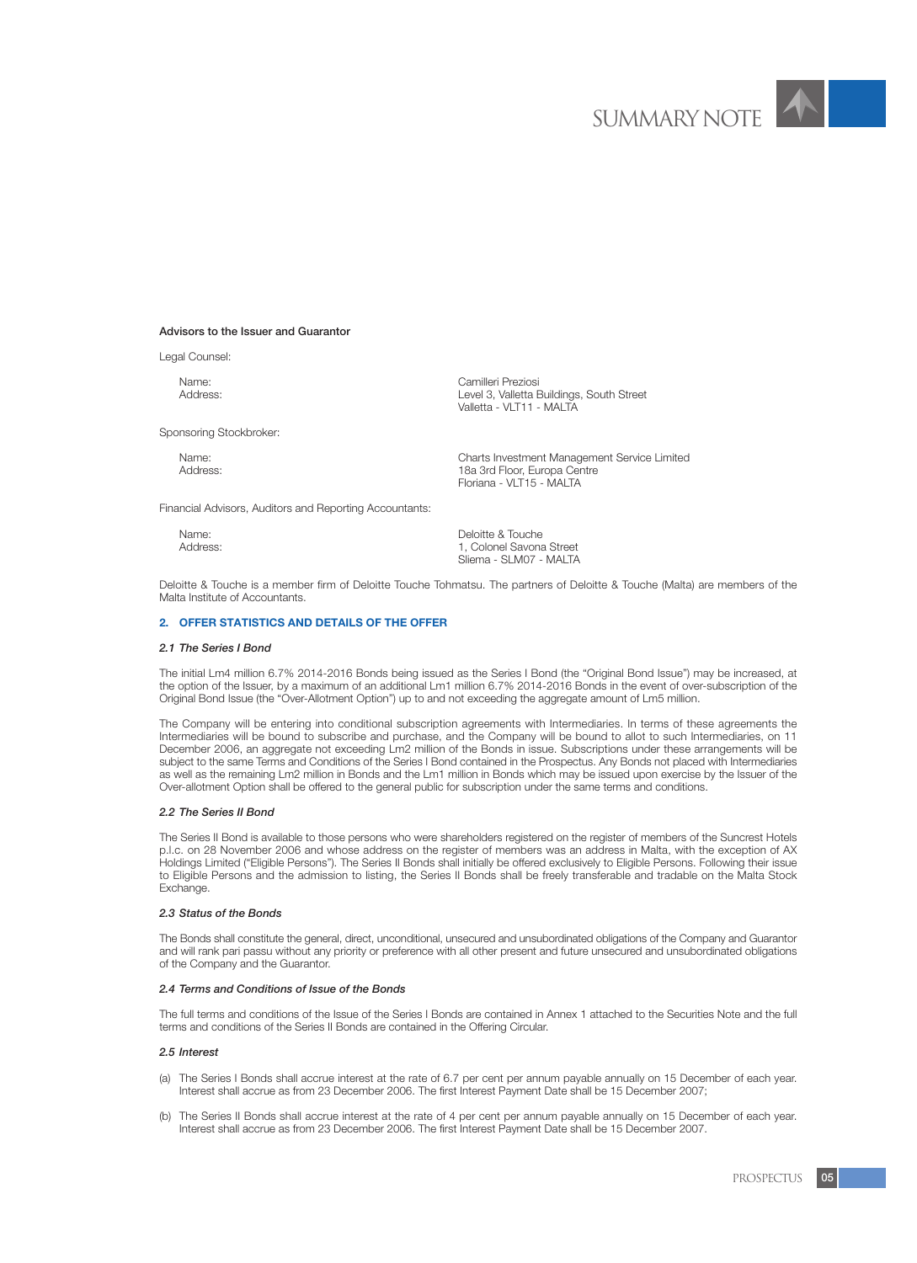#### Advisors to the Issuer and Guarantor

Legal Counsel:

Name: Camilleri Preziosi

Sponsoring Stockbroker:

Valletta - VLT11 - MALTA

Level 3, Valletta Buildings, South Street

Name:<br>
Name:<br>
Address:<br>
Address: 18a 3rd Floor, Europa Centre Floriana - VLT15 - MALTA

Financial Advisors, Auditors and Reporting Accountants:

| Name:    | Deloitte & Touche        |
|----------|--------------------------|
| Address: | 1. Colonel Savona Street |
|          | Sliema - SLM07 - MALTA   |

Deloitte & Touche is a member firm of Deloitte Touche Tohmatsu. The partners of Deloitte & Touche (Malta) are members of the Malta Institute of Accountants.

#### **2. OFFER STATISTICS AND DETAILS OF THE OFFER**

#### *2.1 The Series I Bond*

The initial Lm4 million 6.7% 2014-2016 Bonds being issued as the Series I Bond (the "Original Bond Issue") may be increased, at the option of the Issuer, by a maximum of an additional Lm1 million 6.7% 2014-2016 Bonds in the event of over-subscription of the Original Bond Issue (the "Over-Allotment Option") up to and not exceeding the aggregate amount of Lm5 million.

The Company will be entering into conditional subscription agreements with Intermediaries. In terms of these agreements the Intermediaries will be bound to subscribe and purchase, and the Company will be bound to allot to such Intermediaries, on 11 December 2006, an aggregate not exceeding Lm2 million of the Bonds in issue. Subscriptions under these arrangements will be subject to the same Terms and Conditions of the Series I Bond contained in the Prospectus. Any Bonds not placed with Intermediaries as well as the remaining Lm2 million in Bonds and the Lm1 million in Bonds which may be issued upon exercise by the Issuer of the Over-allotment Option shall be offered to the general public for subscription under the same terms and conditions.

#### *2.2 The Series II Bond*

The Series II Bond is available to those persons who were shareholders registered on the register of members of the Suncrest Hotels p.l.c. on 28 November 2006 and whose address on the register of members was an address in Malta, with the exception of AX Holdings Limited ("Eligible Persons"). The Series II Bonds shall initially be offered exclusively to Eligible Persons. Following their issue to Eligible Persons and the admission to listing, the Series II Bonds shall be freely transferable and tradable on the Malta Stock Exchange.

#### *2.3 Status of the Bonds*

The Bonds shall constitute the general, direct, unconditional, unsecured and unsubordinated obligations of the Company and Guarantor and will rank pari passu without any priority or preference with all other present and future unsecured and unsubordinated obligations of the Company and the Guarantor.

#### *2.4 Terms and Conditions of Issue of the Bonds*

The full terms and conditions of the Issue of the Series I Bonds are contained in Annex 1 attached to the Securities Note and the full terms and conditions of the Series II Bonds are contained in the Offering Circular.

#### *2.5 Interest*

- (a) The Series I Bonds shall accrue interest at the rate of 6.7 per cent per annum payable annually on 15 December of each year. Interest shall accrue as from 23 December 2006. The first Interest Payment Date shall be 15 December 2007;
- (b) The Series II Bonds shall accrue interest at the rate of 4 per cent per annum payable annually on 15 December of each year. Interest shall accrue as from 23 December 2006. The first Interest Payment Date shall be 15 December 2007.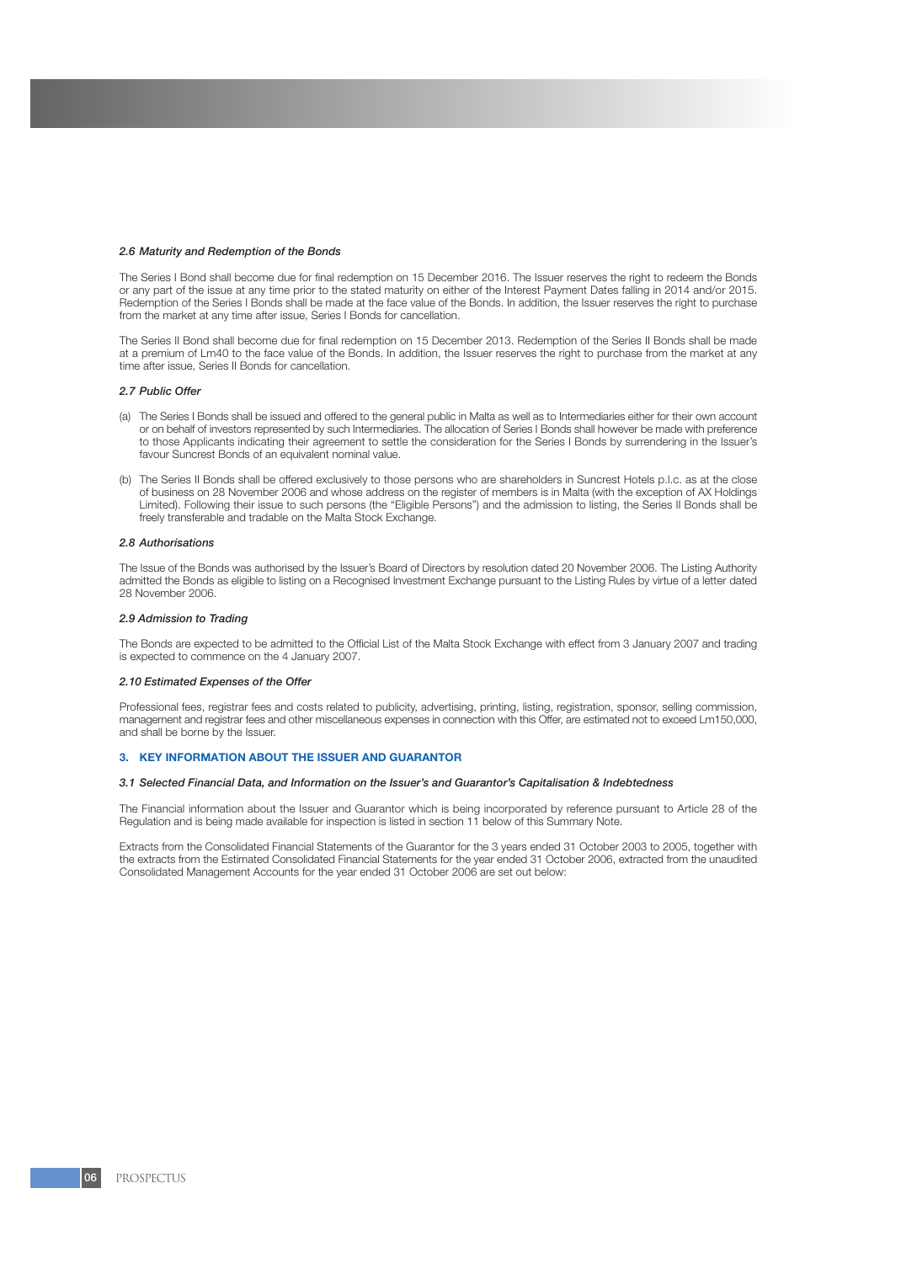#### *2.6 Maturity and Redemption of the Bonds*

The Series I Bond shall become due for final redemption on 15 December 2016. The Issuer reserves the right to redeem the Bonds or any part of the issue at any time prior to the stated maturity on either of the Interest Payment Dates falling in 2014 and/or 2015. Redemption of the Series I Bonds shall be made at the face value of the Bonds. In addition, the Issuer reserves the right to purchase from the market at any time after issue, Series I Bonds for cancellation.

The Series II Bond shall become due for final redemption on 15 December 2013. Redemption of the Series II Bonds shall be made at a premium of Lm40 to the face value of the Bonds. In addition, the Issuer reserves the right to purchase from the market at any time after issue, Series II Bonds for cancellation.

#### *2.7 Public Offer*

- (a) The Series I Bonds shall be issued and offered to the general public in Malta as well as to Intermediaries either for their own account or on behalf of investors represented by such Intermediaries. The allocation of Series I Bonds shall however be made with preference to those Applicants indicating their agreement to settle the consideration for the Series I Bonds by surrendering in the Issuer's favour Suncrest Bonds of an equivalent nominal value.
- (b) The Series II Bonds shall be offered exclusively to those persons who are shareholders in Suncrest Hotels p.l.c. as at the close of business on 28 November 2006 and whose address on the register of members is in Malta (with the exception of AX Holdings Limited). Following their issue to such persons (the "Eligible Persons") and the admission to listing, the Series II Bonds shall be freely transferable and tradable on the Malta Stock Exchange.

#### *2.8 Authorisations*

The Issue of the Bonds was authorised by the Issuer's Board of Directors by resolution dated 20 November 2006. The Listing Authority admitted the Bonds as eligible to listing on a Recognised Investment Exchange pursuant to the Listing Rules by virtue of a letter dated 28 November 2006.

#### *2.9 Admission to Trading*

The Bonds are expected to be admitted to the Official List of the Malta Stock Exchange with effect from 3 January 2007 and trading is expected to commence on the 4 January 2007.

#### *2.10 Estimated Expenses of the Offer*

Professional fees, registrar fees and costs related to publicity, advertising, printing, listing, registration, sponsor, selling commission, management and registrar fees and other miscellaneous expenses in connection with this Offer, are estimated not to exceed Lm150,000, and shall be borne by the Issuer.

#### **3. KEY INFORMATION ABOUT THE ISSUER AND GUARANTOR**

#### *3.1 Selected Financial Data, and Information on the Issuer's and Guarantor's Capitalisation & Indebtedness*

The Financial information about the Issuer and Guarantor which is being incorporated by reference pursuant to Article 28 of the Regulation and is being made available for inspection is listed in section 11 below of this Summary Note.

Extracts from the Consolidated Financial Statements of the Guarantor for the 3 years ended 31 October 2003 to 2005, together with the extracts from the Estimated Consolidated Financial Statements for the year ended 31 October 2006, extracted from the unaudited Consolidated Management Accounts for the year ended 31 October 2006 are set out below: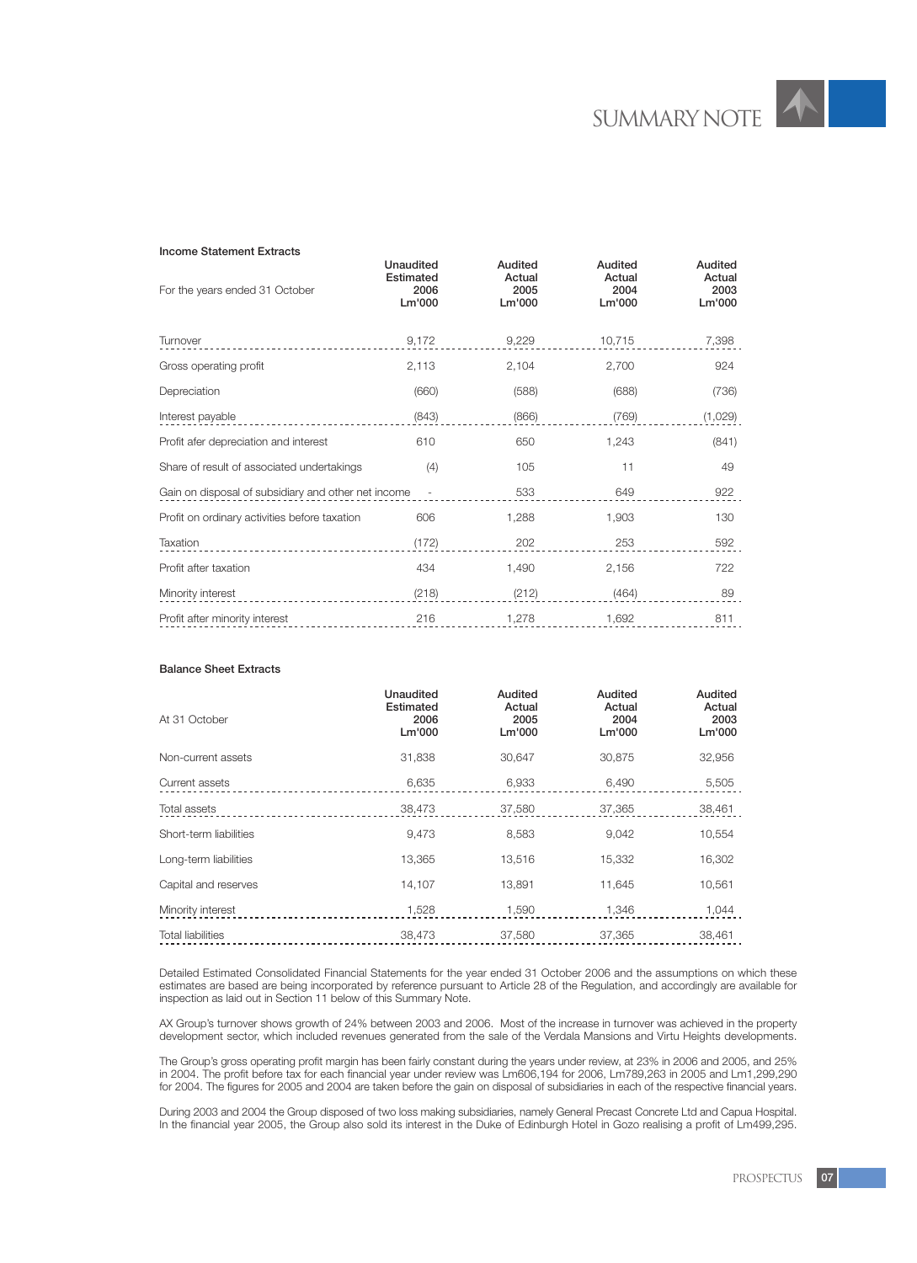#### Income Statement Extracts

| For the years ended 31 October                      | Unaudited<br>Estimated<br>2006<br>Lm'000 | Audited<br>Actual<br>2005<br>Lm'000 | Audited<br>Actual<br>2004<br>Lm'000 | Audited<br>Actual<br>2003<br>Lm'000 |
|-----------------------------------------------------|------------------------------------------|-------------------------------------|-------------------------------------|-------------------------------------|
| Turnover                                            | 9,172                                    | 9,229                               | 10,715                              | 7,398                               |
| Gross operating profit                              | 2,113                                    | 2,104                               | 2,700                               | 924                                 |
| Depreciation                                        | (660)                                    | (588)                               | (688)                               | (736)                               |
| Interest payable                                    | (843)                                    | (866)                               | (769)                               | (1,029)                             |
| Profit afer depreciation and interest               | 610                                      | 650                                 | 1,243                               | (841)                               |
| Share of result of associated undertakings          | (4)                                      | 105                                 | 11                                  | 49                                  |
| Gain on disposal of subsidiary and other net income | $\overline{\phantom{a}}$                 | 533                                 | 649                                 | 922                                 |
| Profit on ordinary activities before taxation       | 606                                      | 1,288                               | 1,903                               | 130                                 |
| Taxation                                            | (172)                                    | 202                                 | 253                                 | 592                                 |
| Profit after taxation                               | 434                                      | 1,490                               | 2,156                               | 722                                 |
| Minority interest                                   | (218)                                    | (212)                               | (464)                               | 89                                  |
| Profit after minority interest                      | 216                                      | 1,278                               | 1,692                               | 811                                 |
|                                                     |                                          |                                     |                                     |                                     |

## Balance Sheet Extracts

| At 31 October            | <b>Unaudited</b><br>Estimated<br>2006<br>Lm'000 | Audited<br>Actual<br>2005<br>Lm'000 | Audited<br>Actual<br>2004<br>Lm'000 | Audited<br>Actual<br>2003<br>Lm'000 |
|--------------------------|-------------------------------------------------|-------------------------------------|-------------------------------------|-------------------------------------|
| Non-current assets       | 31,838                                          | 30,647                              | 30,875                              | 32,956                              |
| Current assets           | 6,635                                           | 6,933                               | 6,490                               | 5,505                               |
| Total assets             | 38,473                                          | 37,580                              | 37,365                              | 38,461                              |
| Short-term liabilities   | 9,473                                           | 8,583                               | 9,042                               | 10,554                              |
| Long-term liabilities    | 13,365                                          | 13,516                              | 15,332                              | 16,302                              |
| Capital and reserves     | 14.107                                          | 13,891                              | 11.645                              | 10,561                              |
| Minority interest        | 1,528                                           | 1,590                               | 1,346                               | 1,044                               |
| <b>Total liabilities</b> | 38,473                                          | 37,580                              | 37,365                              | 38,461                              |

Detailed Estimated Consolidated Financial Statements for the year ended 31 October 2006 and the assumptions on which these estimates are based are being incorporated by reference pursuant to Article 28 of the Regulation, and accordingly are available for inspection as laid out in Section 11 below of this Summary Note.

AX Group's turnover shows growth of 24% between 2003 and 2006. Most of the increase in turnover was achieved in the property development sector, which included revenues generated from the sale of the Verdala Mansions and Virtu Heights developments.

The Group's gross operating profit margin has been fairly constant during the years under review, at 23% in 2006 and 2005, and 25% in 2004. The profit before tax for each financial year under review was Lm606,194 for 2006, Lm789,263 in 2005 and Lm1,299,290 for 2004. The figures for 2005 and 2004 are taken before the gain on disposal of subsidiaries in each of the respective financial years.

During 2003 and 2004 the Group disposed of two loss making subsidiaries, namely General Precast Concrete Ltd and Capua Hospital. In the financial year 2005, the Group also sold its interest in the Duke of Edinburgh Hotel in Gozo realising a profit of Lm499,295.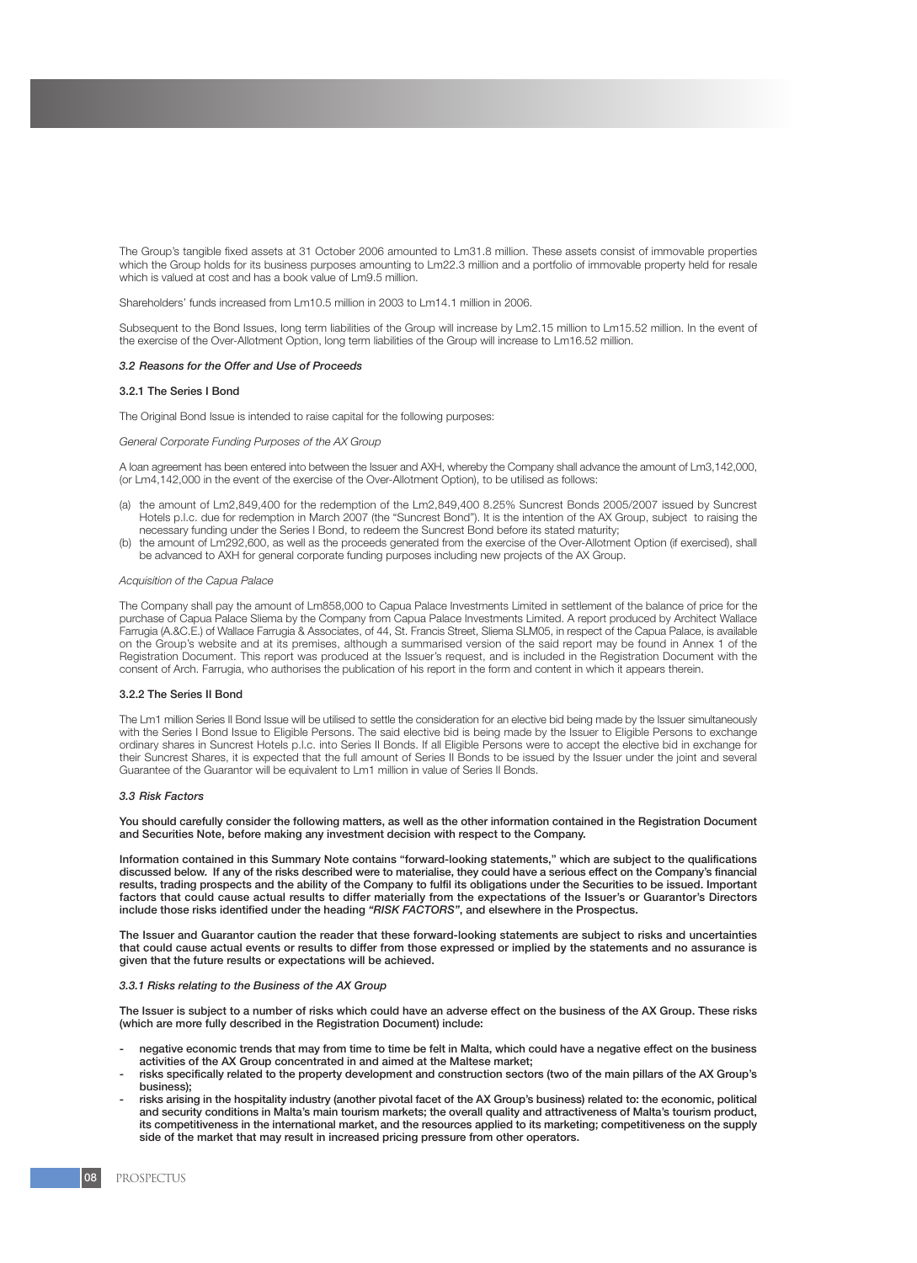The Group's tangible fixed assets at 31 October 2006 amounted to Lm31.8 million. These assets consist of immovable properties which the Group holds for its business purposes amounting to Lm22.3 million and a portfolio of immovable property held for resale which is valued at cost and has a book value of Lm9.5 million.

Shareholders' funds increased from Lm10.5 million in 2003 to Lm14.1 million in 2006.

Subsequent to the Bond Issues, long term liabilities of the Group will increase by Lm2.15 million to Lm15.52 million. In the event of the exercise of the Over-Allotment Option, long term liabilities of the Group will increase to Lm16.52 million.

#### *3.2 Reasons for the Offer and Use of Proceeds*

#### 3.2.1 The Series I Bond

The Original Bond Issue is intended to raise capital for the following purposes:

#### *General Corporate Funding Purposes of the AX Group*

A loan agreement has been entered into between the Issuer and AXH, whereby the Company shall advance the amount of Lm3,142,000, (or Lm4,142,000 in the event of the exercise of the Over-Allotment Option), to be utilised as follows:

- (a) the amount of Lm2,849,400 for the redemption of the Lm2,849,400 8.25% Suncrest Bonds 2005/2007 issued by Suncrest Hotels p.l.c. due for redemption in March 2007 (the "Suncrest Bond"). It is the intention of the AX Group, subject to raising the necessary funding under the Series I Bond, to redeem the Suncrest Bond before its stated maturity;
- (b) the amount of Lm292,600, as well as the proceeds generated from the exercise of the Over-Allotment Option (if exercised), shall be advanced to AXH for general corporate funding purposes including new projects of the AX Group.

#### *Acquisition of the Capua Palace*

The Company shall pay the amount of Lm858,000 to Capua Palace Investments Limited in settlement of the balance of price for the purchase of Capua Palace Sliema by the Company from Capua Palace Investments Limited. A report produced by Architect Wallace Farrugia (A.&C.E.) of Wallace Farrugia & Associates, of 44, St. Francis Street, Sliema SLM05, in respect of the Capua Palace, is available on the Group's website and at its premises, although a summarised version of the said report may be found in Annex 1 of the Registration Document. This report was produced at the Issuer's request, and is included in the Registration Document with the consent of Arch. Farrugia, who authorises the publication of his report in the form and content in which it appears therein.

### 3.2.2 The Series II Bond

The Lm1 million Series II Bond Issue will be utilised to settle the consideration for an elective bid being made by the Issuer simultaneously with the Series I Bond Issue to Eligible Persons. The said elective bid is being made by the Issuer to Eligible Persons to exchange ordinary shares in Suncrest Hotels p.l.c. into Series II Bonds. If all Eligible Persons were to accept the elective bid in exchange for their Suncrest Shares, it is expected that the full amount of Series II Bonds to be issued by the Issuer under the joint and several Guarantee of the Guarantor will be equivalent to Lm1 million in value of Series II Bonds.

#### *3.3 Risk Factors*

You should carefully consider the following matters, as well as the other information contained in the Registration Document and Securities Note, before making any investment decision with respect to the Company.

Information contained in this Summary Note contains "forward-looking statements," which are subject to the qualifications discussed below. If any of the risks described were to materialise, they could have a serious effect on the Company's financial results, trading prospects and the ability of the Company to fulfil its obligations under the Securities to be issued. Important factors that could cause actual results to differ materially from the expectations of the Issuer's or Guarantor's Directors include those risks identified under the heading *"RISK FACTORS"*, and elsewhere in the Prospectus.

The Issuer and Guarantor caution the reader that these forward-looking statements are subject to risks and uncertainties that could cause actual events or results to differ from those expressed or implied by the statements and no assurance is given that the future results or expectations will be achieved.

#### *3.3.1 Risks relating to the Business of the AX Group*

The Issuer is subject to a number of risks which could have an adverse effect on the business of the AX Group. These risks (which are more fully described in the Registration Document) include:

- negative economic trends that may from time to time be felt in Malta, which could have a negative effect on the business activities of the AX Group concentrated in and aimed at the Maltese market;
- risks specifically related to the property development and construction sectors (two of the main pillars of the AX Group's business);
- risks arising in the hospitality industry (another pivotal facet of the AX Group's business) related to: the economic, political and security conditions in Malta's main tourism markets; the overall quality and attractiveness of Malta's tourism product, its competitiveness in the international market, and the resources applied to its marketing; competitiveness on the supply side of the market that may result in increased pricing pressure from other operators.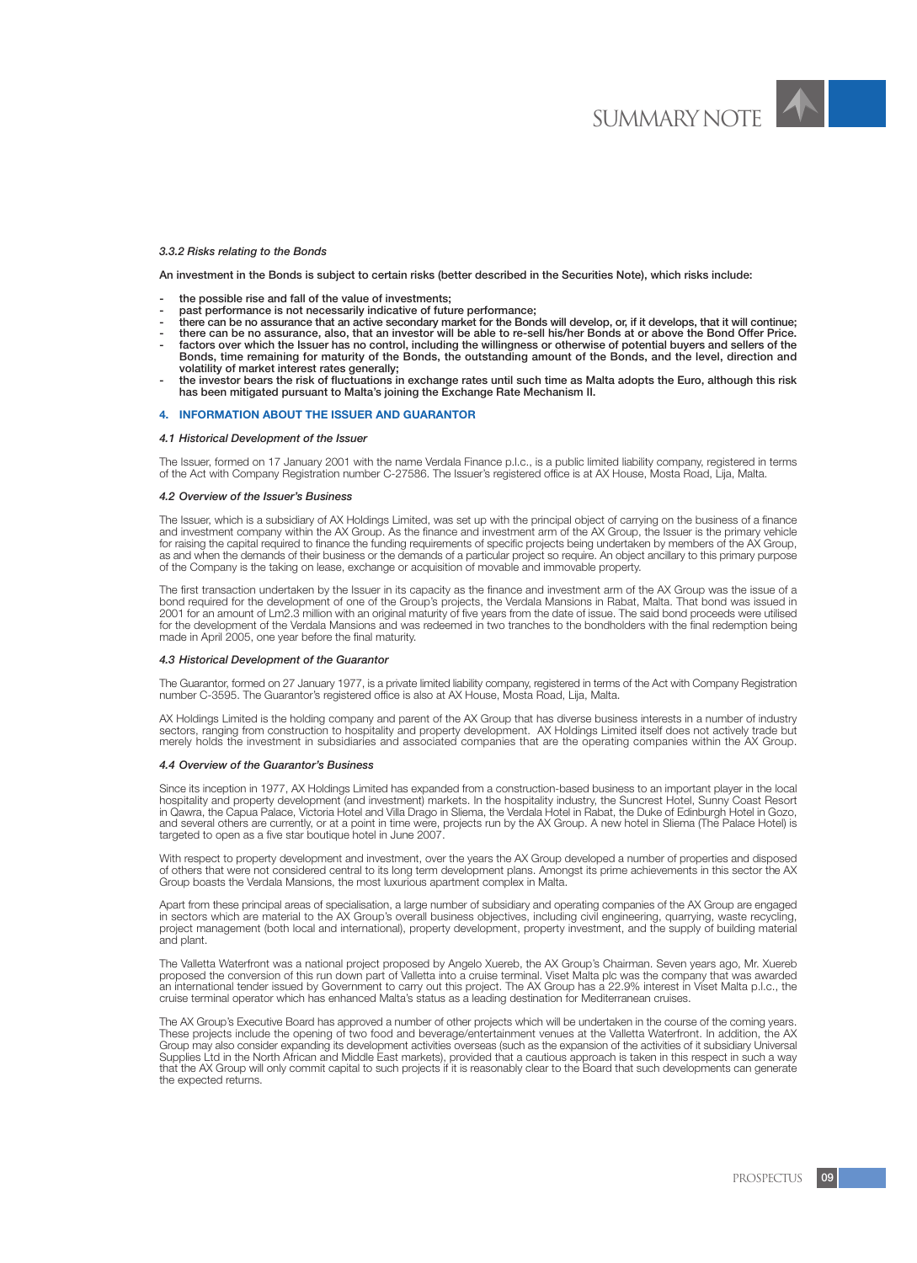#### *3.3.2 Risks relating to the Bonds*

An investment in the Bonds is subject to certain risks (better described in the Securities Note), which risks include:

- the possible rise and fall of the value of investments;
- past performance is not necessarily indicative of future performance;
- there can be no assurance that an active secondary market for the Bonds will develop, or, if it develops, that it will continue;
- there can be no assurance, also, that an investor will be able to re-sell his/her Bonds at or above the Bond Offer Price. factors over which the Issuer has no control, including the willingness or otherwise of potential buyers and sellers of the Bonds, time remaining for maturity of the Bonds, the outstanding amount of the Bonds, and the level, direction and
- volatility of market interest rates generally; - the investor bears the risk of fluctuations in exchange rates until such time as Malta adopts the Euro, although this risk
- has been mitigated pursuant to Malta's joining the Exchange Rate Mechanism II.

#### **4. INFORMATION ABOUT THE ISSUER AND GUARANTOR**

#### *4.1 Historical Development of the Issuer*

The Issuer, formed on 17 January 2001 with the name Verdala Finance p.l.c., is a public limited liability company, registered in terms of the Act with Company Registration number C-27586. The Issuer's registered office is at AX House, Mosta Road, Lija, Malta.

#### *4.2 Overview of the Issuer's Business*

The Issuer, which is a subsidiary of AX Holdings Limited, was set up with the principal object of carrying on the business of a finance and investment company within the AX Group. As the finance and investment arm of the AX Group, the Issuer is the primary vehicle for raising the capital required to finance the funding requirements of specific projects being undertaken by members of the AX Group, as and when the demands of their business or the demands of a particular project so require. An object ancillary to this primary purpose of the Company is the taking on lease, exchange or acquisition of movable and immovable property.

The first transaction undertaken by the Issuer in its capacity as the finance and investment arm of the AX Group was the issue of a bond required for the development of one of the Group's projects, the Verdala Mansions in Rabat, Malta. That bond was issued in 2001 for an amount of Lm2.3 million with an original maturity of five years from the date of issue. The said bond proceeds were utilised for the development of the Verdala Mansions and was redeemed in two tranches to the bondholders with the final redemption being made in April 2005, one year before the final maturity.

#### *4.3 Historical Development of the Guarantor*

The Guarantor, formed on 27 January 1977, is a private limited liability company, registered in terms of the Act with Company Registration number C-3595. The Guarantor's registered office is also at AX House, Mosta Road, Lija, Malta.

AX Holdings Limited is the holding company and parent of the AX Group that has diverse business interests in a number of industry sectors, ranging from construction to hospitality and property development. AX Holdings Limited itself does not actively trade but merely holds the investment in subsidiaries and associated companies that are the operating companies within the AX Group.

#### *4.4 Overview of the Guarantor's Business*

Since its inception in 1977, AX Holdings Limited has expanded from a construction-based business to an important player in the local hospitality and property development (and investment) markets. In the hospitality industry, the Suncrest Hotel, Sunny Coast Resort in Qawra, the Capua Palace, Victoria Hotel and Villa Drago in Sliema, the Verdala Hotel in Rabat, the Duke of Edinburgh Hotel in Gozo, and several others are currently, or at a point in time were, projects run by the AX Group. A new hotel in Sliema (The Palace Hotel) is targeted to open as a five star boutique hotel in June 2007.

With respect to property development and investment, over the years the AX Group developed a number of properties and disposed of others that were not considered central to its long term development plans. Amongst its prime achievements in this sector the AX Group boasts the Verdala Mansions, the most luxurious apartment complex in Malta.

Apart from these principal areas of specialisation, a large number of subsidiary and operating companies of the AX Group are engaged in sectors which are material to the AX Group's overall business objectives, including civil engineering, quarrying, waste recycling, project management (both local and international), property development, property investment, and the supply of building material and plant.

The Valletta Waterfront was a national project proposed by Angelo Xuereb, the AX Group's Chairman. Seven years ago, Mr. Xuereb proposed the conversion of this run down part of Valletta into a cruise terminal. Viset Malta plc was the company that was awarded an international tender issued by Government to carry out this project. The AX Group has a 22.9% interest in Viset Malta p.l.c., the cruise terminal operator which has enhanced Malta's status as a leading destination for Mediterranean cruises.

The AX Group's Executive Board has approved a number of other projects which will be undertaken in the course of the coming years. These projects include the opening of two food and beverage/entertainment venues at the Valletta Waterfront. In addition, the AX Group may also consider expanding its development activities overseas (such as the expansion of the activities of it subsidiary Universal Supplies Ltd in the North African and Middle East markets), provided that a cautious approach is taken in this respect in such a way that the AX Group will only commit capital to such projects if it is reasonably clear to the Board that such developments can generate the expected returns.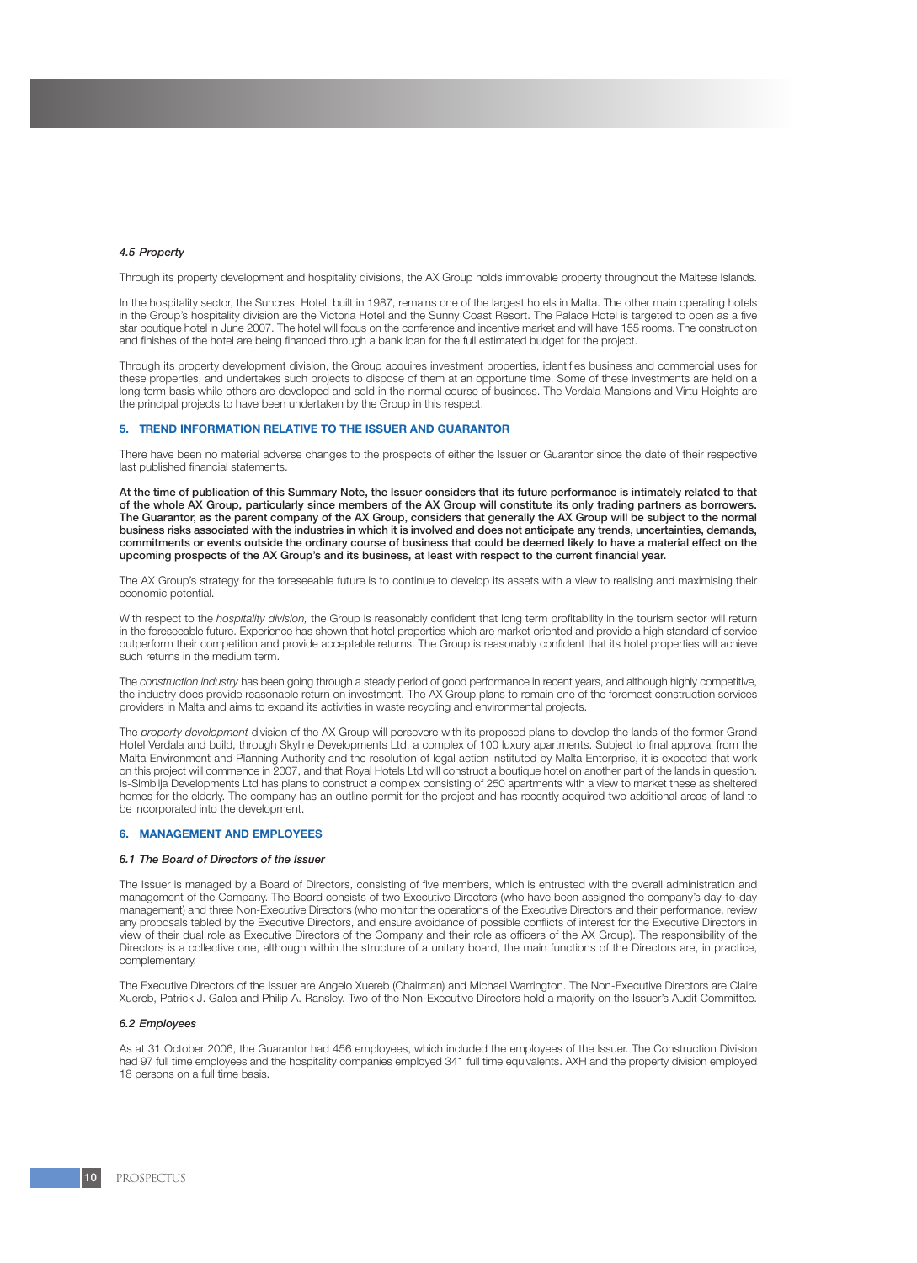#### *4.5 Property*

Through its property development and hospitality divisions, the AX Group holds immovable property throughout the Maltese Islands.

In the hospitality sector, the Suncrest Hotel, built in 1987, remains one of the largest hotels in Malta. The other main operating hotels in the Group's hospitality division are the Victoria Hotel and the Sunny Coast Resort. The Palace Hotel is targeted to open as a five star boutique hotel in June 2007. The hotel will focus on the conference and incentive market and will have 155 rooms. The construction and finishes of the hotel are being financed through a bank loan for the full estimated budget for the project.

Through its property development division, the Group acquires investment properties, identifies business and commercial uses for these properties, and undertakes such projects to dispose of them at an opportune time. Some of these investments are held on a long term basis while others are developed and sold in the normal course of business. The Verdala Mansions and Virtu Heights are the principal projects to have been undertaken by the Group in this respect.

#### **5. TREND INFORMATION RELATIVE TO THE ISSUER AND GUARANTOR**

There have been no material adverse changes to the prospects of either the Issuer or Guarantor since the date of their respective last published financial statements.

At the time of publication of this Summary Note, the Issuer considers that its future performance is intimately related to that of the whole AX Group, particularly since members of the AX Group will constitute its only trading partners as borrowers. The Guarantor, as the parent company of the AX Group, considers that generally the AX Group will be subject to the normal business risks associated with the industries in which it is involved and does not anticipate any trends, uncertainties, demands, commitments or events outside the ordinary course of business that could be deemed likely to have a material effect on the upcoming prospects of the AX Group's and its business, at least with respect to the current financial year.

The AX Group's strategy for the foreseeable future is to continue to develop its assets with a view to realising and maximising their economic potential.

With respect to the *hospitality division*, the Group is reasonably confident that long term profitability in the tourism sector will return in the foreseeable future. Experience has shown that hotel properties which are market oriented and provide a high standard of service outperform their competition and provide acceptable returns. The Group is reasonably confident that its hotel properties will achieve such returns in the medium term.

The *construction industry* has been going through a steady period of good performance in recent years, and although highly competitive, the industry does provide reasonable return on investment. The AX Group plans to remain one of the foremost construction services providers in Malta and aims to expand its activities in waste recycling and environmental projects.

The *property development* division of the AX Group will persevere with its proposed plans to develop the lands of the former Grand Hotel Verdala and build, through Skyline Developments Ltd, a complex of 100 luxury apartments. Subject to final approval from the Malta Environment and Planning Authority and the resolution of legal action instituted by Malta Enterprise, it is expected that work on this project will commence in 2007, and that Royal Hotels Ltd will construct a boutique hotel on another part of the lands in question. Is-Simblija Developments Ltd has plans to construct a complex consisting of 250 apartments with a view to market these as sheltered homes for the elderly. The company has an outline permit for the project and has recently acquired two additional areas of land to be incorporated into the development.

### **6. MANAGEMENT AND EMPLOYEES**

#### *6.1 The Board of Directors of the Issuer*

The Issuer is managed by a Board of Directors, consisting of five members, which is entrusted with the overall administration and management of the Company. The Board consists of two Executive Directors (who have been assigned the company's day-to-day management) and three Non-Executive Directors (who monitor the operations of the Executive Directors and their performance, review any proposals tabled by the Executive Directors, and ensure avoidance of possible conflicts of interest for the Executive Directors in view of their dual role as Executive Directors of the Company and their role as officers of the AX Group). The responsibility of the Directors is a collective one, although within the structure of a unitary board, the main functions of the Directors are, in practice, complementary.

The Executive Directors of the Issuer are Angelo Xuereb (Chairman) and Michael Warrington. The Non-Executive Directors are Claire Xuereb, Patrick J. Galea and Philip A. Ransley. Two of the Non-Executive Directors hold a majority on the Issuer's Audit Committee.

#### *6.2 Employees*

As at 31 October 2006, the Guarantor had 456 employees, which included the employees of the Issuer. The Construction Division had 97 full time employees and the hospitality companies employed 341 full time equivalents. AXH and the property division employed 18 persons on a full time basis.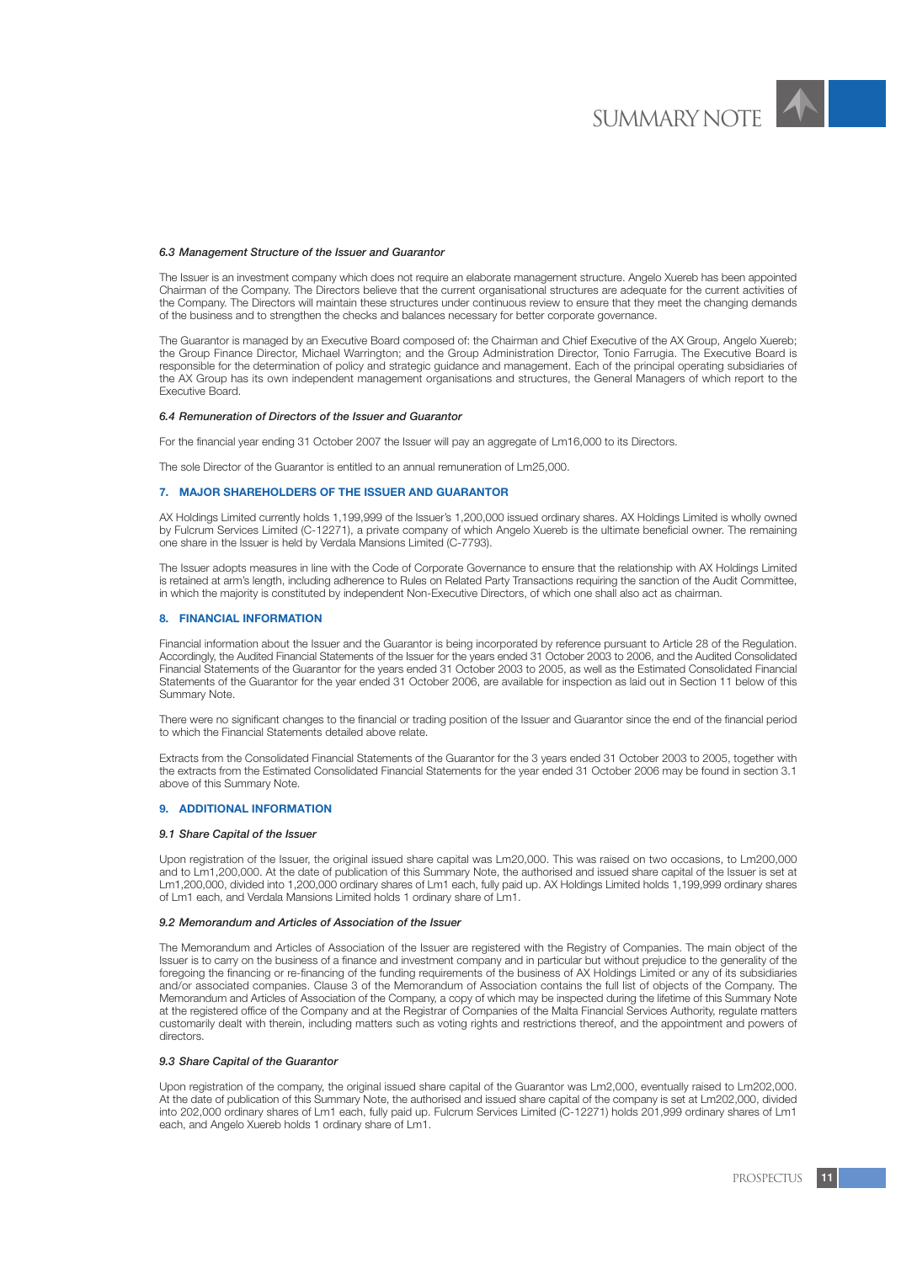

#### *6.3 Management Structure of the Issuer and Guarantor*

The Issuer is an investment company which does not require an elaborate management structure. Angelo Xuereb has been appointed Chairman of the Company. The Directors believe that the current organisational structures are adequate for the current activities of the Company. The Directors will maintain these structures under continuous review to ensure that they meet the changing demands of the business and to strengthen the checks and balances necessary for better corporate governance.

The Guarantor is managed by an Executive Board composed of: the Chairman and Chief Executive of the AX Group, Angelo Xuereb; the Group Finance Director, Michael Warrington; and the Group Administration Director, Tonio Farrugia. The Executive Board is responsible for the determination of policy and strategic guidance and management. Each of the principal operating subsidiaries of the AX Group has its own independent management organisations and structures, the General Managers of which report to the Executive Board.

#### *6.4 Remuneration of Directors of the Issuer and Guarantor*

For the financial year ending 31 October 2007 the Issuer will pay an aggregate of Lm16,000 to its Directors.

The sole Director of the Guarantor is entitled to an annual remuneration of Lm25,000.

#### **7. MAJOR SHAREHOLDERS OF THE ISSUER AND GUARANTOR**

AX Holdings Limited currently holds 1,199,999 of the Issuer's 1,200,000 issued ordinary shares. AX Holdings Limited is wholly owned by Fulcrum Services Limited (C-12271), a private company of which Angelo Xuereb is the ultimate beneficial owner. The remaining one share in the Issuer is held by Verdala Mansions Limited (C-7793).

The Issuer adopts measures in line with the Code of Corporate Governance to ensure that the relationship with AX Holdings Limited is retained at arm's length, including adherence to Rules on Related Party Transactions requiring the sanction of the Audit Committee, in which the majority is constituted by independent Non-Executive Directors, of which one shall also act as chairman.

#### **8. FINANCIAL INFORMATION**

Financial information about the Issuer and the Guarantor is being incorporated by reference pursuant to Article 28 of the Regulation. Accordingly, the Audited Financial Statements of the Issuer for the years ended 31 October 2003 to 2006, and the Audited Consolidated Financial Statements of the Guarantor for the years ended 31 October 2003 to 2005, as well as the Estimated Consolidated Financial Statements of the Guarantor for the year ended 31 October 2006, are available for inspection as laid out in Section 11 below of this Summary Note.

There were no significant changes to the financial or trading position of the Issuer and Guarantor since the end of the financial period to which the Financial Statements detailed above relate.

Extracts from the Consolidated Financial Statements of the Guarantor for the 3 years ended 31 October 2003 to 2005, together with the extracts from the Estimated Consolidated Financial Statements for the year ended 31 October 2006 may be found in section 3.1 above of this Summary Note.

#### **9. ADDITIONAL INFORMATION**

#### *9.1 Share Capital of the Issuer*

Upon registration of the Issuer, the original issued share capital was Lm20,000. This was raised on two occasions, to Lm200,000 and to Lm1,200,000. At the date of publication of this Summary Note, the authorised and issued share capital of the Issuer is set at Lm1,200,000, divided into 1,200,000 ordinary shares of Lm1 each, fully paid up. AX Holdings Limited holds 1,199,999 ordinary shares of Lm1 each, and Verdala Mansions Limited holds 1 ordinary share of Lm1.

#### *9.2 Memorandum and Articles of Association of the Issuer*

The Memorandum and Articles of Association of the Issuer are registered with the Registry of Companies. The main object of the Issuer is to carry on the business of a finance and investment company and in particular but without prejudice to the generality of the foregoing the financing or re-financing of the funding requirements of the business of AX Holdings Limited or any of its subsidiaries and/or associated companies. Clause 3 of the Memorandum of Association contains the full list of objects of the Company. The Memorandum and Articles of Association of the Company, a copy of which may be inspected during the lifetime of this Summary Note at the registered office of the Company and at the Registrar of Companies of the Malta Financial Services Authority, regulate matters customarily dealt with therein, including matters such as voting rights and restrictions thereof, and the appointment and powers of directors.

#### *9.3 Share Capital of the Guarantor*

Upon registration of the company, the original issued share capital of the Guarantor was Lm2,000, eventually raised to Lm202,000. At the date of publication of this Summary Note, the authorised and issued share capital of the company is set at Lm202,000, divided into 202,000 ordinary shares of Lm1 each, fully paid up. Fulcrum Services Limited (C-12271) holds 201,999 ordinary shares of Lm1 each, and Angelo Xuereb holds 1 ordinary share of Lm1.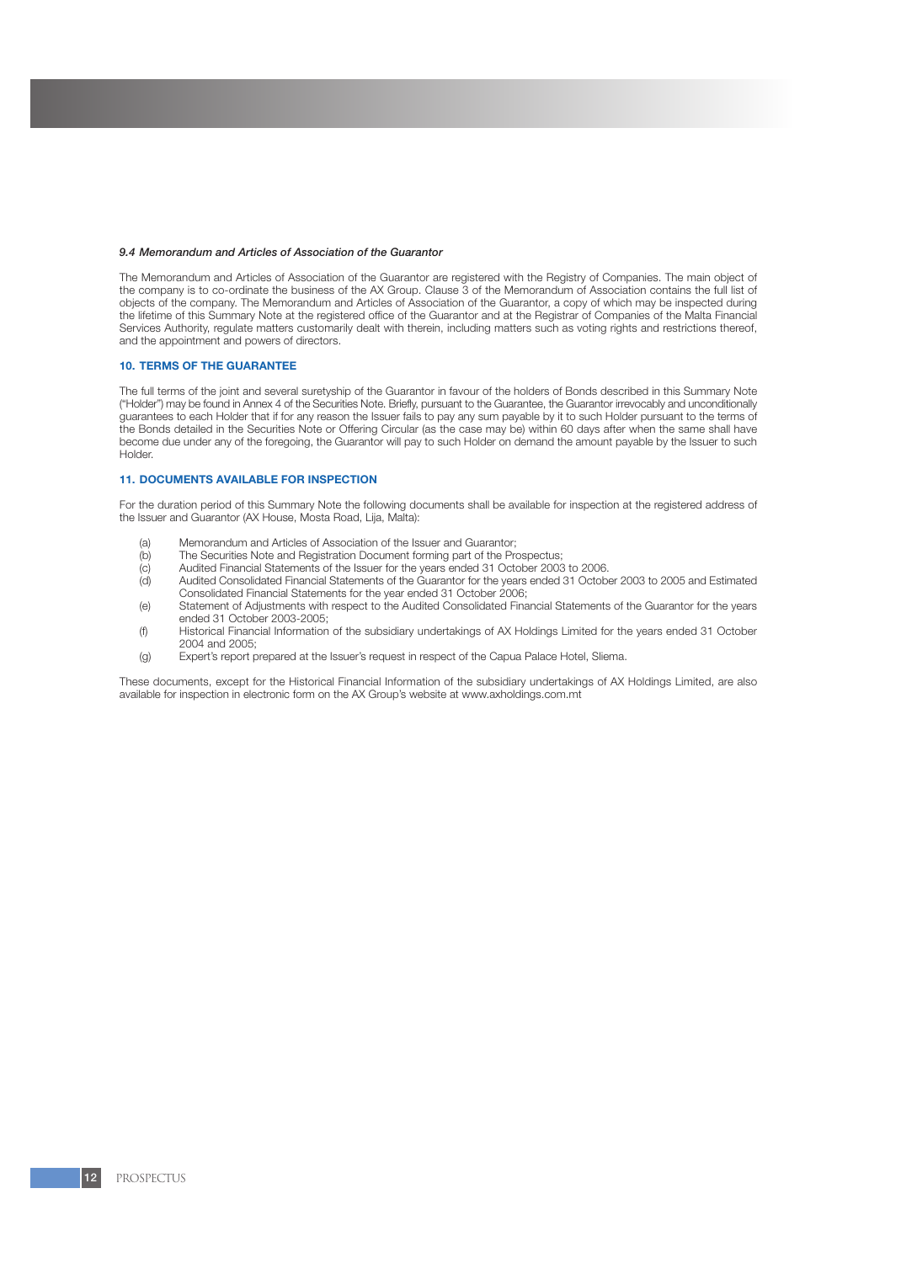#### *9.4 Memorandum and Articles of Association of the Guarantor*

The Memorandum and Articles of Association of the Guarantor are registered with the Registry of Companies. The main object of the company is to co-ordinate the business of the AX Group. Clause 3 of the Memorandum of Association contains the full list of objects of the company. The Memorandum and Articles of Association of the Guarantor, a copy of which may be inspected during the lifetime of this Summary Note at the registered office of the Guarantor and at the Registrar of Companies of the Malta Financial Services Authority, regulate matters customarily dealt with therein, including matters such as voting rights and restrictions thereof, and the appointment and powers of directors.

#### **10. TERMS OF THE GUARANTEE**

The full terms of the joint and several suretyship of the Guarantor in favour of the holders of Bonds described in this Summary Note ("Holder") may be found in Annex 4 of the Securities Note. Briefly, pursuant to the Guarantee, the Guarantor irrevocably and unconditionally guarantees to each Holder that if for any reason the Issuer fails to pay any sum payable by it to such Holder pursuant to the terms of the Bonds detailed in the Securities Note or Offering Circular (as the case may be) within 60 days after when the same shall have become due under any of the foregoing, the Guarantor will pay to such Holder on demand the amount payable by the Issuer to such Holder.

# **11. DOCUMENTS AVAILABLE FOR INSPECTION**

For the duration period of this Summary Note the following documents shall be available for inspection at the registered address of the Issuer and Guarantor (AX House, Mosta Road, Lija, Malta):

- (a) Memorandum and Articles of Association of the Issuer and Guarantor;<br>(b) The Securities Note and Registration Document forming part of the Pro
- (b) The Securities Note and Registration Document forming part of the Prospectus;<br>(c) Audited Financial Statements of the Issuer for the years ended 31 October 2003
- (c) Audited Financial Statements of the Issuer for the years ended 31 October 2003 to 2006.
- Audited Consolidated Financial Statements of the Guarantor for the years ended 31 October 2003 to 2005 and Estimated Consolidated Financial Statements for the year ended 31 October 2006;
- (e) Statement of Adjustments with respect to the Audited Consolidated Financial Statements of the Guarantor for the years ended 31 October 2003-2005;
- (f) Historical Financial Information of the subsidiary undertakings of AX Holdings Limited for the years ended 31 October 2004 and 2005;
- (g) Expert's report prepared at the Issuer's request in respect of the Capua Palace Hotel, Sliema.

These documents, except for the Historical Financial Information of the subsidiary undertakings of AX Holdings Limited, are also available for inspection in electronic form on the AX Group's website at www.axholdings.com.mt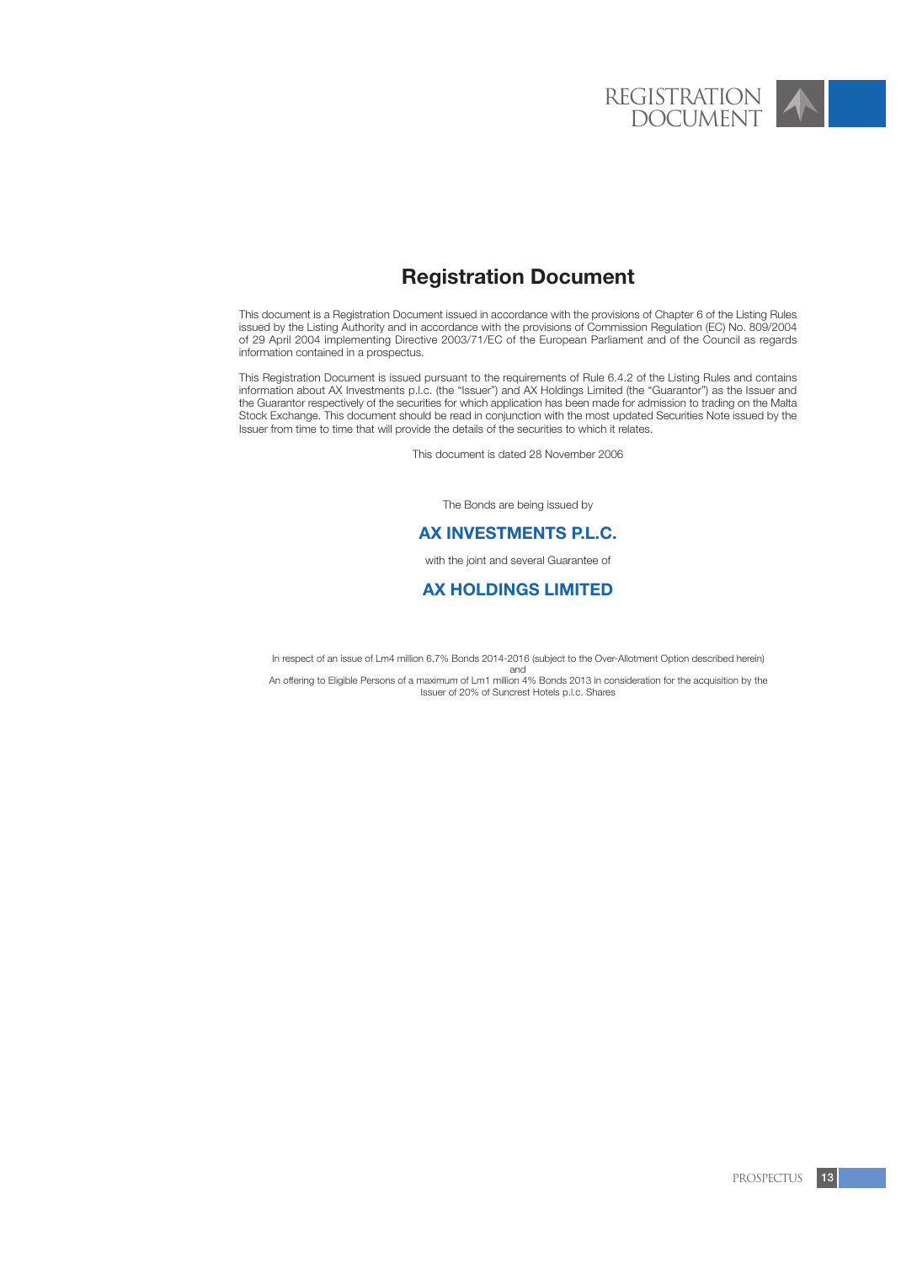# **Registration Document**

This document is a Registration Document issued in accordance with the provisions of Chapter 6 of the Listing Rules issued by the Listing Authority and in accordance with the provisions of Commission Regulation (EC) No. 809/2004 of 29 April 2004 implementing Directive 2003/71/EC of the European Parliament and of the Council as regards information contained in a prospectus.

This Registration Document is issued pursuant to the requirements of Rule 6.4.2 of the Listing Rules and contains information about AX Investments p.l.c. (the "Issuer") and AX Holdings Limited (the "Guarantor") as the Issuer and the Guarantor respectively of the securities for which application has been made for admission to trading on the Malta Stock Exchange. This document should be read in conjunction with the most updated Securities Note issued by the Issuer from time to time that will provide the details of the securities to which it relates.

This document is dated 28 November 2006

The Bonds are being issued by

# **AX INVESTMENTS P.L.C.**

with the joint and several Guarantee of

# **AX HOLDINGS LIMITED**

In respect of an issue of Lm4 million 6.7% Bonds 2014-2016 (subject to the Over-Allotment Option described herein) and

An offering to Eligible Persons of a maximum of Lm1 million 4% Bonds 2013 in consideration for the acquisition by the Issuer of 20% of Suncrest Hotels p.l.c. Shares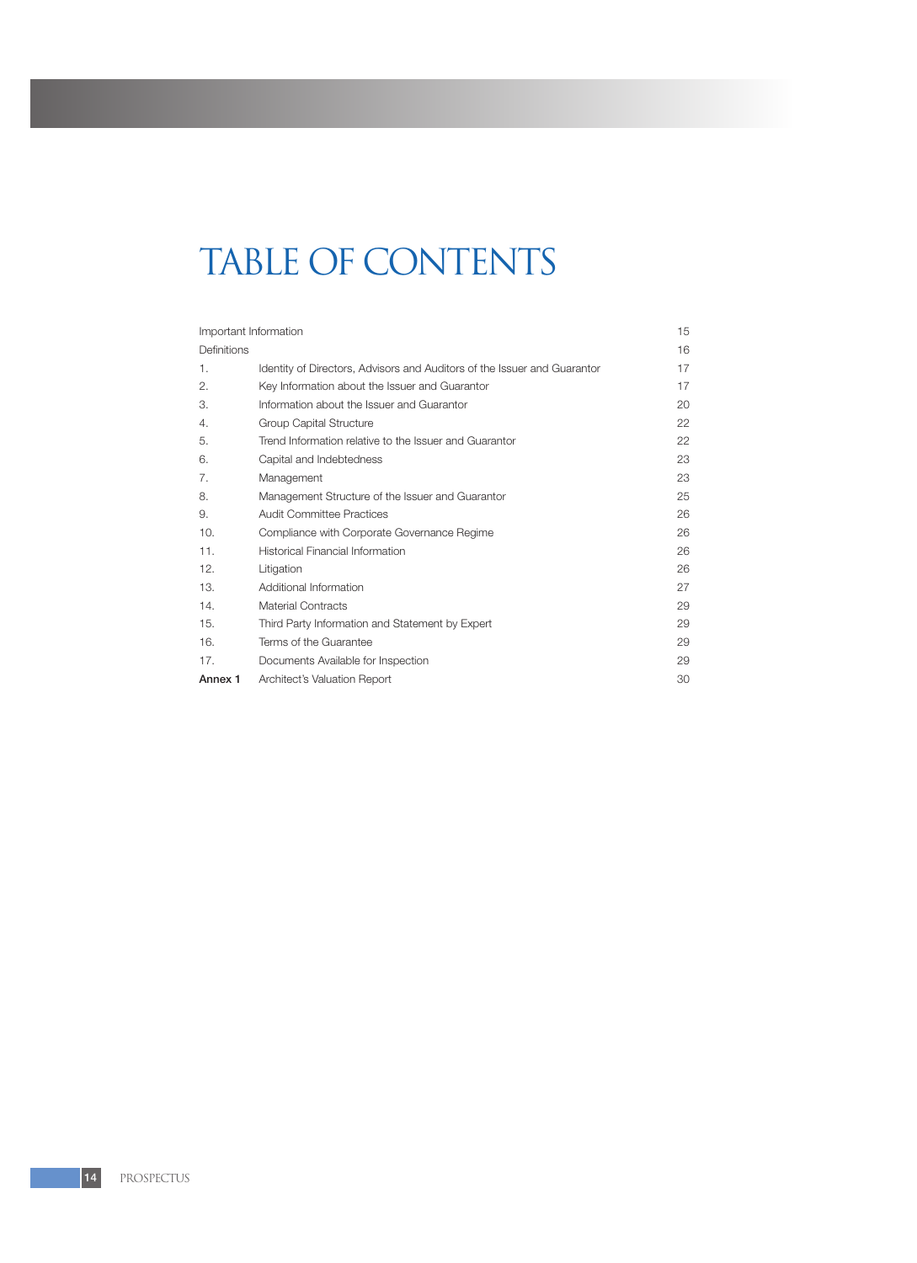# TABLE OF CONTENTS

| Important Information |                                                                          | 15 |
|-----------------------|--------------------------------------------------------------------------|----|
| Definitions           |                                                                          | 16 |
| 1.                    | Identity of Directors, Advisors and Auditors of the Issuer and Guarantor | 17 |
| 2.                    | Key Information about the Issuer and Guarantor                           | 17 |
| 3.                    | Information about the Issuer and Guarantor                               | 20 |
| 4.                    | <b>Group Capital Structure</b>                                           | 22 |
| 5.                    | Trend Information relative to the Issuer and Guarantor                   | 22 |
| 6.                    | Capital and Indebtedness                                                 | 23 |
| 7.                    | Management                                                               | 23 |
| 8.                    | Management Structure of the Issuer and Guarantor                         | 25 |
| 9.                    | <b>Audit Committee Practices</b>                                         | 26 |
| 10.                   | Compliance with Corporate Governance Regime                              | 26 |
| 11.                   | Historical Financial Information                                         | 26 |
| 12.                   | Litigation                                                               | 26 |
| 13.                   | Additional Information                                                   | 27 |
| 14.                   | <b>Material Contracts</b>                                                | 29 |
| 15.                   | Third Party Information and Statement by Expert                          | 29 |
| 16.                   | Terms of the Guarantee                                                   | 29 |
| 17.                   | Documents Available for Inspection                                       | 29 |
| Annex 1               | Architect's Valuation Report                                             | 30 |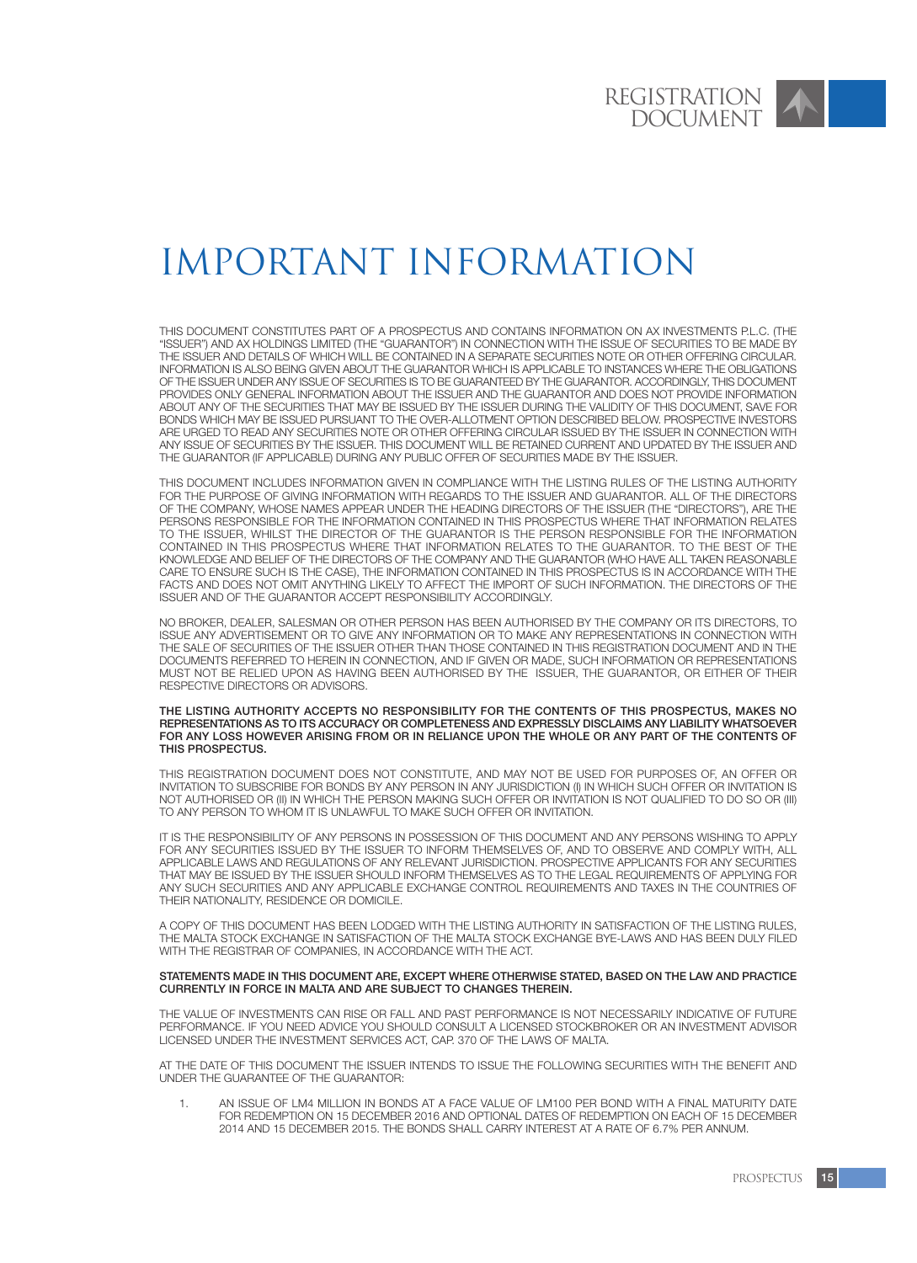# Important Information

THIS DOCUMENT CONSTITUTES PART OF A PROSPECTUS AND CONTAINS INFORMATION ON AX INVESTMENTS P.L.C. (THE "ISSUER") AND AX HOLDINGS LIMITED (THE "GUARANTOR") IN CONNECTION WITH THE ISSUE OF SECURITIES TO BE MADE BY THE ISSUER AND DETAILS OF WHICH WILL BE CONTAINED IN A SEPARATE SECURITIES NOTE OR OTHER OFFERING CIRCULAR. INFORMATION IS ALSO BEING GIVEN ABOUT THE GUARANTOR WHICH IS APPLICABLE TO INSTANCES WHERE THE OBLIGATIONS OF THE ISSUER UNDER ANY ISSUE OF SECURITIES IS TO BE GUARANTEED BY THE GUARANTOR. ACCORDINGLY, THIS DOCUMENT PROVIDES ONLY GENERAL INFORMATION ABOUT THE ISSUER AND THE GUARANTOR AND DOES NOT PROVIDE INFORMATION ABOUT ANY OF THE SECURITIES THAT MAY BE ISSUED BY THE ISSUER DURING THE VALIDITY OF THIS DOCUMENT, SAVE FOR BONDS WHICH MAY BE ISSUED PURSUANT TO THE OVER-ALLOTMENT OPTION DESCRIBED BELOW. PROSPECTIVE INVESTORS ARE URGED TO READ ANY SECURITIES NOTE OR OTHER OFFERING CIRCULAR ISSUED BY THE ISSUER IN CONNECTION WITH ANY ISSUE OF SECURITIES BY THE ISSUER. THIS DOCUMENT WILL BE RETAINED CURRENT AND UPDATED BY THE ISSUER AND THE GUARANTOR (IF APPLICABLE) DURING ANY PUBLIC OFFER OF SECURITIES MADE BY THE ISSUER.

THIS DOCUMENT INCLUDES INFORMATION GIVEN IN COMPLIANCE WITH THE LISTING RULES OF THE LISTING AUTHORITY FOR THE PURPOSE OF GIVING INFORMATION WITH REGARDS TO THE ISSUER AND GUARANTOR. ALL OF THE DIRECTORS OF THE COMPANY, WHOSE NAMES APPEAR UNDER THE HEADING DIRECTORS OF THE ISSUER (THE "DIRECTORS"), ARE THE PERSONS RESPONSIBLE FOR THE INFORMATION CONTAINED IN THIS PROSPECTUS WHERE THAT INFORMATION RELATES TO THE ISSUER, WHILST THE DIRECTOR OF THE GUARANTOR IS THE PERSON RESPONSIBLE FOR THE INFORMATION CONTAINED IN THIS PROSPECTUS WHERE THAT INFORMATION RELATES TO THE GUARANTOR. TO THE BEST OF THE KNOWLEDGE AND BELIEF OF THE DIRECTORS OF THE COMPANY AND THE GUARANTOR (WHO HAVE ALL TAKEN REASONABLE CARE TO ENSURE SUCH IS THE CASE), THE INFORMATION CONTAINED IN THIS PROSPECTUS IS IN ACCORDANCE WITH THE FACTS AND DOES NOT OMIT ANYTHING LIKELY TO AFFECT THE IMPORT OF SUCH INFORMATION. THE DIRECTORS OF THE ISSUER AND OF THE GUARANTOR ACCEPT RESPONSIBILITY ACCORDINGLY.

NO BROKER, DEALER, SALESMAN OR OTHER PERSON HAS BEEN AUTHORISED BY THE COMPANY OR ITS DIRECTORS, TO ISSUE ANY ADVERTISEMENT OR TO GIVE ANY INFORMATION OR TO MAKE ANY REPRESENTATIONS IN CONNECTION WITH THE SALE OF SECURITIES OF THE ISSUER OTHER THAN THOSE CONTAINED IN THIS REGISTRATION DOCUMENT AND IN THE DOCUMENTS REFERRED TO HEREIN IN CONNECTION, AND IF GIVEN OR MADE, SUCH INFORMATION OR REPRESENTATIONS MUST NOT BE RELIED UPON AS HAVING BEEN AUTHORISED BY THE ISSUER, THE GUARANTOR, OR EITHER OF THEIR RESPECTIVE DIRECTORS OR ADVISORS.

#### THE LISTING AUTHORITY ACCEPTS NO RESPONSIBILITY FOR THE CONTENTS OF THIS PROSPECTUS, MAKES NO REPRESENTATIONS AS TO ITS ACCURACY OR COMPLETENESS AND EXPRESSLY DISCLAIMS ANY LIABILITY WHATSOEVER FOR ANY LOSS HOWEVER ARISING FROM OR IN RELIANCE UPON THE WHOLE OR ANY PART OF THE CONTENTS OF THIS PROSPECTUS.

THIS REGISTRATION DOCUMENT DOES NOT CONSTITUTE, AND MAY NOT BE USED FOR PURPOSES OF, AN OFFER OR INVITATION TO SUBSCRIBE FOR BONDS BY ANY PERSON IN ANY JURISDICTION (I) IN WHICH SUCH OFFER OR INVITATION IS NOT AUTHORISED OR (II) IN WHICH THE PERSON MAKING SUCH OFFER OR INVITATION IS NOT QUALIFIED TO DO SO OR (III) TO ANY PERSON TO WHOM IT IS UNLAWFUL TO MAKE SUCH OFFER OR INVITATION.

IT IS THE RESPONSIBILITY OF ANY PERSONS IN POSSESSION OF THIS DOCUMENT AND ANY PERSONS WISHING TO APPLY FOR ANY SECURITIES ISSUED BY THE ISSUER TO INFORM THEMSELVES OF, AND TO OBSERVE AND COMPLY WITH, ALL APPLICABLE LAWS AND REGULATIONS OF ANY RELEVANT JURISDICTION. PROSPECTIVE APPLICANTS FOR ANY SECURITIES THAT MAY BE ISSUED BY THE ISSUER SHOULD INFORM THEMSELVES AS TO THE LEGAL REQUIREMENTS OF APPLYING FOR ANY SUCH SECURITIES AND ANY APPLICABLE EXCHANGE CONTROL REQUIREMENTS AND TAXES IN THE COUNTRIES OF THEIR NATIONALITY, RESIDENCE OR DOMICILE.

A COPY OF THIS DOCUMENT HAS BEEN LODGED WITH THE LISTING AUTHORITY IN SATISFACTION OF THE LISTING RULES, THE MALTA STOCK EXCHANGE IN SATISFACTION OF THE MALTA STOCK EXCHANGE BYE-LAWS AND HAS BEEN DULY FILED WITH THE REGISTRAR OF COMPANIES, IN ACCORDANCE WITH THE ACT.

#### STATEMENTS MADE IN THIS DOCUMENT ARE, EXCEPT WHERE OTHERWISE STATED, BASED ON THE LAW AND PRACTICE CURRENTLY IN FORCE IN MALTA AND ARE SUBJECT TO CHANGES THEREIN.

THE VALUE OF INVESTMENTS CAN RISE OR FALL AND PAST PERFORMANCE IS NOT NECESSARILY INDICATIVE OF FUTURE PERFORMANCE. IF YOU NEED ADVICE YOU SHOULD CONSULT A LICENSED STOCKBROKER OR AN INVESTMENT ADVISOR LICENSED UNDER THE INVESTMENT SERVICES ACT, CAP. 370 OF THE LAWS OF MALTA.

AT THE DATE OF THIS DOCUMENT THE ISSUER INTENDS TO ISSUE THE FOLLOWING SECURITIES WITH THE BENEFIT AND UNDER THE GUARANTEE OF THE GUARANTOR:

1. AN ISSUE OF LM4 MILLION IN BONDS AT A FACE VALUE OF LM100 PER BOND WITH A FINAL MATURITY DATE FOR REDEMPTION ON 15 DECEMBER 2016 AND OPTIONAL DATES OF REDEMPTION ON EACH OF 15 DECEMBER 2014 AND 15 DECEMBER 2015. THE BONDS SHALL CARRY INTEREST AT A RATE OF 6.7% PER ANNUM.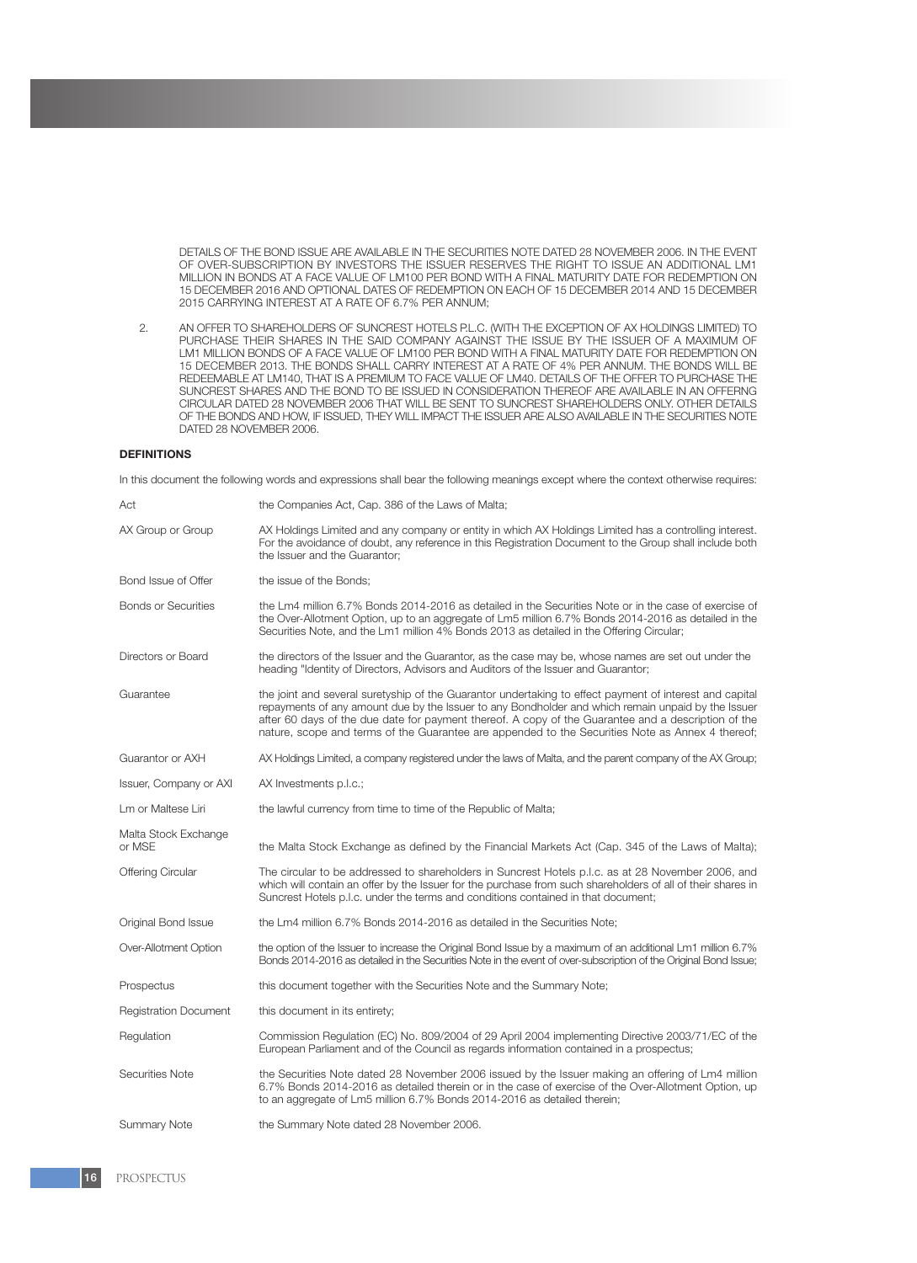DETAILS OF THE BOND ISSUE ARE AVAILABLE IN THE SECURITIES NOTE DATED 28 NOVEMBER 2006. IN THE EVENT OF OVER-SUBSCRIPTION BY INVESTORS THE ISSUER RESERVES THE RIGHT TO ISSUE AN ADDITIONAL LM1 MILLION IN BONDS AT A FACE VALUE OF LM100 PER BOND WITH A FINAL MATURITY DATE FOR REDEMPTION ON 15 DECEMBER 2016 AND OPTIONAL DATES OF REDEMPTION ON EACH OF 15 DECEMBER 2014 AND 15 DECEMBER 2015 CARRYING INTEREST AT A RATE OF 6.7% PER ANNUM;

2. AN OFFER TO SHAREHOLDERS OF SUNCREST HOTELS P.L.C. (WITH THE EXCEPTION OF AX HOLDINGS LIMITED) TO PURCHASE THEIR SHARES IN THE SAID COMPANY AGAINST THE ISSUE BY THE ISSUER OF A MAXIMUM OF LM1 MILLION BONDS OF A FACE VALUE OF LM100 PER BOND WITH A FINAL MATURITY DATE FOR REDEMPTION ON 15 DECEMBER 2013. THE BONDS SHALL CARRY INTEREST AT A RATE OF 4% PER ANNUM. THE BONDS WILL BE REDEEMABLE AT LM140, THAT IS A PREMIUM TO FACE VALUE OF LM40. DETAILS OF THE OFFER TO PURCHASE THE SUNCREST SHARES AND THE BOND TO BE ISSUED IN CONSIDERATION THEREOF ARE AVAILABLE IN AN OFFERNG CIRCULAR DATED 28 NOVEMBER 2006 THAT WILL BE SENT TO SUNCREST SHAREHOLDERS ONLY. OTHER DETAILS OF THE BONDS AND HOW, IF ISSUED, THEY WILL IMPACT THE ISSUER ARE ALSO AVAILABLE IN THE SECURITIES NOTE DATED 28 NOVEMBER 2006.

#### **DEFINITIONS**

In this document the following words and expressions shall bear the following meanings except where the context otherwise requires:

| Act                            | the Companies Act, Cap. 386 of the Laws of Malta;                                                                                                                                                                                                                                                                                                                                                                        |
|--------------------------------|--------------------------------------------------------------------------------------------------------------------------------------------------------------------------------------------------------------------------------------------------------------------------------------------------------------------------------------------------------------------------------------------------------------------------|
| AX Group or Group              | AX Holdings Limited and any company or entity in which AX Holdings Limited has a controlling interest.<br>For the avoidance of doubt, any reference in this Registration Document to the Group shall include both<br>the Issuer and the Guarantor;                                                                                                                                                                       |
| Bond Issue of Offer            | the issue of the Bonds;                                                                                                                                                                                                                                                                                                                                                                                                  |
| <b>Bonds or Securities</b>     | the Lm4 million 6.7% Bonds 2014-2016 as detailed in the Securities Note or in the case of exercise of<br>the Over-Allotment Option, up to an aggregate of Lm5 million 6.7% Bonds 2014-2016 as detailed in the<br>Securities Note, and the Lm1 million 4% Bonds 2013 as detailed in the Offering Circular;                                                                                                                |
| Directors or Board             | the directors of the Issuer and the Guarantor, as the case may be, whose names are set out under the<br>heading "Identity of Directors, Advisors and Auditors of the Issuer and Guarantor;                                                                                                                                                                                                                               |
| Guarantee                      | the joint and several suretyship of the Guarantor undertaking to effect payment of interest and capital<br>repayments of any amount due by the Issuer to any Bondholder and which remain unpaid by the Issuer<br>after 60 days of the due date for payment thereof. A copy of the Guarantee and a description of the<br>nature, scope and terms of the Guarantee are appended to the Securities Note as Annex 4 thereof; |
| Guarantor or AXH               | AX Holdings Limited, a company registered under the laws of Malta, and the parent company of the AX Group;                                                                                                                                                                                                                                                                                                               |
| Issuer, Company or AXI         | AX Investments p.l.c.;                                                                                                                                                                                                                                                                                                                                                                                                   |
| Lm or Maltese Liri             | the lawful currency from time to time of the Republic of Malta;                                                                                                                                                                                                                                                                                                                                                          |
| Malta Stock Exchange<br>or MSE | the Malta Stock Exchange as defined by the Financial Markets Act (Cap. 345 of the Laws of Malta);                                                                                                                                                                                                                                                                                                                        |
| <b>Offering Circular</b>       | The circular to be addressed to shareholders in Suncrest Hotels p.l.c. as at 28 November 2006, and<br>which will contain an offer by the Issuer for the purchase from such shareholders of all of their shares in<br>Suncrest Hotels p.l.c. under the terms and conditions contained in that document;                                                                                                                   |
| Original Bond Issue            | the Lm4 million 6.7% Bonds 2014-2016 as detailed in the Securities Note;                                                                                                                                                                                                                                                                                                                                                 |
| Over-Allotment Option          | the option of the Issuer to increase the Original Bond Issue by a maximum of an additional Lm1 million 6.7%<br>Bonds 2014-2016 as detailed in the Securities Note in the event of over-subscription of the Original Bond Issue;                                                                                                                                                                                          |
| Prospectus                     | this document together with the Securities Note and the Summary Note;                                                                                                                                                                                                                                                                                                                                                    |
| <b>Registration Document</b>   | this document in its entirety;                                                                                                                                                                                                                                                                                                                                                                                           |
| Regulation                     | Commission Regulation (EC) No. 809/2004 of 29 April 2004 implementing Directive 2003/71/EC of the<br>European Parliament and of the Council as regards information contained in a prospectus;                                                                                                                                                                                                                            |
| Securities Note                | the Securities Note dated 28 November 2006 issued by the Issuer making an offering of Lm4 million<br>6.7% Bonds 2014-2016 as detailed therein or in the case of exercise of the Over-Allotment Option, up<br>to an aggregate of Lm5 million 6.7% Bonds 2014-2016 as detailed therein;                                                                                                                                    |
| <b>Summary Note</b>            | the Summary Note dated 28 November 2006.                                                                                                                                                                                                                                                                                                                                                                                 |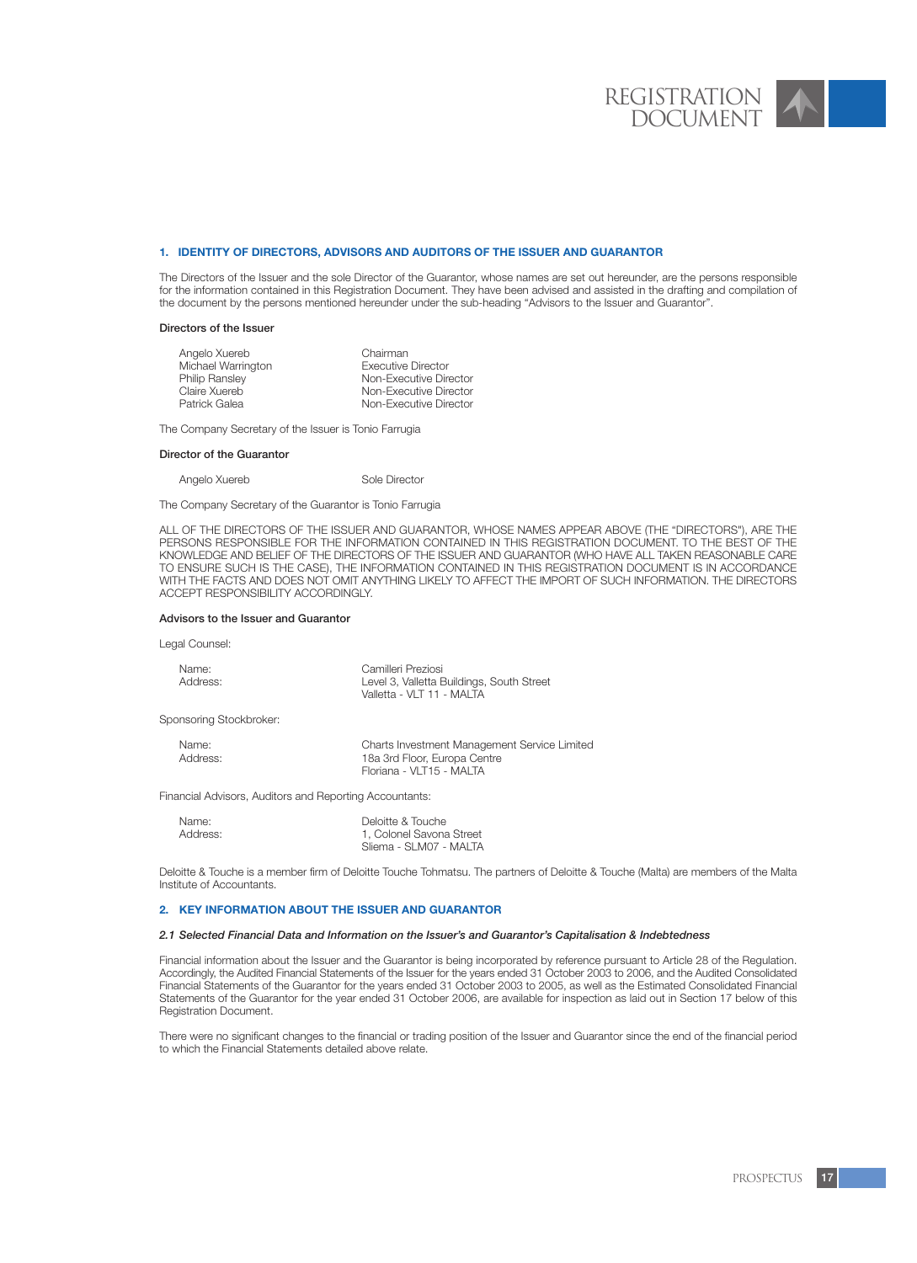#### **1. IDENTITY OF DIRECTORS, ADVISORS AND AUDITORS OF THE ISSUER AND GUARANTOR**

The Directors of the Issuer and the sole Director of the Guarantor, whose names are set out hereunder, are the persons responsible for the information contained in this Registration Document. They have been advised and assisted in the drafting and compilation of the document by the persons mentioned hereunder under the sub-heading "Advisors to the Issuer and Guarantor".

#### Directors of the Issuer

| Angelo Xuereb         | Chairman                  |
|-----------------------|---------------------------|
| Michael Warrington    | <b>Executive Director</b> |
| <b>Philip Ransley</b> | Non-Executive Director    |
| Claire Xuereb         | Non-Executive Director    |
| Patrick Galea         | Non-Executive Director    |
|                       |                           |

The Company Secretary of the Issuer is Tonio Farrugia

#### Director of the Guarantor

Angelo Xuereb Sole Director

The Company Secretary of the Guarantor is Tonio Farrugia

ALL OF THE DIRECTORS OF THE ISSUER AND GUARANTOR, WHOSE NAMES APPEAR ABOVE (THE "DIRECTORS"), ARE THE PERSONS RESPONSIBLE FOR THE INFORMATION CONTAINED IN THIS REGISTRATION DOCUMENT. TO THE BEST OF THE KNOWLEDGE AND BELIEF OF THE DIRECTORS OF THE ISSUER AND GUARANTOR (WHO HAVE ALL TAKEN REASONABLE CARE TO ENSURE SUCH IS THE CASE), THE INFORMATION CONTAINED IN THIS REGISTRATION DOCUMENT IS IN ACCORDANCE WITH THE FACTS AND DOES NOT OMIT ANYTHING LIKELY TO AFFECT THE IMPORT OF SUCH INFORMATION. THE DIRECTORS ACCEPT RESPONSIBILITY ACCORDINGLY.

#### Advisors to the Issuer and Guarantor

Legal Counsel:

| Name:    | Camilleri Preziosi                        |
|----------|-------------------------------------------|
| Address: | Level 3, Valletta Buildings, South Street |
|          | Valletta - VLT 11 - MALTA                 |

Sponsoring Stockbroker:

| Name:    | Charts Investment Management Service Limited |
|----------|----------------------------------------------|
| Address: | 18a 3rd Floor, Europa Centre                 |
|          | Floriana - VLT15 - MALTA                     |

Financial Advisors, Auditors and Reporting Accountants:

| Name:    | Deloitte & Touche        |
|----------|--------------------------|
| Address: | 1. Colonel Savona Street |
|          | Sliema - SLM07 - MALTA   |

Deloitte & Touche is a member firm of Deloitte Touche Tohmatsu. The partners of Deloitte & Touche (Malta) are members of the Malta Institute of Accountants.

# **2. KEY INFORMATION ABOUT THE ISSUER AND GUARANTOR**

#### *2.1 Selected Financial Data and Information on the Issuer's and Guarantor's Capitalisation & Indebtedness*

Financial information about the Issuer and the Guarantor is being incorporated by reference pursuant to Article 28 of the Regulation. Accordingly, the Audited Financial Statements of the Issuer for the years ended 31 October 2003 to 2006, and the Audited Consolidated Financial Statements of the Guarantor for the years ended 31 October 2003 to 2005, as well as the Estimated Consolidated Financial Statements of the Guarantor for the year ended 31 October 2006, are available for inspection as laid out in Section 17 below of this Registration Document.

There were no significant changes to the financial or trading position of the Issuer and Guarantor since the end of the financial period to which the Financial Statements detailed above relate.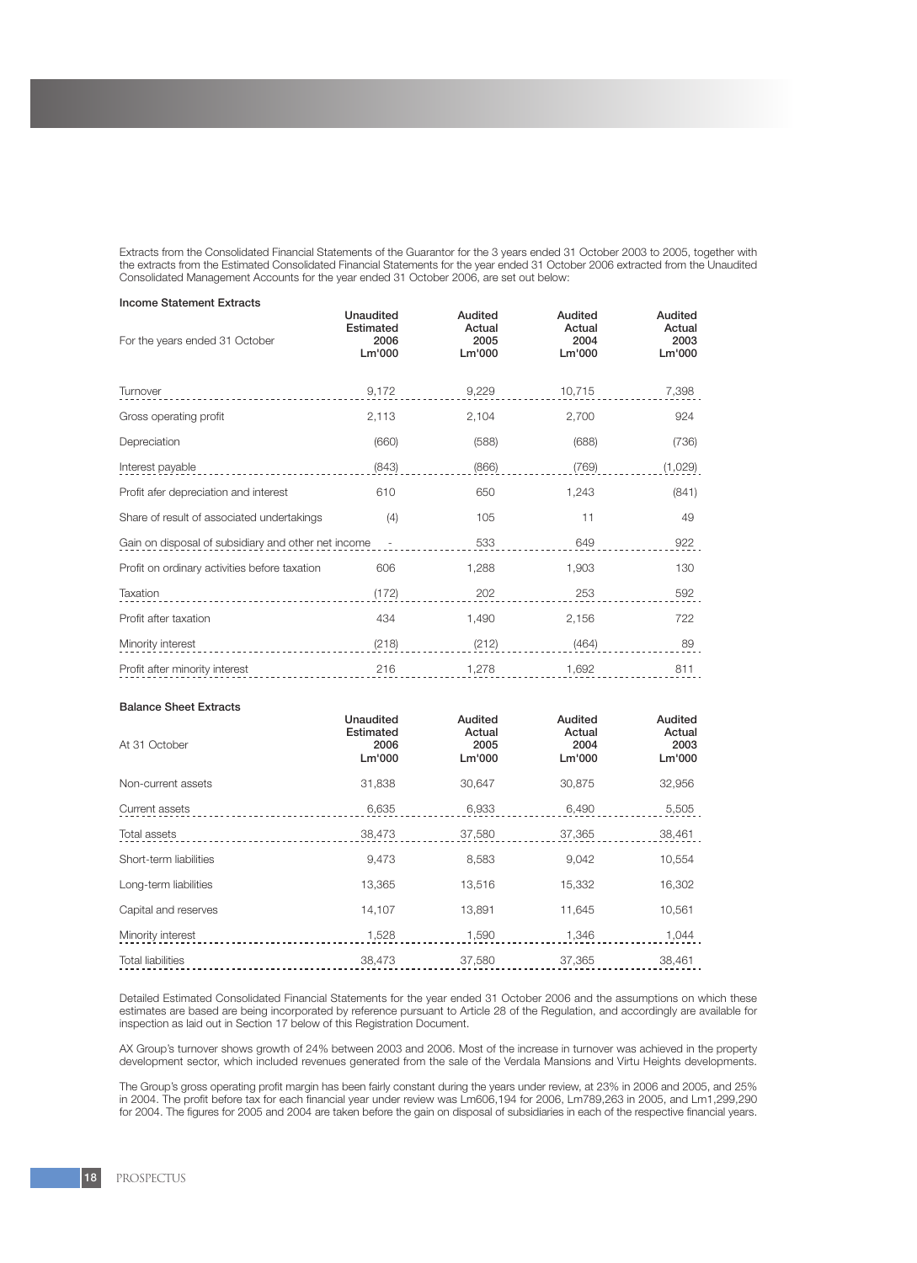Extracts from the Consolidated Financial Statements of the Guarantor for the 3 years ended 31 October 2003 to 2005, together with the extracts from the Estimated Consolidated Financial Statements for the year ended 31 October 2006 extracted from the Unaudited Consolidated Management Accounts for the year ended 31 October 2006, are set out below:

| <b>Income Statement Extracts</b>                                                |                                                 |                                     |                                     |                                     |
|---------------------------------------------------------------------------------|-------------------------------------------------|-------------------------------------|-------------------------------------|-------------------------------------|
| For the years ended 31 October                                                  | <b>Unaudited</b><br>Estimated<br>2006<br>Lm'000 | Audited<br>Actual<br>2005<br>Lm'000 | Audited<br>Actual<br>2004<br>Lm'000 | Audited<br>Actual<br>2003<br>Lm'000 |
| Turnover                                                                        | 9,172                                           | 9,229                               | 10,715                              | 7,398                               |
| Gross operating profit                                                          | 2,113                                           | 2,104                               | 2,700                               | 924                                 |
| Depreciation                                                                    | (660)                                           | (588)                               | (688)                               | (736)                               |
| Interest payable                                                                | (843)                                           | (866)                               | (769)                               | (1,029)                             |
| Profit afer depreciation and interest                                           | 610                                             | 650                                 | 1,243                               | (841)                               |
| Share of result of associated undertakings                                      | (4)                                             | 105                                 | 11                                  | 49                                  |
| Gain on disposal of subsidiary and other net income<br>$\overline{\phantom{a}}$ |                                                 | 533                                 | 649                                 | 922                                 |
| Profit on ordinary activities before taxation                                   | 606                                             | 1,288                               | 1,903                               | 130                                 |
| Taxation                                                                        | (172)                                           | 202                                 | 253                                 | 592                                 |
| Profit after taxation                                                           | 434                                             | 1.490                               | 2,156                               | 722                                 |
| Minority interest                                                               | (218)                                           | (212)                               | (464)                               | 89                                  |
| Profit after minority interest                                                  | 216                                             | 1,278                               | 1,692                               | 811                                 |

#### Balance Sheet Extracts

| At 31 October            | Unaudited<br>Estimated<br>2006<br>Lm'000 | Audited<br>Actual<br>2005<br>Lm'000 | Audited<br>Actual<br>2004<br>Lm'000 | Audited<br>Actual<br>2003<br>Lm'000 |
|--------------------------|------------------------------------------|-------------------------------------|-------------------------------------|-------------------------------------|
| Non-current assets       | 31,838                                   | 30,647                              | 30,875                              | 32,956                              |
| Current assets           | 6,635                                    | 6,933                               | 6,490                               | 5,505                               |
| Total assets             | 38,473                                   | 37,580                              | 37,365                              | 38,461                              |
| Short-term liabilities   | 9,473                                    | 8,583                               | 9,042                               | 10,554                              |
| Long-term liabilities    | 13,365                                   | 13,516                              | 15,332                              | 16,302                              |
| Capital and reserves     | 14.107                                   | 13,891                              | 11.645                              | 10,561                              |
| Minority interest        | 1,528                                    | 1,590                               | 1,346                               | 1,044                               |
| <b>Total liabilities</b> | 38,473                                   | 37,580                              | 37.365                              | 38,461                              |

Detailed Estimated Consolidated Financial Statements for the year ended 31 October 2006 and the assumptions on which these estimates are based are being incorporated by reference pursuant to Article 28 of the Regulation, and accordingly are available for inspection as laid out in Section 17 below of this Registration Document.

AX Group's turnover shows growth of 24% between 2003 and 2006. Most of the increase in turnover was achieved in the property development sector, which included revenues generated from the sale of the Verdala Mansions and Virtu Heights developments.

The Group's gross operating profit margin has been fairly constant during the years under review, at 23% in 2006 and 2005, and 25% in 2004. The profit before tax for each financial year under review was Lm606,194 for 2006, Lm789,263 in 2005, and Lm1,299,290 for 2004. The figures for 2005 and 2004 are taken before the gain on disposal of subsidiaries in each of the respective financial years.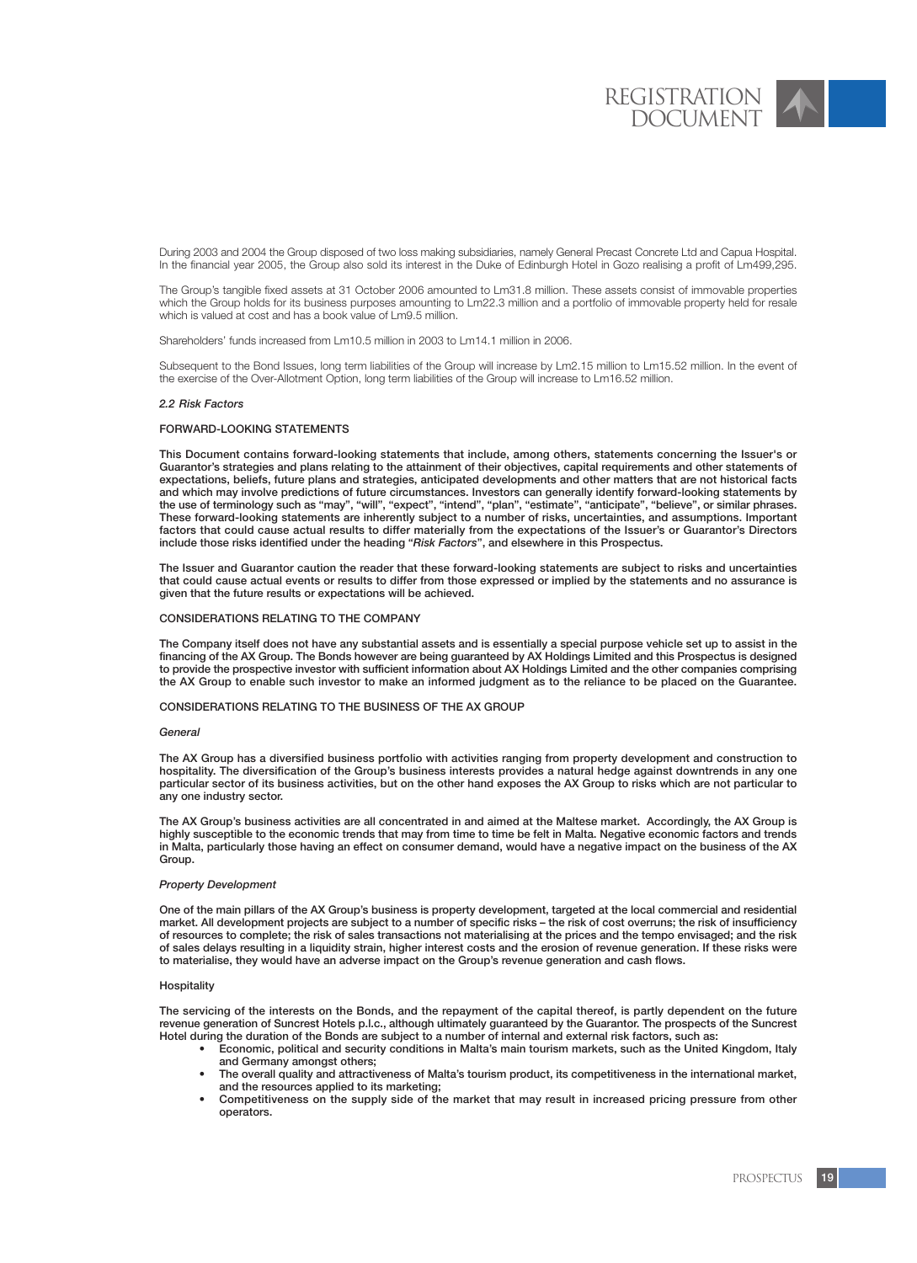During 2003 and 2004 the Group disposed of two loss making subsidiaries, namely General Precast Concrete Ltd and Capua Hospital. In the financial year 2005, the Group also sold its interest in the Duke of Edinburgh Hotel in Gozo realising a profit of Lm499,295.

The Group's tangible fixed assets at 31 October 2006 amounted to Lm31.8 million. These assets consist of immovable properties which the Group holds for its business purposes amounting to Lm22.3 million and a portfolio of immovable property held for resale which is valued at cost and has a book value of Lm9.5 million.

Shareholders' funds increased from Lm10.5 million in 2003 to Lm14.1 million in 2006.

Subsequent to the Bond Issues, long term liabilities of the Group will increase by Lm2.15 million to Lm15.52 million. In the event of the exercise of the Over-Allotment Option, long term liabilities of the Group will increase to Lm16.52 million.

# *2.2 Risk Factors*

#### FORWARD-LOOKING STATEMENTS

This Document contains forward-looking statements that include, among others, statements concerning the Issuer's or Guarantor's strategies and plans relating to the attainment of their objectives, capital requirements and other statements of expectations, beliefs, future plans and strategies, anticipated developments and other matters that are not historical facts and which may involve predictions of future circumstances. Investors can generally identify forward-looking statements by the use of terminology such as "may", "will", "expect", "intend", "plan", "estimate", "anticipate", "believe", or similar phrases. These forward-looking statements are inherently subject to a number of risks, uncertainties, and assumptions. Important factors that could cause actual results to differ materially from the expectations of the Issuer's or Guarantor's Directors include those risks identified under the heading "*Risk Factors*", and elsewhere in this Prospectus.

The Issuer and Guarantor caution the reader that these forward-looking statements are subject to risks and uncertainties that could cause actual events or results to differ from those expressed or implied by the statements and no assurance is given that the future results or expectations will be achieved.

#### CONSIDERATIONS RELATING TO THE COMPANY

The Company itself does not have any substantial assets and is essentially a special purpose vehicle set up to assist in the financing of the AX Group. The Bonds however are being guaranteed by AX Holdings Limited and this Prospectus is designed to provide the prospective investor with sufficient information about AX Holdings Limited and the other companies comprising the AX Group to enable such investor to make an informed judgment as to the reliance to be placed on the Guarantee.

#### CONSIDERATIONS RELATING TO THE BUSINESS OF THE AX GROUP

#### *General*

The AX Group has a diversified business portfolio with activities ranging from property development and construction to hospitality. The diversification of the Group's business interests provides a natural hedge against downtrends in any one particular sector of its business activities, but on the other hand exposes the AX Group to risks which are not particular to any one industry sector.

The AX Group's business activities are all concentrated in and aimed at the Maltese market. Accordingly, the AX Group is highly susceptible to the economic trends that may from time to time be felt in Malta. Negative economic factors and trends in Malta, particularly those having an effect on consumer demand, would have a negative impact on the business of the AX Group.

#### *Property Development*

One of the main pillars of the AX Group's business is property development, targeted at the local commercial and residential market. All development projects are subject to a number of specific risks – the risk of cost overruns; the risk of insufficiency of resources to complete; the risk of sales transactions not materialising at the prices and the tempo envisaged; and the risk of sales delays resulting in a liquidity strain, higher interest costs and the erosion of revenue generation. If these risks were to materialise, they would have an adverse impact on the Group's revenue generation and cash flows.

#### **Hospitality**

The servicing of the interests on the Bonds, and the repayment of the capital thereof, is partly dependent on the future revenue generation of Suncrest Hotels p.l.c., although ultimately guaranteed by the Guarantor. The prospects of the Suncrest Hotel during the duration of the Bonds are subject to a number of internal and external risk factors, such as:

- Economic, political and security conditions in Malta's main tourism markets, such as the United Kingdom, Italy and Germany amongst others;
- The overall quality and attractiveness of Malta's tourism product, its competitiveness in the international market, and the resources applied to its marketing;
- Competitiveness on the supply side of the market that may result in increased pricing pressure from other operators.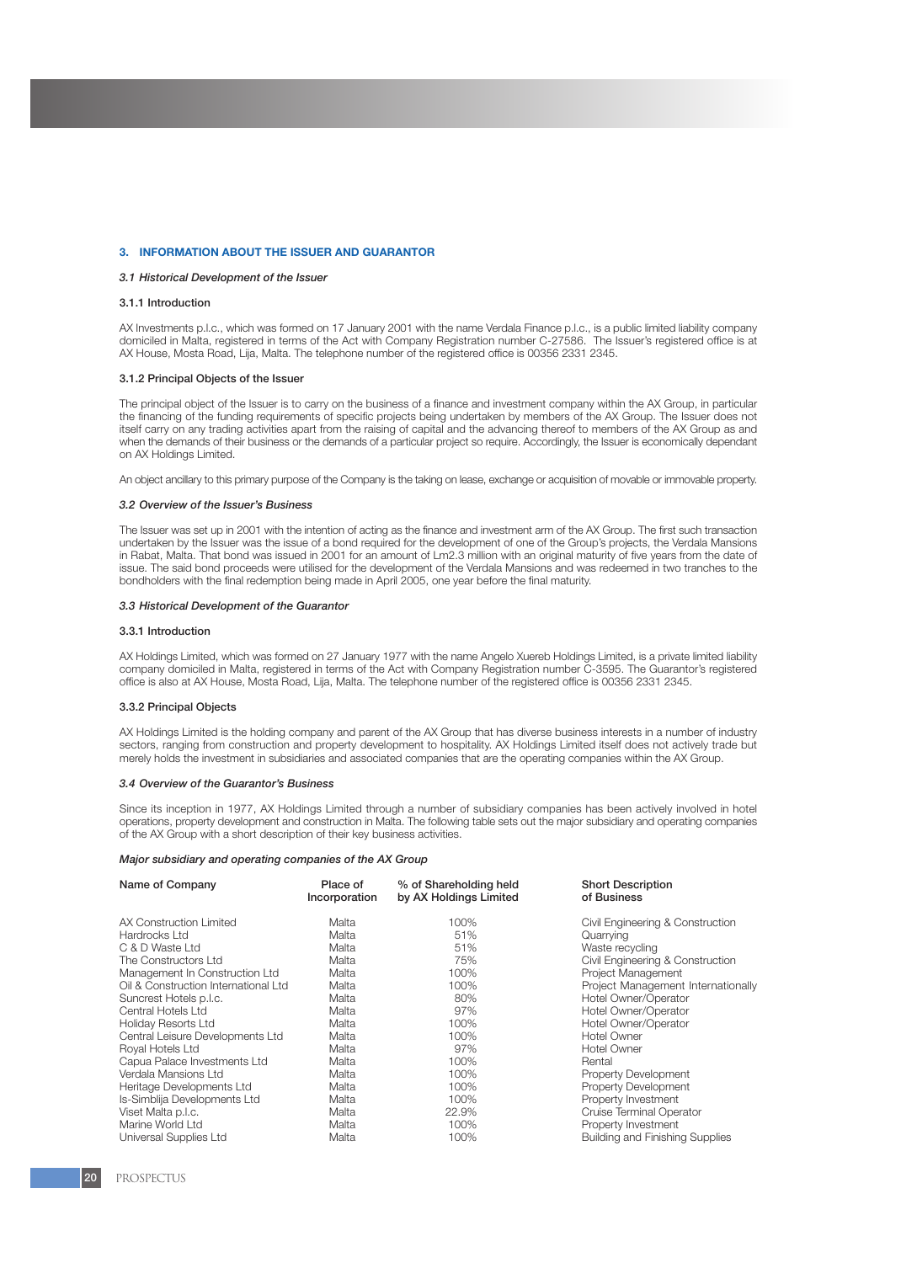#### **3. INFORMATION ABOUT THE ISSUER AND GUARANTOR**

### *3.1 Historical Development of the Issuer*

#### 3.1.1 Introduction

AX Investments p.l.c., which was formed on 17 January 2001 with the name Verdala Finance p.l.c., is a public limited liability company domiciled in Malta, registered in terms of the Act with Company Registration number C-27586. The Issuer's registered office is at AX House, Mosta Road, Lija, Malta. The telephone number of the registered office is 00356 2331 2345.

#### 3.1.2 Principal Objects of the Issuer

The principal object of the Issuer is to carry on the business of a finance and investment company within the AX Group, in particular the financing of the funding requirements of specific projects being undertaken by members of the AX Group. The Issuer does not itself carry on any trading activities apart from the raising of capital and the advancing thereof to members of the AX Group as and when the demands of their business or the demands of a particular project so require. Accordingly, the Issuer is economically dependant on AX Holdings Limited.

An object ancillary to this primary purpose of the Company is the taking on lease, exchange or acquisition of movable or immovable property.

#### *3.2 Overview of the Issuer's Business*

The Issuer was set up in 2001 with the intention of acting as the finance and investment arm of the AX Group. The first such transaction undertaken by the Issuer was the issue of a bond required for the development of one of the Group's projects, the Verdala Mansions in Rabat, Malta. That bond was issued in 2001 for an amount of Lm2.3 million with an original maturity of five years from the date of issue. The said bond proceeds were utilised for the development of the Verdala Mansions and was redeemed in two tranches to the bondholders with the final redemption being made in April 2005, one year before the final maturity.

#### *3.3 Historical Development of the Guarantor*

#### 3.3.1 Introduction

AX Holdings Limited, which was formed on 27 January 1977 with the name Angelo Xuereb Holdings Limited, is a private limited liability company domiciled in Malta, registered in terms of the Act with Company Registration number C-3595. The Guarantor's registered office is also at AX House, Mosta Road, Lija, Malta. The telephone number of the registered office is 00356 2331 2345.

### 3.3.2 Principal Objects

AX Holdings Limited is the holding company and parent of the AX Group that has diverse business interests in a number of industry sectors, ranging from construction and property development to hospitality. AX Holdings Limited itself does not actively trade but merely holds the investment in subsidiaries and associated companies that are the operating companies within the AX Group.

#### *3.4 Overview of the Guarantor's Business*

Since its inception in 1977, AX Holdings Limited through a number of subsidiary companies has been actively involved in hotel operations, property development and construction in Malta. The following table sets out the major subsidiary and operating companies of the AX Group with a short description of their key business activities.

#### *Major subsidiary and operating companies of the AX Group*

| Name of Company                      | Place of<br>Incorporation | % of Shareholding held<br>by AX Holdings Limited | <b>Short Description</b><br>of Business |
|--------------------------------------|---------------------------|--------------------------------------------------|-----------------------------------------|
| AX Construction Limited              | Malta                     | 100%                                             | Civil Engineering & Construction        |
| Hardrocks Ltd                        | Malta                     | 51%                                              | Quarrying                               |
| C & D Waste Ltd                      | Malta                     | 51%                                              | Waste recycling                         |
| The Constructors Ltd                 | Malta                     | 75%                                              | Civil Engineering & Construction        |
| Management In Construction Ltd       | Malta                     | 100%                                             | Project Management                      |
| Oil & Construction International Ltd | Malta                     | 100%                                             | Project Management Internationally      |
| Suncrest Hotels p.l.c.               | Malta                     | 80%                                              | Hotel Owner/Operator                    |
| Central Hotels Ltd                   | Malta                     | 97%                                              | Hotel Owner/Operator                    |
| Holiday Resorts Ltd                  | Malta                     | 100%                                             | Hotel Owner/Operator                    |
| Central Leisure Developments Ltd     | Malta                     | 100%                                             | <b>Hotel Owner</b>                      |
| Royal Hotels Ltd                     | Malta                     | 97%                                              | <b>Hotel Owner</b>                      |
| Capua Palace Investments Ltd         | Malta                     | 100%                                             | Rental                                  |
| Verdala Mansions Ltd                 | Malta                     | 100%                                             | <b>Property Development</b>             |
| Heritage Developments Ltd            | Malta                     | 100%                                             | Property Development                    |
| Is-Simblija Developments Ltd         | Malta                     | 100%                                             | Property Investment                     |
| Viset Malta p.l.c.                   | Malta                     | 22.9%                                            | Cruise Terminal Operator                |
| Marine World Ltd                     | Malta                     | 100%                                             | Property Investment                     |
| Universal Supplies Ltd               | Malta                     | 100%                                             | <b>Building and Finishing Supplies</b>  |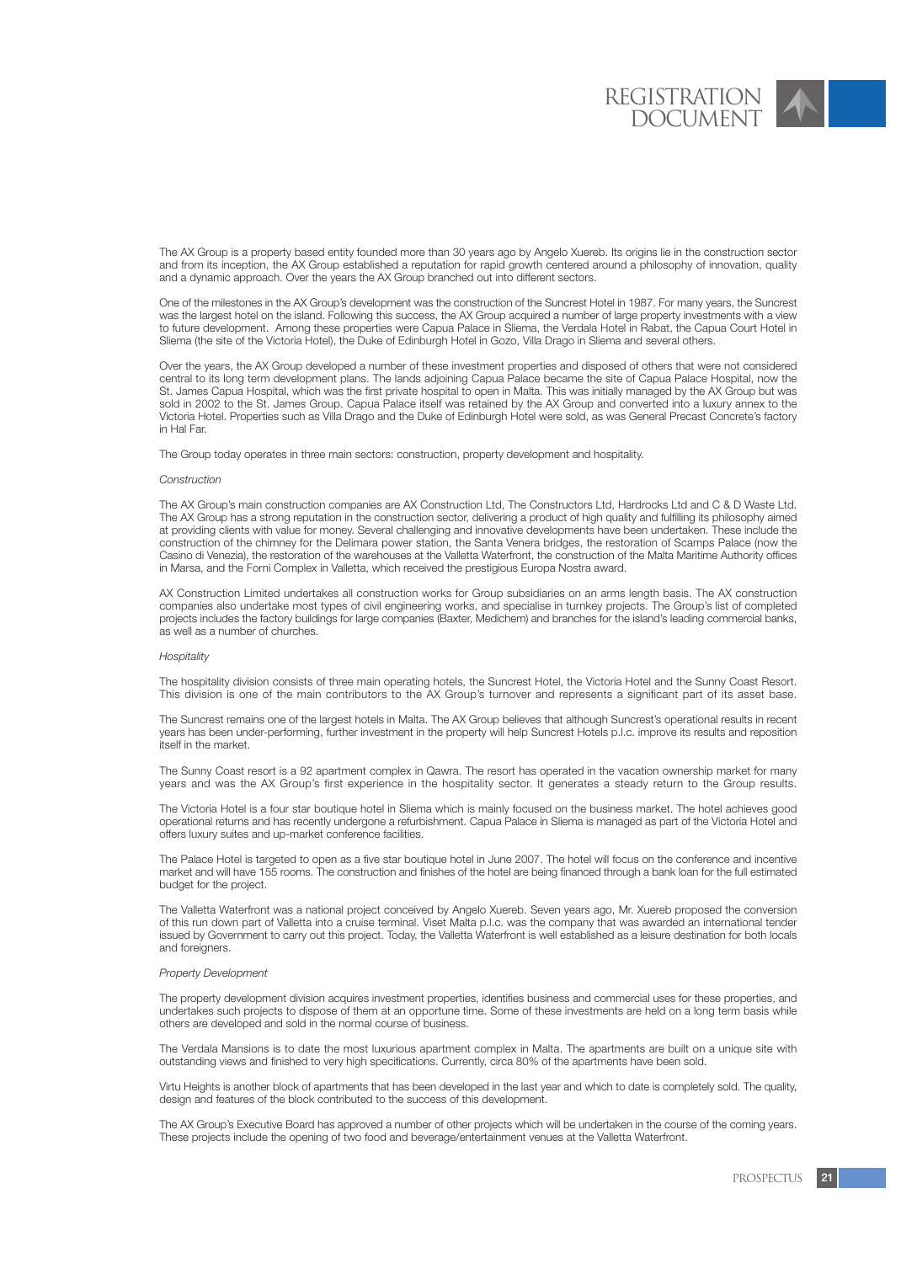The AX Group is a property based entity founded more than 30 years ago by Angelo Xuereb. Its origins lie in the construction sector and from its inception, the AX Group established a reputation for rapid growth centered around a philosophy of innovation, quality and a dynamic approach. Over the years the AX Group branched out into different sectors.

One of the milestones in the AX Group's development was the construction of the Suncrest Hotel in 1987. For many years, the Suncrest was the largest hotel on the island. Following this success, the AX Group acquired a number of large property investments with a view to future development. Among these properties were Capua Palace in Sliema, the Verdala Hotel in Rabat, the Capua Court Hotel in Sliema (the site of the Victoria Hotel), the Duke of Edinburgh Hotel in Gozo, Villa Drago in Sliema and several others.

Over the years, the AX Group developed a number of these investment properties and disposed of others that were not considered central to its long term development plans. The lands adjoining Capua Palace became the site of Capua Palace Hospital, now the St. James Capua Hospital, which was the first private hospital to open in Malta. This was initially managed by the AX Group but was sold in 2002 to the St. James Group. Capua Palace itself was retained by the AX Group and converted into a luxury annex to the Victoria Hotel. Properties such as Villa Drago and the Duke of Edinburgh Hotel were sold, as was General Precast Concrete's factory in Hal Far.

The Group today operates in three main sectors: construction, property development and hospitality.

#### *Construction*

The AX Group's main construction companies are AX Construction Ltd, The Constructors Ltd, Hardrocks Ltd and C & D Waste Ltd. The AX Group has a strong reputation in the construction sector, delivering a product of high quality and fulfilling its philosophy aimed at providing clients with value for money. Several challenging and innovative developments have been undertaken. These include the construction of the chimney for the Delimara power station, the Santa Venera bridges, the restoration of Scamps Palace (now the Casino di Venezia), the restoration of the warehouses at the Valletta Waterfront, the construction of the Malta Maritime Authority offices in Marsa, and the Forni Complex in Valletta, which received the prestigious Europa Nostra award.

AX Construction Limited undertakes all construction works for Group subsidiaries on an arms length basis. The AX construction companies also undertake most types of civil engineering works, and specialise in turnkey projects. The Group's list of completed projects includes the factory buildings for large companies (Baxter, Medichem) and branches for the island's leading commercial banks, as well as a number of churches.

#### *Hospitality*

The hospitality division consists of three main operating hotels, the Suncrest Hotel, the Victoria Hotel and the Sunny Coast Resort. This division is one of the main contributors to the AX Group's turnover and represents a significant part of its asset base.

The Suncrest remains one of the largest hotels in Malta. The AX Group believes that although Suncrest's operational results in recent years has been under-performing, further investment in the property will help Suncrest Hotels p.l.c. improve its results and reposition itself in the market.

The Sunny Coast resort is a 92 apartment complex in Qawra. The resort has operated in the vacation ownership market for many years and was the AX Group's first experience in the hospitality sector. It generates a steady return to the Group results.

The Victoria Hotel is a four star boutique hotel in Sliema which is mainly focused on the business market. The hotel achieves good operational returns and has recently undergone a refurbishment. Capua Palace in Sliema is managed as part of the Victoria Hotel and offers luxury suites and up-market conference facilities.

The Palace Hotel is targeted to open as a five star boutique hotel in June 2007. The hotel will focus on the conference and incentive market and will have 155 rooms. The construction and finishes of the hotel are being financed through a bank loan for the full estimated budget for the project.

The Valletta Waterfront was a national project conceived by Angelo Xuereb. Seven years ago, Mr. Xuereb proposed the conversion of this run down part of Valletta into a cruise terminal. Viset Malta p.l.c. was the company that was awarded an international tender issued by Government to carry out this project. Today, the Valletta Waterfront is well established as a leisure destination for both locals and foreigners.

#### *Property Development*

The property development division acquires investment properties, identifies business and commercial uses for these properties, and undertakes such projects to dispose of them at an opportune time. Some of these investments are held on a long term basis while others are developed and sold in the normal course of business.

The Verdala Mansions is to date the most luxurious apartment complex in Malta. The apartments are built on a unique site with outstanding views and finished to very high specifications. Currently, circa 80% of the apartments have been sold.

Virtu Heights is another block of apartments that has been developed in the last year and which to date is completely sold. The quality, design and features of the block contributed to the success of this development.

The AX Group's Executive Board has approved a number of other projects which will be undertaken in the course of the coming years. These projects include the opening of two food and beverage/entertainment venues at the Valletta Waterfront.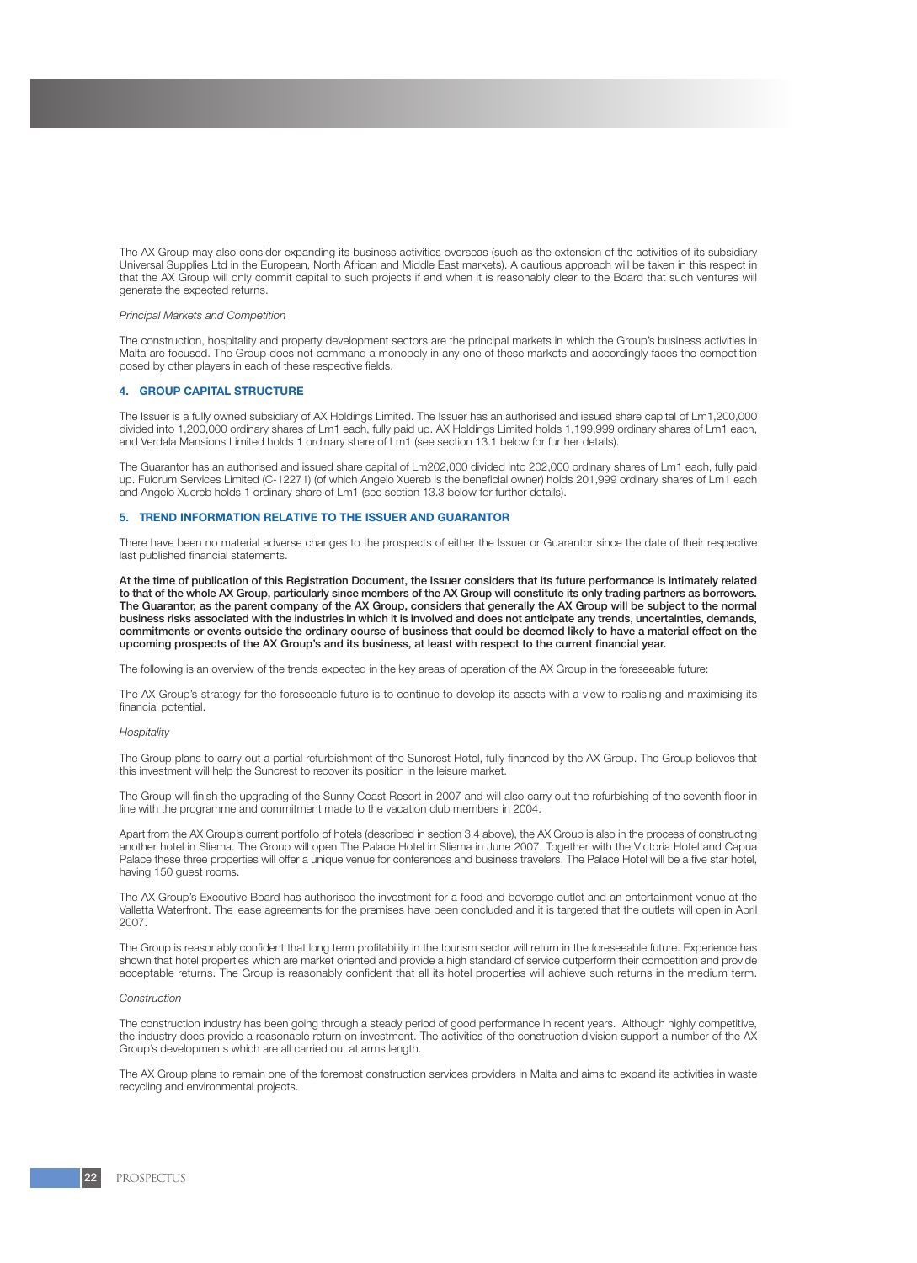The AX Group may also consider expanding its business activities overseas (such as the extension of the activities of its subsidiary Universal Supplies Ltd in the European, North African and Middle East markets). A cautious approach will be taken in this respect in that the AX Group will only commit capital to such projects if and when it is reasonably clear to the Board that such ventures will generate the expected returns.

#### *Principal Markets and Competition*

The construction, hospitality and property development sectors are the principal markets in which the Group's business activities in Malta are focused. The Group does not command a monopoly in any one of these markets and accordingly faces the competition posed by other players in each of these respective fields.

## **4. GROUP CAPITAL STRUCTURE**

The Issuer is a fully owned subsidiary of AX Holdings Limited. The Issuer has an authorised and issued share capital of Lm1,200,000 divided into 1,200,000 ordinary shares of Lm1 each, fully paid up. AX Holdings Limited holds 1,199,999 ordinary shares of Lm1 each, and Verdala Mansions Limited holds 1 ordinary share of Lm1 (see section 13.1 below for further details).

The Guarantor has an authorised and issued share capital of Lm202,000 divided into 202,000 ordinary shares of Lm1 each, fully paid up. Fulcrum Services Limited (C-12271) (of which Angelo Xuereb is the beneficial owner) holds 201,999 ordinary shares of Lm1 each and Angelo Xuereb holds 1 ordinary share of Lm1 (see section 13.3 below for further details).

#### **5. TREND INFORMATION RELATIVE TO THE ISSUER AND GUARANTOR**

There have been no material adverse changes to the prospects of either the Issuer or Guarantor since the date of their respective last published financial statements.

At the time of publication of this Registration Document, the Issuer considers that its future performance is intimately related to that of the whole AX Group, particularly since members of the AX Group will constitute its only trading partners as borrowers. The Guarantor, as the parent company of the AX Group, considers that generally the AX Group will be subject to the normal business risks associated with the industries in which it is involved and does not anticipate any trends, uncertainties, demands, commitments or events outside the ordinary course of business that could be deemed likely to have a material effect on the upcoming prospects of the AX Group's and its business, at least with respect to the current financial year.

The following is an overview of the trends expected in the key areas of operation of the AX Group in the foreseeable future:

The AX Group's strategy for the foreseeable future is to continue to develop its assets with a view to realising and maximising its financial potential.

#### *Hospitality*

The Group plans to carry out a partial refurbishment of the Suncrest Hotel, fully financed by the AX Group. The Group believes that this investment will help the Suncrest to recover its position in the leisure market.

The Group will finish the upgrading of the Sunny Coast Resort in 2007 and will also carry out the refurbishing of the seventh floor in line with the programme and commitment made to the vacation club members in 2004.

Apart from the AX Group's current portfolio of hotels (described in section 3.4 above), the AX Group is also in the process of constructing another hotel in Sliema. The Group will open The Palace Hotel in Sliema in June 2007. Together with the Victoria Hotel and Capua Palace these three properties will offer a unique venue for conferences and business travelers. The Palace Hotel will be a five star hotel, having 150 quest rooms.

The AX Group's Executive Board has authorised the investment for a food and beverage outlet and an entertainment venue at the Valletta Waterfront. The lease agreements for the premises have been concluded and it is targeted that the outlets will open in April 2007.

The Group is reasonably confident that long term profitability in the tourism sector will return in the foreseeable future. Experience has shown that hotel properties which are market oriented and provide a high standard of service outperform their competition and provide acceptable returns. The Group is reasonably confident that all its hotel properties will achieve such returns in the medium term.

#### *Construction*

The construction industry has been going through a steady period of good performance in recent years. Although highly competitive, the industry does provide a reasonable return on investment. The activities of the construction division support a number of the AX Group's developments which are all carried out at arms length.

The AX Group plans to remain one of the foremost construction services providers in Malta and aims to expand its activities in waste recycling and environmental projects.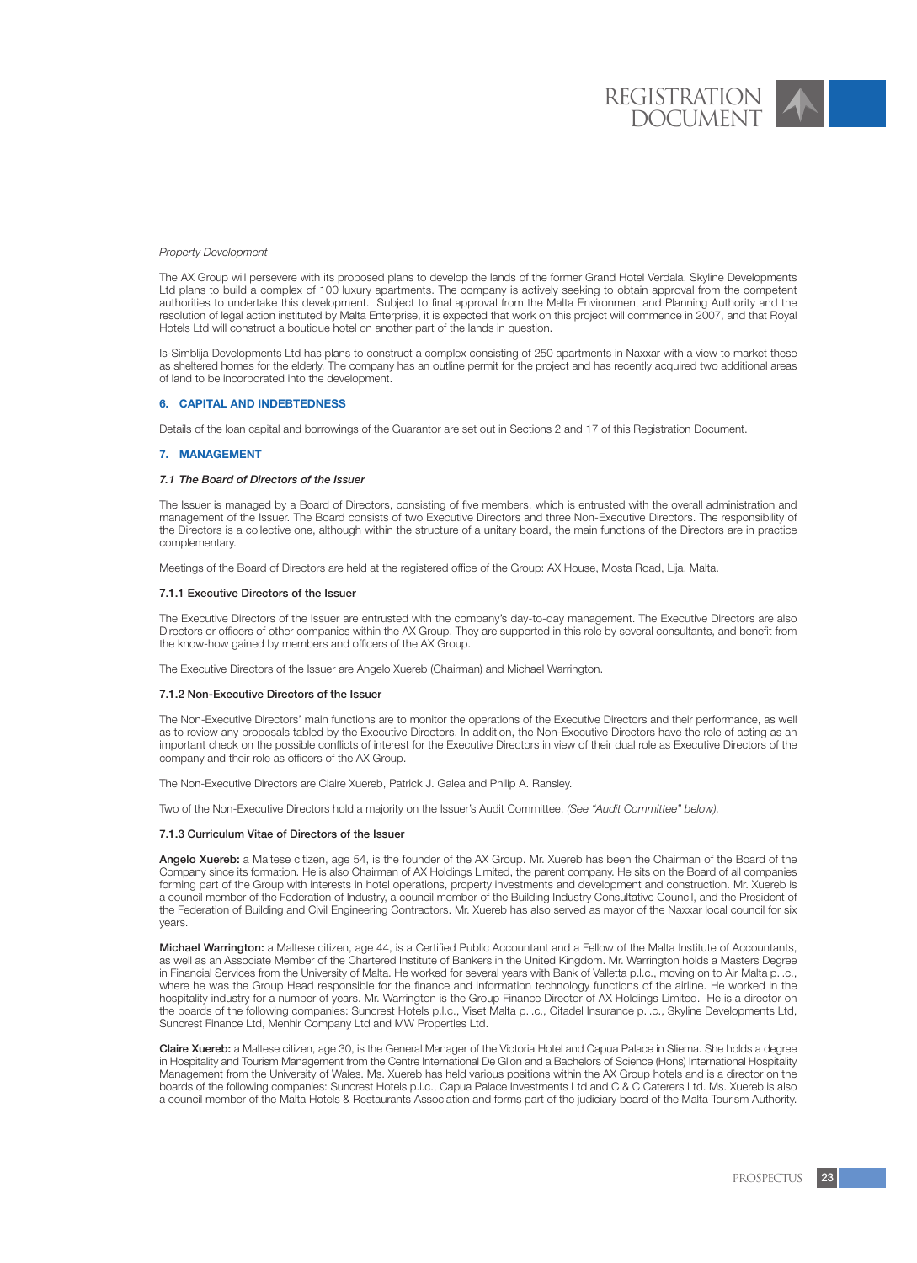#### *Property Development*

The AX Group will persevere with its proposed plans to develop the lands of the former Grand Hotel Verdala. Skyline Developments Ltd plans to build a complex of 100 luxury apartments. The company is actively seeking to obtain approval from the competent authorities to undertake this development. Subject to final approval from the Malta Environment and Planning Authority and the resolution of legal action instituted by Malta Enterprise, it is expected that work on this project will commence in 2007, and that Royal Hotels Ltd will construct a boutique hotel on another part of the lands in question.

Is-Simblija Developments Ltd has plans to construct a complex consisting of 250 apartments in Naxxar with a view to market these as sheltered homes for the elderly. The company has an outline permit for the project and has recently acquired two additional areas of land to be incorporated into the development.

#### **6. CAPITAL AND INDEBTEDNESS**

Details of the loan capital and borrowings of the Guarantor are set out in Sections 2 and 17 of this Registration Document.

#### **7. MANAGEMENT**

#### *7.1 The Board of Directors of the Issuer*

The Issuer is managed by a Board of Directors, consisting of five members, which is entrusted with the overall administration and management of the Issuer. The Board consists of two Executive Directors and three Non-Executive Directors. The responsibility of the Directors is a collective one, although within the structure of a unitary board, the main functions of the Directors are in practice complementary.

Meetings of the Board of Directors are held at the registered office of the Group: AX House, Mosta Road, Lija, Malta.

#### 7.1.1 Executive Directors of the Issuer

The Executive Directors of the Issuer are entrusted with the company's day-to-day management. The Executive Directors are also Directors or officers of other companies within the AX Group. They are supported in this role by several consultants, and benefit from the know-how gained by members and officers of the AX Group.

The Executive Directors of the Issuer are Angelo Xuereb (Chairman) and Michael Warrington.

#### 7.1.2 Non-Executive Directors of the Issuer

The Non-Executive Directors' main functions are to monitor the operations of the Executive Directors and their performance, as well as to review any proposals tabled by the Executive Directors. In addition, the Non-Executive Directors have the role of acting as an important check on the possible conflicts of interest for the Executive Directors in view of their dual role as Executive Directors of the company and their role as officers of the AX Group.

The Non-Executive Directors are Claire Xuereb, Patrick J. Galea and Philip A. Ransley.

Two of the Non-Executive Directors hold a majority on the Issuer's Audit Committee. *(See "Audit Committee" below).*

#### 7.1.3 Curriculum Vitae of Directors of the Issuer

Angelo Xuereb: a Maltese citizen, age 54, is the founder of the AX Group. Mr. Xuereb has been the Chairman of the Board of the Company since its formation. He is also Chairman of AX Holdings Limited, the parent company. He sits on the Board of all companies forming part of the Group with interests in hotel operations, property investments and development and construction. Mr. Xuereb is a council member of the Federation of Industry, a council member of the Building Industry Consultative Council, and the President of the Federation of Building and Civil Engineering Contractors. Mr. Xuereb has also served as mayor of the Naxxar local council for six years.

Michael Warrington: a Maltese citizen, age 44, is a Certified Public Accountant and a Fellow of the Malta Institute of Accountants, as well as an Associate Member of the Chartered Institute of Bankers in the United Kingdom. Mr. Warrington holds a Masters Degree in Financial Services from the University of Malta. He worked for several years with Bank of Valletta p.l.c., moving on to Air Malta p.l.c., where he was the Group Head responsible for the finance and information technology functions of the airline. He worked in the hospitality industry for a number of years. Mr. Warrington is the Group Finance Director of AX Holdings Limited. He is a director on the boards of the following companies: Suncrest Hotels p.l.c., Viset Malta p.l.c., Citadel Insurance p.l.c., Skyline Developments Ltd, Suncrest Finance Ltd, Menhir Company Ltd and MW Properties Ltd.

Claire Xuereb: a Maltese citizen, age 30, is the General Manager of the Victoria Hotel and Capua Palace in Sliema. She holds a degree in Hospitality and Tourism Management from the Centre International De Glion and a Bachelors of Science (Hons) International Hospitality Management from the University of Wales. Ms. Xuereb has held various positions within the AX Group hotels and is a director on the boards of the following companies: Suncrest Hotels p.l.c., Capua Palace Investments Ltd and C & C Caterers Ltd. Ms. Xuereb is also a council member of the Malta Hotels & Restaurants Association and forms part of the judiciary board of the Malta Tourism Authority.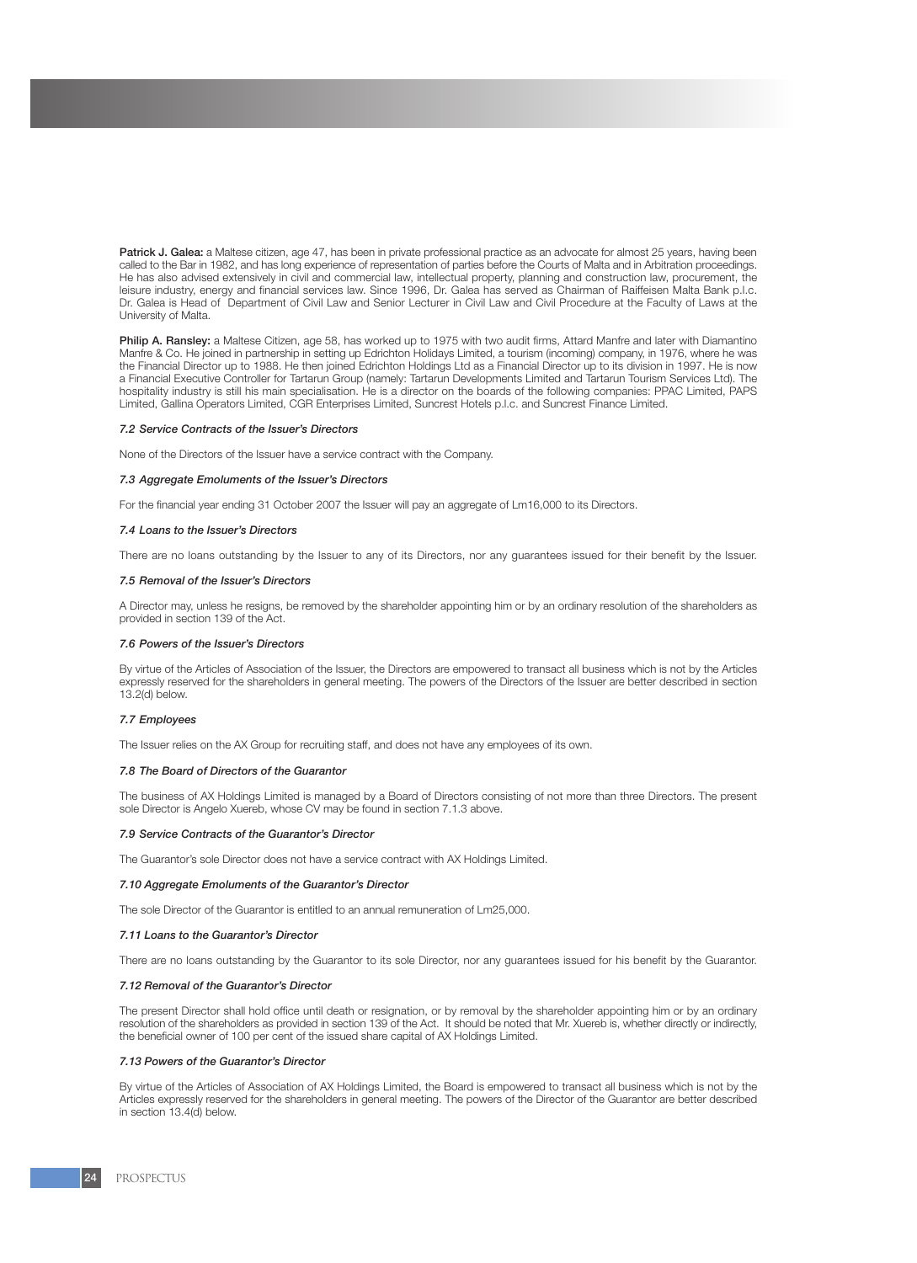Patrick J. Galea: a Maltese citizen, age 47, has been in private professional practice as an advocate for almost 25 years, having been called to the Bar in 1982, and has long experience of representation of parties before the Courts of Malta and in Arbitration proceedings. He has also advised extensively in civil and commercial law, intellectual property, planning and construction law, procurement, the leisure industry, energy and financial services law. Since 1996, Dr. Galea has served as Chairman of Raiffeisen Malta Bank p.l.c. Dr. Galea is Head of Department of Civil Law and Senior Lecturer in Civil Law and Civil Procedure at the Faculty of Laws at the University of Malta.

Philip A. Ransley: a Maltese Citizen, age 58, has worked up to 1975 with two audit firms, Attard Manfre and later with Diamantino Manfre & Co. He joined in partnership in setting up Edrichton Holidays Limited, a tourism (incoming) company, in 1976, where he was the Financial Director up to 1988. He then joined Edrichton Holdings Ltd as a Financial Director up to its division in 1997. He is now a Financial Executive Controller for Tartarun Group (namely: Tartarun Developments Limited and Tartarun Tourism Services Ltd). The hospitality industry is still his main specialisation. He is a director on the boards of the following companies: PPAC Limited, PAPS Limited, Gallina Operators Limited, CGR Enterprises Limited, Suncrest Hotels p.l.c. and Suncrest Finance Limited.

#### *7.2 Service Contracts of the Issuer's Directors*

None of the Directors of the Issuer have a service contract with the Company.

#### *7.3 Aggregate Emoluments of the Issuer's Directors*

For the financial year ending 31 October 2007 the Issuer will pay an aggregate of Lm16,000 to its Directors.

#### *7.4 Loans to the Issuer's Directors*

There are no loans outstanding by the Issuer to any of its Directors, nor any guarantees issued for their benefit by the Issuer.

#### *7.5 Removal of the Issuer's Directors*

A Director may, unless he resigns, be removed by the shareholder appointing him or by an ordinary resolution of the shareholders as provided in section 139 of the Act.

#### *7.6 Powers of the Issuer's Directors*

By virtue of the Articles of Association of the Issuer, the Directors are empowered to transact all business which is not by the Articles expressly reserved for the shareholders in general meeting. The powers of the Directors of the Issuer are better described in section 13.2(d) below.

#### *7.7 Employees*

The Issuer relies on the AX Group for recruiting staff, and does not have any employees of its own.

#### *7.8 The Board of Directors of the Guarantor*

The business of AX Holdings Limited is managed by a Board of Directors consisting of not more than three Directors. The present sole Director is Angelo Xuereb, whose CV may be found in section 7.1.3 above.

#### *7.9 Service Contracts of the Guarantor's Director*

The Guarantor's sole Director does not have a service contract with AX Holdings Limited.

#### *7.10 Aggregate Emoluments of the Guarantor's Director*

The sole Director of the Guarantor is entitled to an annual remuneration of Lm25,000.

#### *7.11 Loans to the Guarantor's Director*

There are no loans outstanding by the Guarantor to its sole Director, nor any guarantees issued for his benefit by the Guarantor.

#### *7.12 Removal of the Guarantor's Director*

The present Director shall hold office until death or resignation, or by removal by the shareholder appointing him or by an ordinary resolution of the shareholders as provided in section 139 of the Act. It should be noted that Mr. Xuereb is, whether directly or indirectly, the beneficial owner of 100 per cent of the issued share capital of AX Holdings Limited.

# *7.13 Powers of the Guarantor's Director*

By virtue of the Articles of Association of AX Holdings Limited, the Board is empowered to transact all business which is not by the Articles expressly reserved for the shareholders in general meeting. The powers of the Director of the Guarantor are better described in section 13.4(d) below.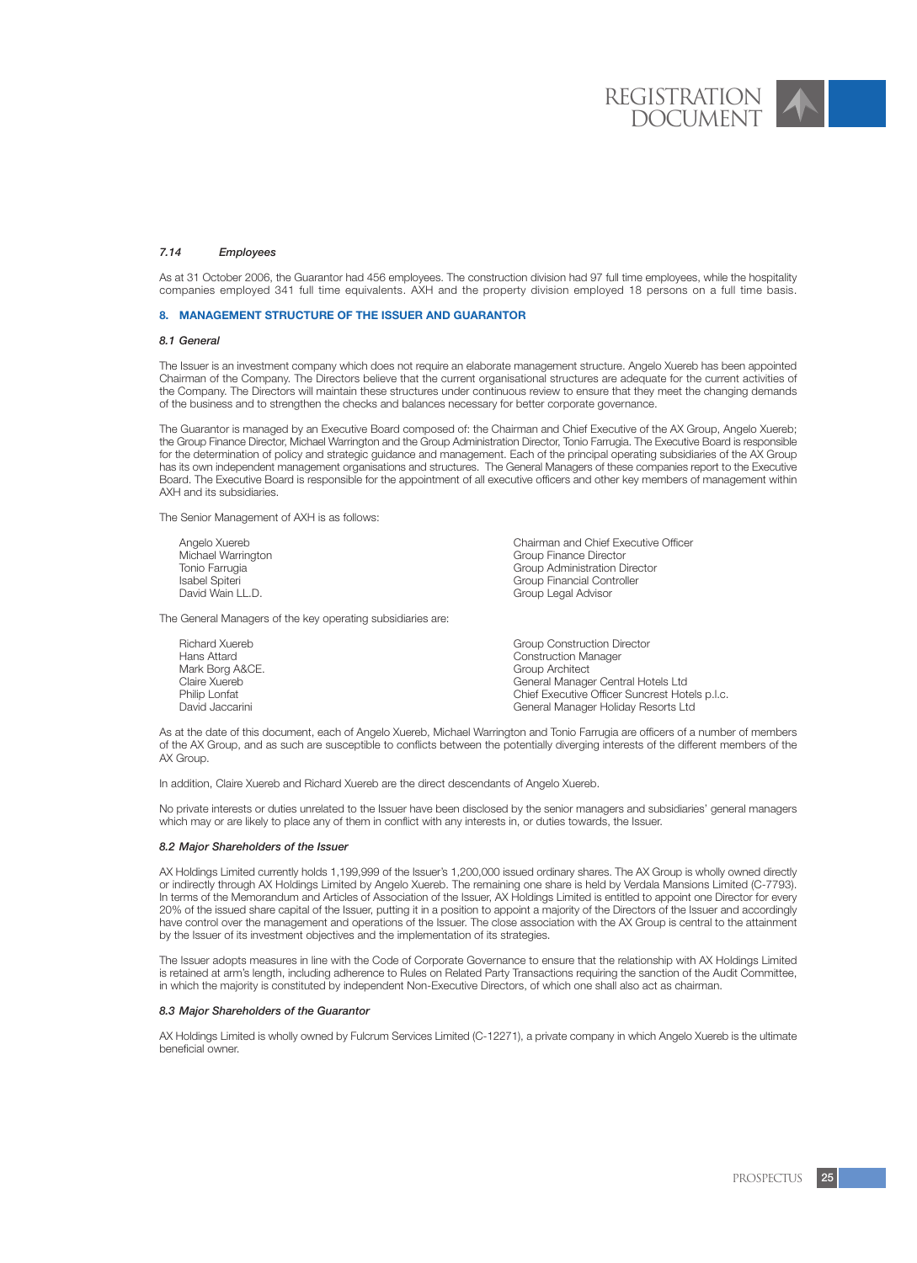### *7.14 Employees*

As at 31 October 2006, the Guarantor had 456 employees. The construction division had 97 full time employees, while the hospitality companies employed 341 full time equivalents. AXH and the property division employed 18 persons on a full time basis.

#### **8. MANAGEMENT STRUCTURE OF THE ISSUER AND GUARANTOR**

#### *8.1 General*

The Issuer is an investment company which does not require an elaborate management structure. Angelo Xuereb has been appointed Chairman of the Company. The Directors believe that the current organisational structures are adequate for the current activities of the Company. The Directors will maintain these structures under continuous review to ensure that they meet the changing demands of the business and to strengthen the checks and balances necessary for better corporate governance.

The Guarantor is managed by an Executive Board composed of: the Chairman and Chief Executive of the AX Group, Angelo Xuereb; the Group Finance Director, Michael Warrington and the Group Administration Director, Tonio Farrugia. The Executive Board is responsible for the determination of policy and strategic guidance and management. Each of the principal operating subsidiaries of the AX Group has its own independent management organisations and structures. The General Managers of these companies report to the Executive Board. The Executive Board is responsible for the appointment of all executive officers and other key members of management within AXH and its subsidiaries.

The Senior Management of AXH is as follows:

Angelo Xuereb Chairman and Chief Executive Officer Michael Warrington<br>Tonio Farrugia Tonio Farrugia Croup Administration Director<br>
Isabel Spiteri<br>
Group Financial Controller Isabel Spiteri Group Financial Controller<br>
David Wain I I D. Computering Controller Group Legal Advisor

The General Managers of the key operating subsidiaries are:

Richard Xuereb Group Construction Director Construction Manager<br>Group Architect Mark Borg A&CE.<br>Claire Xuereb Claire Xuereb General Manager Central Hotels Ltd Philip Lonfat<br>
Philip Lonfat<br>
Chief Executive Officer Suncrest Hotels p.l.c.<br>
Ceneral Manager Holiday Besorts Ltd General Manager Holiday Resorts Ltd

As at the date of this document, each of Angelo Xuereb, Michael Warrington and Tonio Farrugia are officers of a number of members of the AX Group, and as such are susceptible to conflicts between the potentially diverging interests of the different members of the AX Group.

In addition, Claire Xuereb and Richard Xuereb are the direct descendants of Angelo Xuereb.

No private interests or duties unrelated to the Issuer have been disclosed by the senior managers and subsidiaries' general managers which may or are likely to place any of them in conflict with any interests in, or duties towards, the Issuer.

#### *8.2 Major Shareholders of the Issuer*

AX Holdings Limited currently holds 1,199,999 of the Issuer's 1,200,000 issued ordinary shares. The AX Group is wholly owned directly or indirectly through AX Holdings Limited by Angelo Xuereb. The remaining one share is held by Verdala Mansions Limited (C-7793). In terms of the Memorandum and Articles of Association of the Issuer, AX Holdings Limited is entitled to appoint one Director for every 20% of the issued share capital of the Issuer, putting it in a position to appoint a majority of the Directors of the Issuer and accordingly have control over the management and operations of the Issuer. The close association with the AX Group is central to the attainment by the Issuer of its investment objectives and the implementation of its strategies.

The Issuer adopts measures in line with the Code of Corporate Governance to ensure that the relationship with AX Holdings Limited is retained at arm's length, including adherence to Rules on Related Party Transactions requiring the sanction of the Audit Committee, in which the majority is constituted by independent Non-Executive Directors, of which one shall also act as chairman.

#### *8.3 Major Shareholders of the Guarantor*

AX Holdings Limited is wholly owned by Fulcrum Services Limited (C-12271), a private company in which Angelo Xuereb is the ultimate beneficial owner.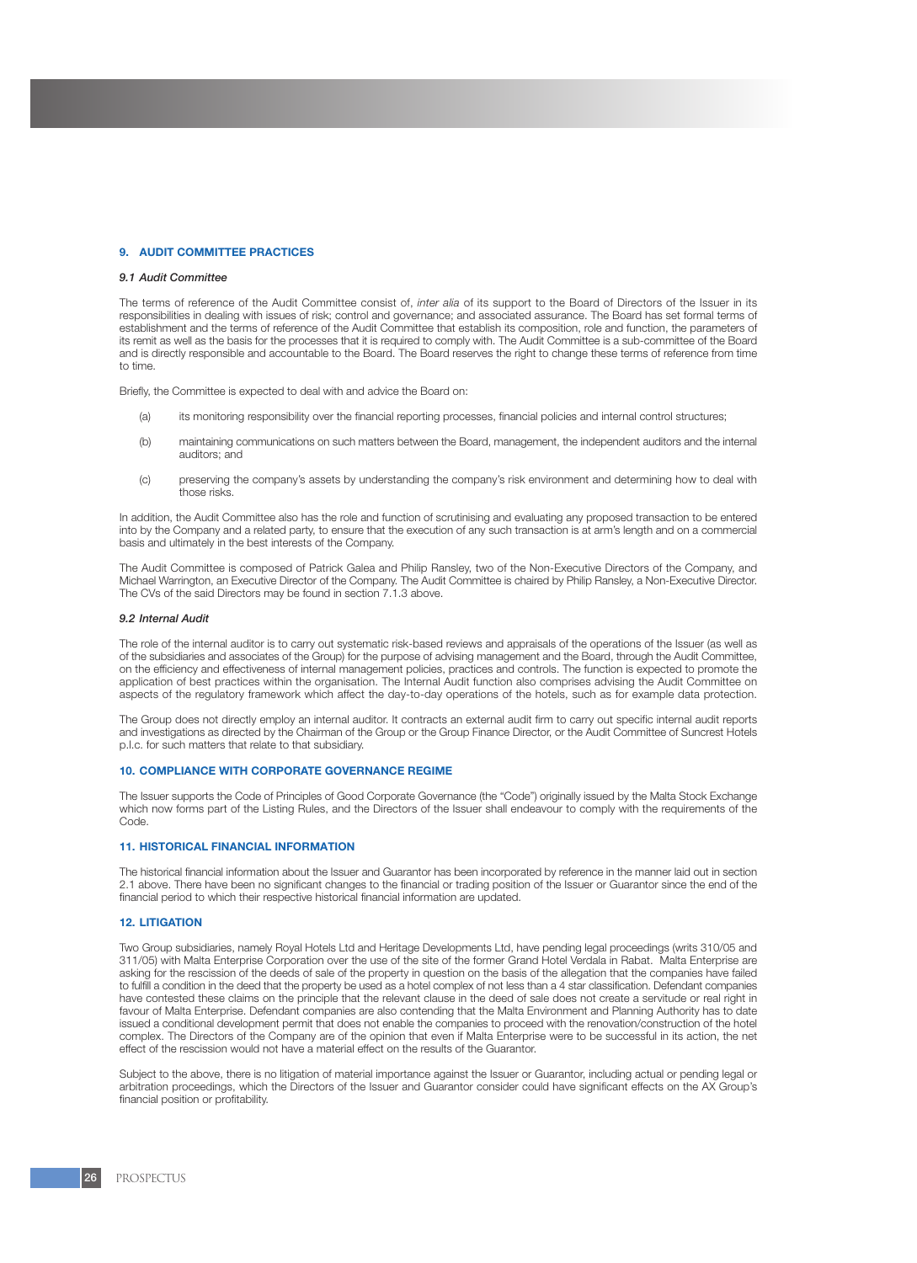## **9. AUDIT COMMITTEE PRACTICES**

# *9.1 Audit Committee*

The terms of reference of the Audit Committee consist of, *inter alia* of its support to the Board of Directors of the Issuer in its responsibilities in dealing with issues of risk; control and governance; and associated assurance. The Board has set formal terms of establishment and the terms of reference of the Audit Committee that establish its composition, role and function, the parameters of its remit as well as the basis for the processes that it is required to comply with. The Audit Committee is a sub-committee of the Board and is directly responsible and accountable to the Board. The Board reserves the right to change these terms of reference from time to time.

Briefly, the Committee is expected to deal with and advice the Board on:

- (a) its monitoring responsibility over the financial reporting processes, financial policies and internal control structures;
- (b) maintaining communications on such matters between the Board, management, the independent auditors and the internal auditors; and
- (c) preserving the company's assets by understanding the company's risk environment and determining how to deal with those risks.

In addition, the Audit Committee also has the role and function of scrutinising and evaluating any proposed transaction to be entered into by the Company and a related party, to ensure that the execution of any such transaction is at arm's length and on a commercial basis and ultimately in the best interests of the Company.

The Audit Committee is composed of Patrick Galea and Philip Ransley, two of the Non-Executive Directors of the Company, and Michael Warrington, an Executive Director of the Company. The Audit Committee is chaired by Philip Ransley, a Non-Executive Director. The CVs of the said Directors may be found in section 7.1.3 above.

#### *9.2 Internal Audit*

The role of the internal auditor is to carry out systematic risk-based reviews and appraisals of the operations of the Issuer (as well as of the subsidiaries and associates of the Group) for the purpose of advising management and the Board, through the Audit Committee, on the efficiency and effectiveness of internal management policies, practices and controls. The function is expected to promote the application of best practices within the organisation. The Internal Audit function also comprises advising the Audit Committee on aspects of the regulatory framework which affect the day-to-day operations of the hotels, such as for example data protection.

The Group does not directly employ an internal auditor. It contracts an external audit firm to carry out specific internal audit reports and investigations as directed by the Chairman of the Group or the Group Finance Director, or the Audit Committee of Suncrest Hotels p.l.c. for such matters that relate to that subsidiary.

#### **10. COMPLIANCE WITH CORPORATE GOVERNANCE REGIME**

The Issuer supports the Code of Principles of Good Corporate Governance (the "Code") originally issued by the Malta Stock Exchange which now forms part of the Listing Rules, and the Directors of the Issuer shall endeavour to comply with the requirements of the Code.

# **11. HISTORICAL FINANCIAL INFORMATION**

The historical financial information about the Issuer and Guarantor has been incorporated by reference in the manner laid out in section 2.1 above. There have been no significant changes to the financial or trading position of the Issuer or Guarantor since the end of the financial period to which their respective historical financial information are updated.

#### **12. LITIGATION**

Two Group subsidiaries, namely Royal Hotels Ltd and Heritage Developments Ltd, have pending legal proceedings (writs 310/05 and 311/05) with Malta Enterprise Corporation over the use of the site of the former Grand Hotel Verdala in Rabat. Malta Enterprise are asking for the rescission of the deeds of sale of the property in question on the basis of the allegation that the companies have failed to fulfill a condition in the deed that the property be used as a hotel complex of not less than a 4 star classification. Defendant companies have contested these claims on the principle that the relevant clause in the deed of sale does not create a servitude or real right in favour of Malta Enterprise. Defendant companies are also contending that the Malta Environment and Planning Authority has to date issued a conditional development permit that does not enable the companies to proceed with the renovation/construction of the hotel complex. The Directors of the Company are of the opinion that even if Malta Enterprise were to be successful in its action, the net effect of the rescission would not have a material effect on the results of the Guarantor.

Subject to the above, there is no litigation of material importance against the Issuer or Guarantor, including actual or pending legal or arbitration proceedings, which the Directors of the Issuer and Guarantor consider could have significant effects on the AX Group's financial position or profitability.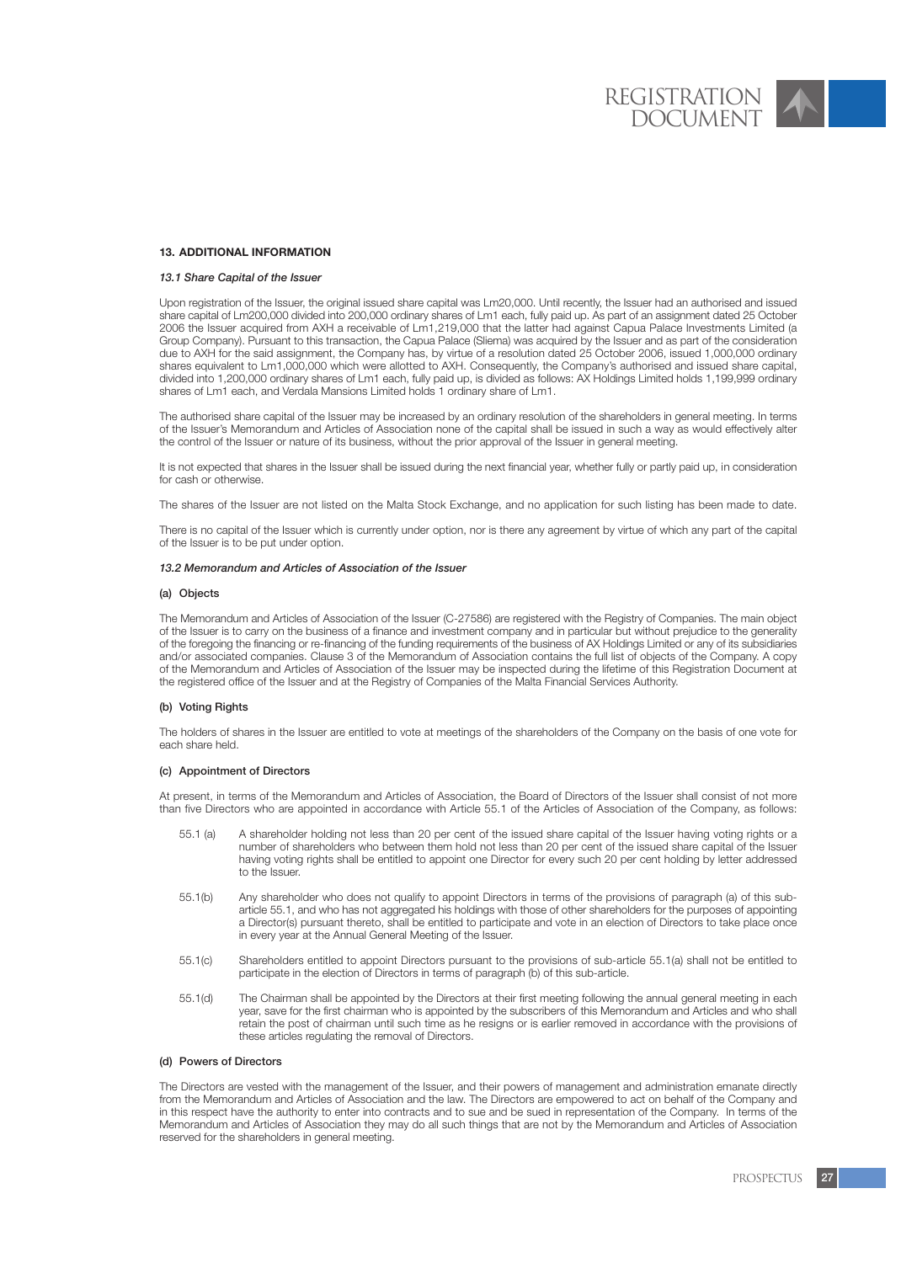#### **13. ADDITIONAL INFORMATION**

### *13.1 Share Capital of the Issuer*

Upon registration of the Issuer, the original issued share capital was Lm20,000. Until recently, the Issuer had an authorised and issued share capital of Lm200,000 divided into 200,000 ordinary shares of Lm1 each, fully paid up. As part of an assignment dated 25 October 2006 the Issuer acquired from AXH a receivable of Lm1,219,000 that the latter had against Capua Palace Investments Limited (a Group Company). Pursuant to this transaction, the Capua Palace (Sliema) was acquired by the Issuer and as part of the consideration due to AXH for the said assignment, the Company has, by virtue of a resolution dated 25 October 2006, issued 1,000,000 ordinary shares equivalent to Lm1,000,000 which were allotted to AXH. Consequently, the Company's authorised and issued share capital, divided into 1,200,000 ordinary shares of Lm1 each, fully paid up, is divided as follows: AX Holdings Limited holds 1,199,999 ordinary shares of Lm1 each, and Verdala Mansions Limited holds 1 ordinary share of Lm1.

The authorised share capital of the Issuer may be increased by an ordinary resolution of the shareholders in general meeting. In terms of the Issuer's Memorandum and Articles of Association none of the capital shall be issued in such a way as would effectively alter the control of the Issuer or nature of its business, without the prior approval of the Issuer in general meeting.

It is not expected that shares in the Issuer shall be issued during the next financial year, whether fully or partly paid up, in consideration for cash or otherwise.

The shares of the Issuer are not listed on the Malta Stock Exchange, and no application for such listing has been made to date.

There is no capital of the Issuer which is currently under option, nor is there any agreement by virtue of which any part of the capital of the Issuer is to be put under option.

#### *13.2 Memorandum and Articles of Association of the Issuer*

#### (a) Objects

The Memorandum and Articles of Association of the Issuer (C-27586) are registered with the Registry of Companies. The main object of the Issuer is to carry on the business of a finance and investment company and in particular but without prejudice to the generality of the foregoing the financing or re-financing of the funding requirements of the business of AX Holdings Limited or any of its subsidiaries and/or associated companies. Clause 3 of the Memorandum of Association contains the full list of objects of the Company. A copy of the Memorandum and Articles of Association of the Issuer may be inspected during the lifetime of this Registration Document at the registered office of the Issuer and at the Registry of Companies of the Malta Financial Services Authority.

#### (b) Voting Rights

The holders of shares in the Issuer are entitled to vote at meetings of the shareholders of the Company on the basis of one vote for each share held.

#### (c) Appointment of Directors

At present, in terms of the Memorandum and Articles of Association, the Board of Directors of the Issuer shall consist of not more than five Directors who are appointed in accordance with Article 55.1 of the Articles of Association of the Company, as follows:

- 55.1 (a) A shareholder holding not less than 20 per cent of the issued share capital of the Issuer having voting rights or a number of shareholders who between them hold not less than 20 per cent of the issued share capital of the Issuer having voting rights shall be entitled to appoint one Director for every such 20 per cent holding by letter addressed to the Issuer.
- 55.1(b) Any shareholder who does not qualify to appoint Directors in terms of the provisions of paragraph (a) of this subarticle 55.1, and who has not aggregated his holdings with those of other shareholders for the purposes of appointing a Director(s) pursuant thereto, shall be entitled to participate and vote in an election of Directors to take place once in every year at the Annual General Meeting of the Issuer.
- 55.1(c) Shareholders entitled to appoint Directors pursuant to the provisions of sub-article 55.1(a) shall not be entitled to participate in the election of Directors in terms of paragraph (b) of this sub-article.
- 55.1(d) The Chairman shall be appointed by the Directors at their first meeting following the annual general meeting in each year, save for the first chairman who is appointed by the subscribers of this Memorandum and Articles and who shall retain the post of chairman until such time as he resigns or is earlier removed in accordance with the provisions of these articles regulating the removal of Directors.

### (d) Powers of Directors

The Directors are vested with the management of the Issuer, and their powers of management and administration emanate directly from the Memorandum and Articles of Association and the law. The Directors are empowered to act on behalf of the Company and in this respect have the authority to enter into contracts and to sue and be sued in representation of the Company. In terms of the Memorandum and Articles of Association they may do all such things that are not by the Memorandum and Articles of Association reserved for the shareholders in general meeting.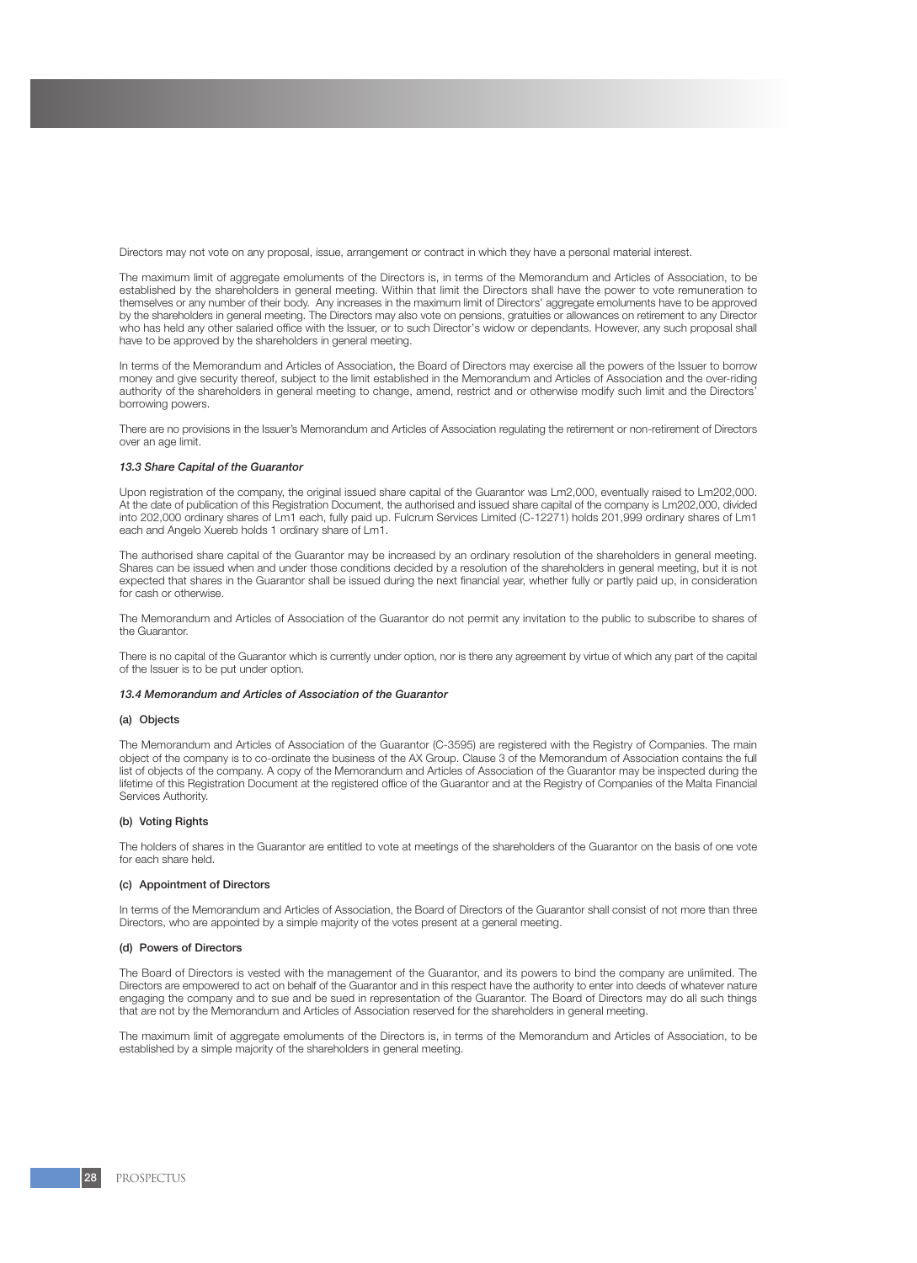Directors may not vote on any proposal, issue, arrangement or contract in which they have a personal material interest.

The maximum limit of aggregate emoluments of the Directors is, in terms of the Memorandum and Articles of Association, to be established by the shareholders in general meeting. Within that limit the Directors shall have the power to vote remuneration to themselves or any number of their body. Any increases in the maximum limit of Directors' aggregate emoluments have to be approved by the shareholders in general meeting. The Directors may also vote on pensions, gratuities or allowances on retirement to any Director who has held any other salaried office with the Issuer, or to such Director's widow or dependants. However, any such proposal shall have to be approved by the shareholders in general meeting.

In terms of the Memorandum and Articles of Association, the Board of Directors may exercise all the powers of the Issuer to borrow money and give security thereof, subject to the limit established in the Memorandum and Articles of Association and the over-riding authority of the shareholders in general meeting to change, amend, restrict and or otherwise modify such limit and the Directors' borrowing powers.

There are no provisions in the Issuer's Memorandum and Articles of Association regulating the retirement or non-retirement of Directors over an age limit.

#### *13.3 Share Capital of the Guarantor*

Upon registration of the company, the original issued share capital of the Guarantor was Lm2,000, eventually raised to Lm202,000. At the date of publication of this Registration Document, the authorised and issued share capital of the company is Lm202,000, divided into 202,000 ordinary shares of Lm1 each, fully paid up. Fulcrum Services Limited (C-12271) holds 201,999 ordinary shares of Lm1 each and Angelo Xuereb holds 1 ordinary share of Lm1.

The authorised share capital of the Guarantor may be increased by an ordinary resolution of the shareholders in general meeting. Shares can be issued when and under those conditions decided by a resolution of the shareholders in general meeting, but it is not expected that shares in the Guarantor shall be issued during the next financial year, whether fully or partly paid up, in consideration for cash or otherwise.

The Memorandum and Articles of Association of the Guarantor do not permit any invitation to the public to subscribe to shares of the Guarantor.

There is no capital of the Guarantor which is currently under option, nor is there any agreement by virtue of which any part of the capital of the Issuer is to be put under option.

#### *13.4 Memorandum and Articles of Association of the Guarantor*

#### (a) Objects

The Memorandum and Articles of Association of the Guarantor (C-3595) are registered with the Registry of Companies. The main object of the company is to co-ordinate the business of the AX Group. Clause 3 of the Memorandum of Association contains the full list of objects of the company. A copy of the Memorandum and Articles of Association of the Guarantor may be inspected during the lifetime of this Registration Document at the registered office of the Guarantor and at the Registry of Companies of the Malta Financial Services Authority.

#### (b) Voting Rights

The holders of shares in the Guarantor are entitled to vote at meetings of the shareholders of the Guarantor on the basis of one vote for each share held.

#### (c) Appointment of Directors

In terms of the Memorandum and Articles of Association, the Board of Directors of the Guarantor shall consist of not more than three Directors, who are appointed by a simple majority of the votes present at a general meeting.

#### (d) Powers of Directors

The Board of Directors is vested with the management of the Guarantor, and its powers to bind the company are unlimited. The Directors are empowered to act on behalf of the Guarantor and in this respect have the authority to enter into deeds of whatever nature engaging the company and to sue and be sued in representation of the Guarantor. The Board of Directors may do all such things that are not by the Memorandum and Articles of Association reserved for the shareholders in general meeting.

The maximum limit of aggregate emoluments of the Directors is, in terms of the Memorandum and Articles of Association, to be established by a simple majority of the shareholders in general meeting.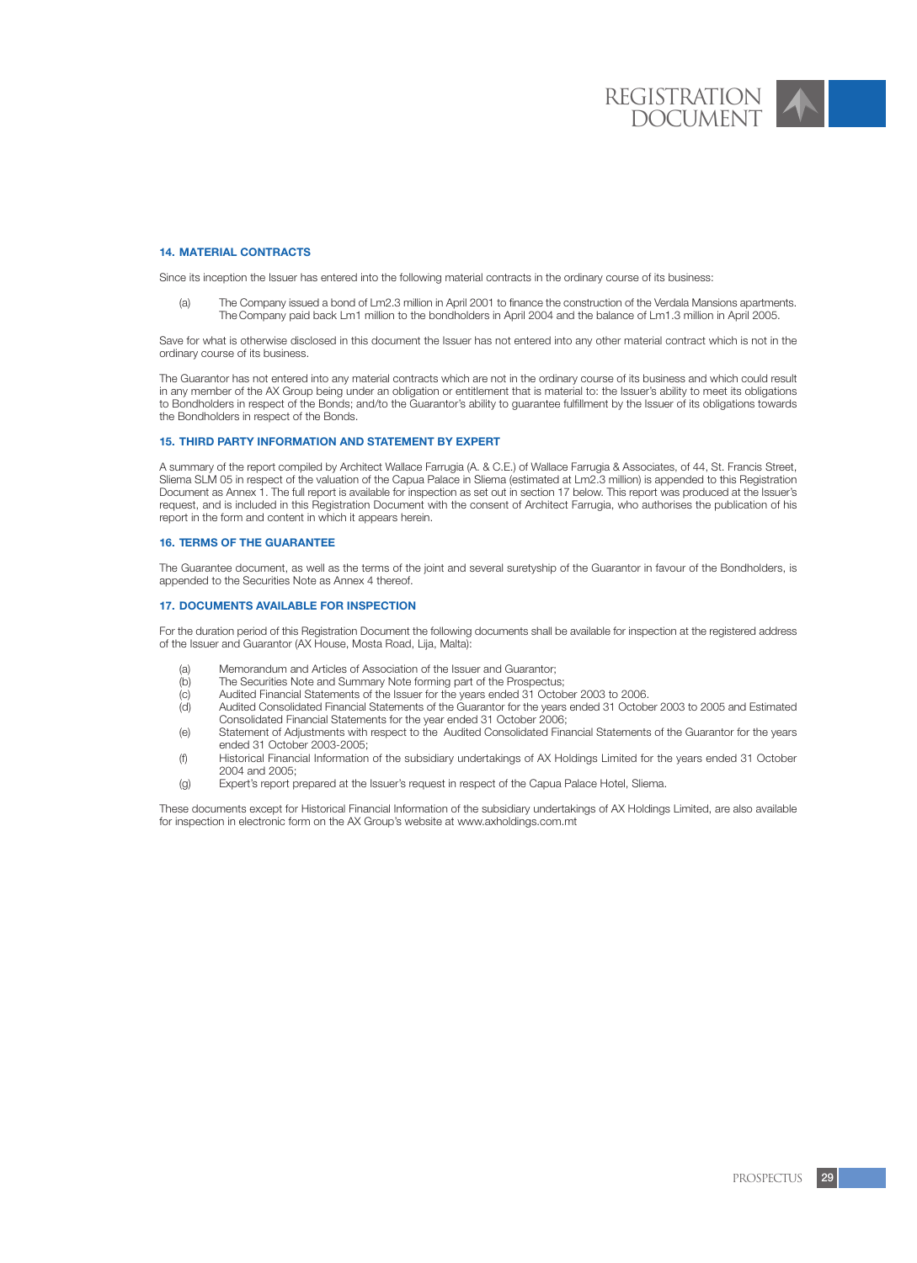## **14. MATERIAL CONTRACTS**

Since its inception the Issuer has entered into the following material contracts in the ordinary course of its business:

(a) The Company issued a bond of Lm2.3 million in April 2001 to finance the construction of the Verdala Mansions apartments. The Company paid back Lm1 million to the bondholders in April 2004 and the balance of Lm1.3 million in April 2005.

Save for what is otherwise disclosed in this document the Issuer has not entered into any other material contract which is not in the ordinary course of its business.

The Guarantor has not entered into any material contracts which are not in the ordinary course of its business and which could result in any member of the AX Group being under an obligation or entitlement that is material to: the Issuer's ability to meet its obligations to Bondholders in respect of the Bonds; and/to the Guarantor's ability to guarantee fulfillment by the Issuer of its obligations towards the Bondholders in respect of the Bonds.

#### **15. THIRD PARTY INFORMATION AND STATEMENT BY EXPERT**

A summary of the report compiled by Architect Wallace Farrugia (A. & C.E.) of Wallace Farrugia & Associates, of 44, St. Francis Street, Sliema SLM 05 in respect of the valuation of the Capua Palace in Sliema (estimated at Lm2.3 million) is appended to this Registration Document as Annex 1. The full report is available for inspection as set out in section 17 below. This report was produced at the Issuer's request, and is included in this Registration Document with the consent of Architect Farrugia, who authorises the publication of his report in the form and content in which it appears herein.

#### **16. TERMS OF THE GUARANTEE**

The Guarantee document, as well as the terms of the joint and several suretyship of the Guarantor in favour of the Bondholders, is appended to the Securities Note as Annex 4 thereof.

#### **17. DOCUMENTS AVAILABLE FOR INSPECTION**

For the duration period of this Registration Document the following documents shall be available for inspection at the registered address of the Issuer and Guarantor (AX House, Mosta Road, Lija, Malta):

- (a) Memorandum and Articles of Association of the Issuer and Guarantor;<br>(b) The Securities Note and Summary Note forming part of the Prospectus
- (b) The Securities Note and Summary Note forming part of the Prospectus;<br>(c) Audited Financial Statements of the Issuer for the years ended 31 Octob
- (c) Audited Financial Statements of the Issuer for the years ended 31 October 2003 to 2006.
- Audited Consolidated Financial Statements of the Guarantor for the years ended 31 October 2003 to 2005 and Estimated Consolidated Financial Statements for the year ended 31 October 2006;
- (e) Statement of Adjustments with respect to the Audited Consolidated Financial Statements of the Guarantor for the years ended 31 October 2003-2005;
- (f) Historical Financial Information of the subsidiary undertakings of AX Holdings Limited for the years ended 31 October 2004 and 2005;
- (g) Expert's report prepared at the Issuer's request in respect of the Capua Palace Hotel, Sliema.

These documents except for Historical Financial Information of the subsidiary undertakings of AX Holdings Limited, are also available for inspection in electronic form on the AX Group's website at www.axholdings.com.mt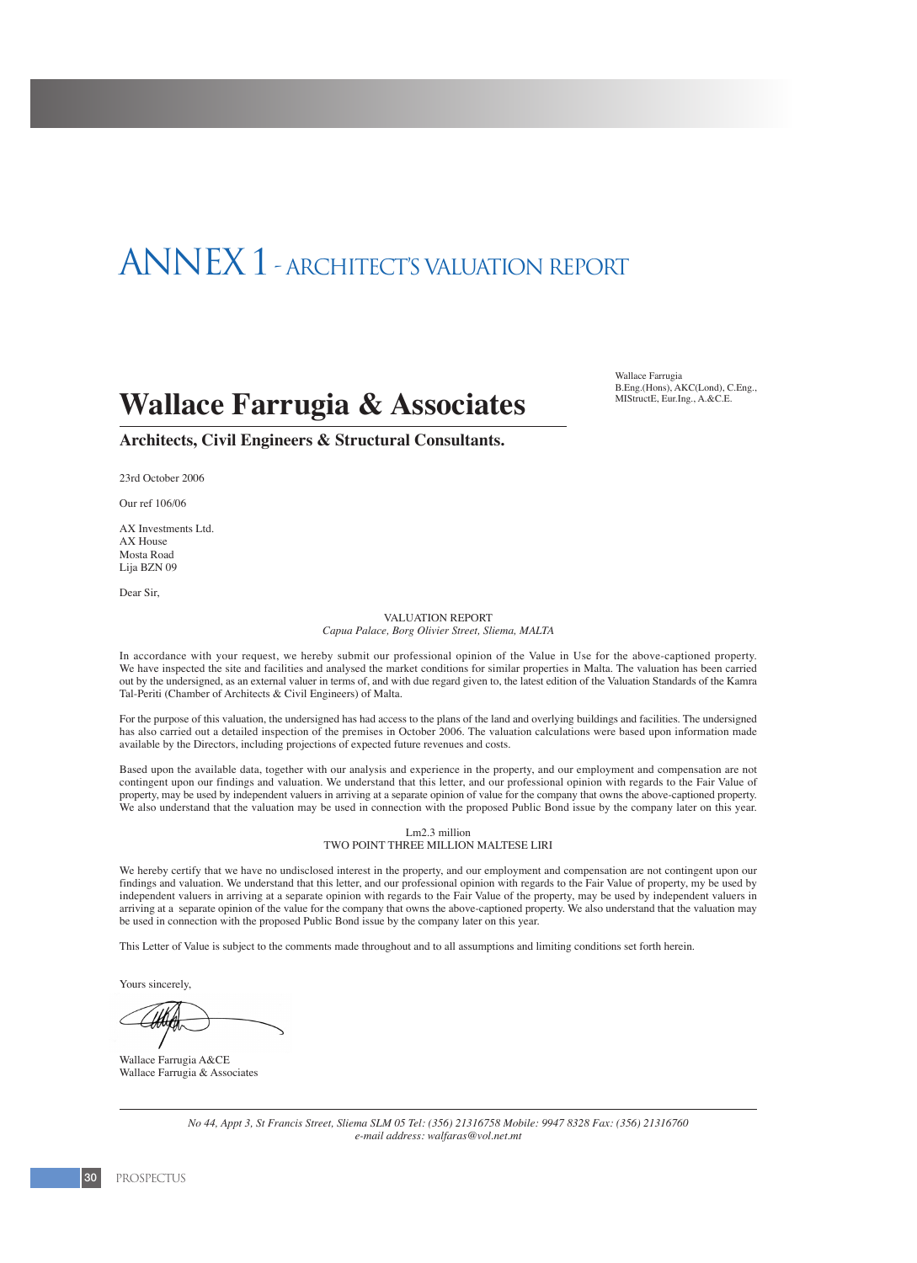# ANNEX 1 - ARCHITECT'S VALUATION REPORT

# **Wallace Farrugia & Associates**

Wallace Farmoia B.Eng.(Hons), AKC(Lond), C.Eng., MIStructE, Eur.Ing., A.&C.E.

**Architects, Civil Engineers & Structural Consultants.**

23rd October 2006

Our ref 106/06

AX Investments Ltd. AX House Mosta Road Lija BZN 09

Dear Sir,

#### VALUATION REPORT *Capua Palace, Borg Olivier Street, Sliema, MALTA*

In accordance with your request, we hereby submit our professional opinion of the Value in Use for the above-captioned property. We have inspected the site and facilities and analysed the market conditions for similar properties in Malta. The valuation has been carried out by the undersigned, as an external valuer in terms of, and with due regard given to, the latest edition of the Valuation Standards of the Kamra Tal-Periti (Chamber of Architects & Civil Engineers) of Malta.

For the purpose of this valuation, the undersigned has had access to the plans of the land and overlying buildings and facilities. The undersigned has also carried out a detailed inspection of the premises in October 2006. The valuation calculations were based upon information made available by the Directors, including projections of expected future revenues and costs.

Based upon the available data, together with our analysis and experience in the property, and our employment and compensation are not contingent upon our findings and valuation. We understand that this letter, and our professional opinion with regards to the Fair Value of property, may be used by independent valuers in arriving at a separate opinion of value for the company that owns the above-captioned property. We also understand that the valuation may be used in connection with the proposed Public Bond issue by the company later on this year.

#### Lm2.3 million TWO POINT THREE MILLION MALTESE LIRI

We hereby certify that we have no undisclosed interest in the property, and our employment and compensation are not contingent upon our findings and valuation. We understand that this letter, and our professional opinion with regards to the Fair Value of property, my be used by independent valuers in arriving at a separate opinion with regards to the Fair Value of the property, may be used by independent valuers in arriving at a separate opinion of the value for the company that owns the above-captioned property. We also understand that the valuation may be used in connection with the proposed Public Bond issue by the company later on this year.

This Letter of Value is subject to the comments made throughout and to all assumptions and limiting conditions set forth herein.

Yours sincerely,

Wallace Farrugia A&CE Wallace Farrugia & Associates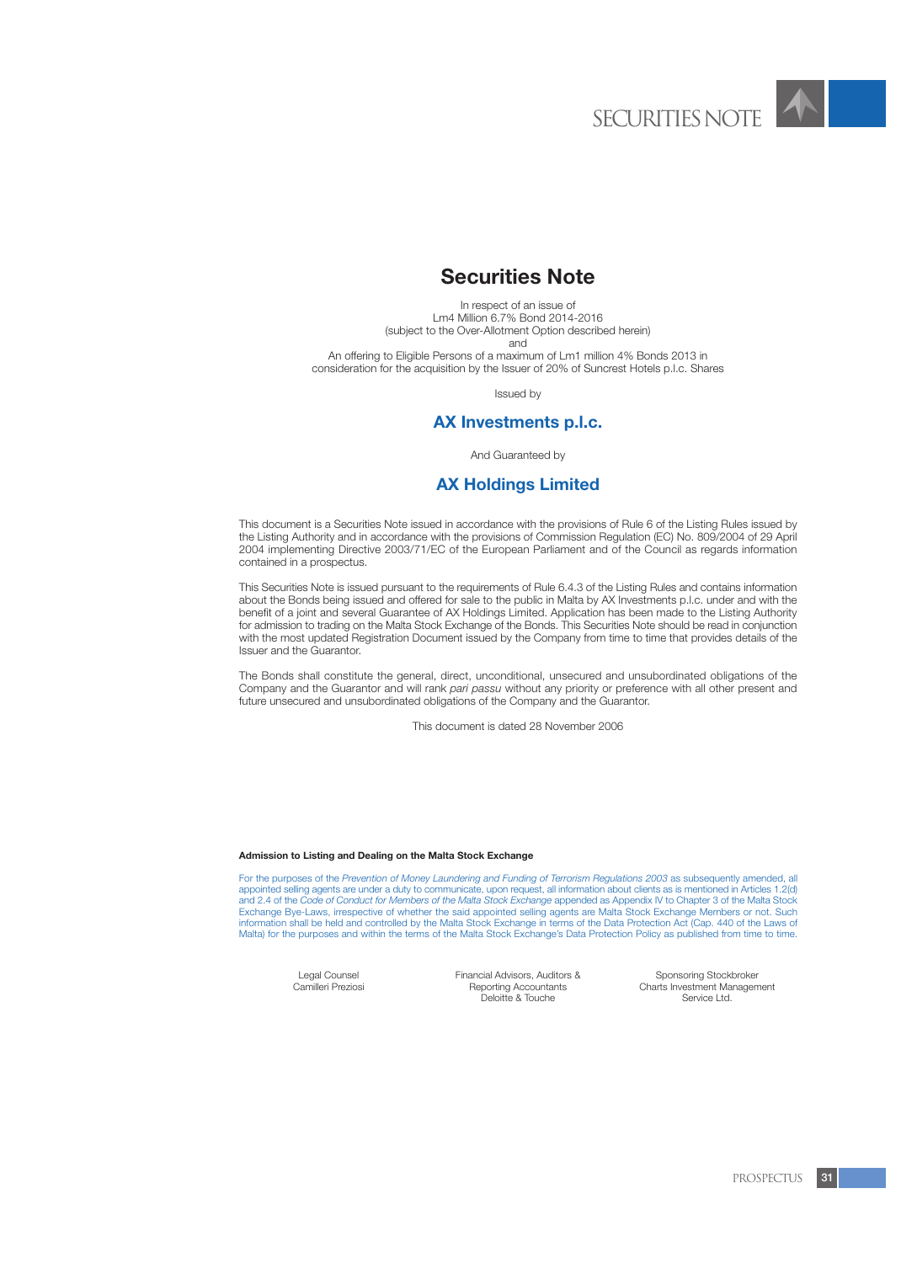

# **Securities Note**

In respect of an issue of Lm4 Million 6.7% Bond 2014-2016 (subject to the Over-Allotment Option described herein) and

An offering to Eligible Persons of a maximum of Lm1 million 4% Bonds 2013 in consideration for the acquisition by the Issuer of 20% of Suncrest Hotels p.l.c. Shares

Issued by

# **AX Investments p.l.c.**

And Guaranteed by

# **AX Holdings Limited**

This document is a Securities Note issued in accordance with the provisions of Rule 6 of the Listing Rules issued by the Listing Authority and in accordance with the provisions of Commission Regulation (EC) No. 809/2004 of 29 April 2004 implementing Directive 2003/71/EC of the European Parliament and of the Council as regards information contained in a prospectus.

This Securities Note is issued pursuant to the requirements of Rule 6.4.3 of the Listing Rules and contains information about the Bonds being issued and offered for sale to the public in Malta by AX Investments p.l.c. under and with the benefit of a joint and several Guarantee of AX Holdings Limited. Application has been made to the Listing Authority for admission to trading on the Malta Stock Exchange of the Bonds. This Securities Note should be read in conjunction with the most updated Registration Document issued by the Company from time to time that provides details of the Issuer and the Guarantor.

The Bonds shall constitute the general, direct, unconditional, unsecured and unsubordinated obligations of the Company and the Guarantor and will rank *pari passu* without any priority or preference with all other present and future unsecured and unsubordinated obligations of the Company and the Guarantor.

This document is dated 28 November 2006

#### **Admission to Listing and Dealing on the Malta Stock Exchange**

For the purposes of the *Prevention of Money Laundering and Funding of Terrorism Regulations 2003* as subsequently amended, all appointed selling agents are under a duty to communicate, upon request, all information about clients as is mentioned in Articles 1.2(d) and 2.4 of the *Code of Conduct for Members of the Malta Stock Exchange* appended as Appendix IV to Chapter 3 of the Malta Stock Exchange Bye-Laws, irrespective of whether the said appointed selling agents are Malta Stock Exchange Members or not. Such information shall be held and controlled by the Malta Stock Exchange in terms of the Data Protection Act (Cap. 440 of the Laws of Malta) for the purposes and within the terms of the Malta Stock Exchange's Data Protection Policy as published from time to time.

Legal Counsel Camilleri Preziosi Financial Advisors, Auditors & Reporting Accountants Deloitte & Touche

Sponsoring Stockbroker Charts Investment Management Service Ltd.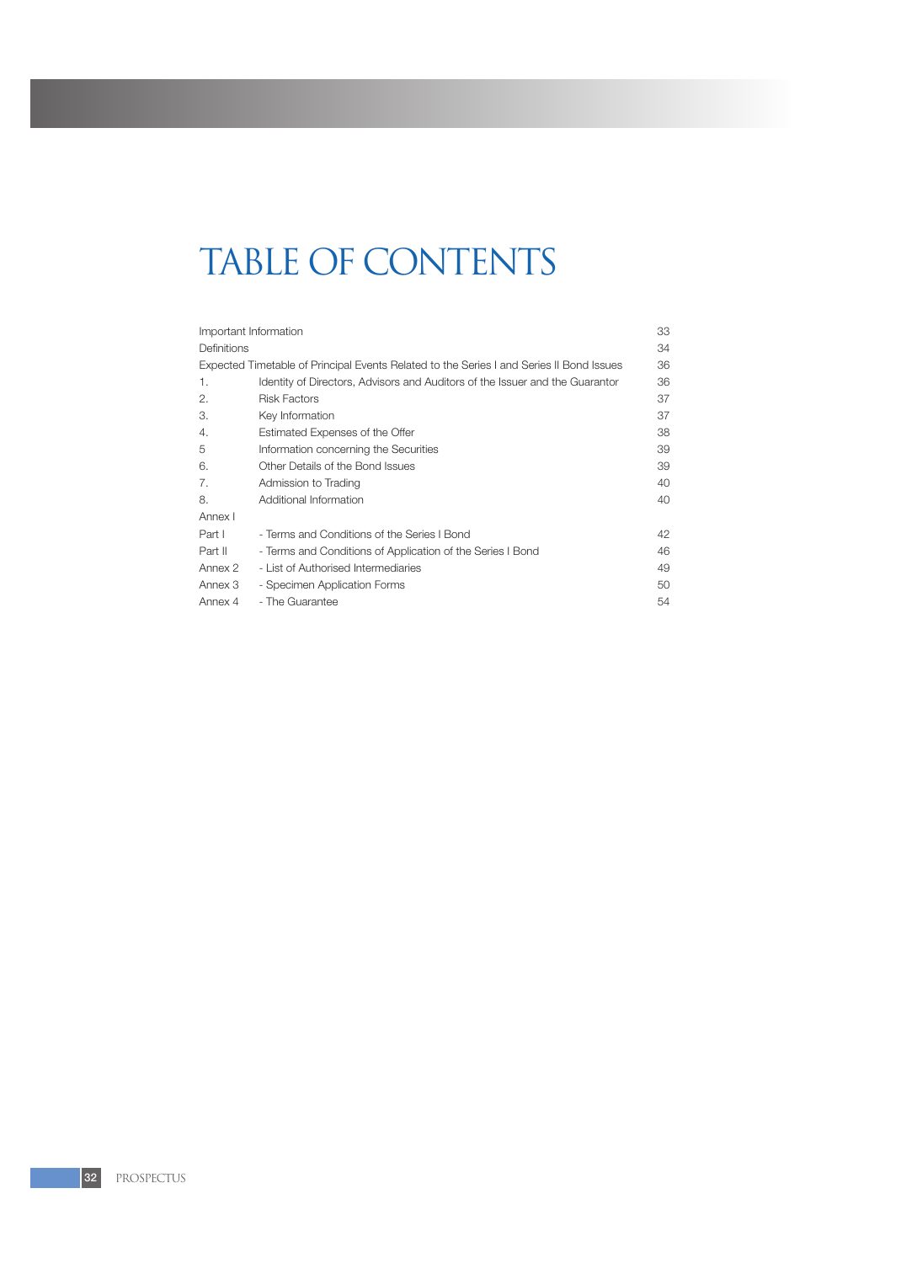# TABLE OF CONTENTS

| Important Information |                                                                                          | 33 |
|-----------------------|------------------------------------------------------------------------------------------|----|
| <b>Definitions</b>    |                                                                                          | 34 |
|                       | Expected Timetable of Principal Events Related to the Series I and Series II Bond Issues | 36 |
| 1.                    | Identity of Directors, Advisors and Auditors of the Issuer and the Guarantor             | 36 |
| 2.                    | <b>Risk Factors</b>                                                                      | 37 |
| 3.                    | Key Information                                                                          | 37 |
| 4.                    | Estimated Expenses of the Offer                                                          | 38 |
| 5                     | Information concerning the Securities                                                    | 39 |
| 6.                    | Other Details of the Bond Issues                                                         | 39 |
| 7.                    | Admission to Trading                                                                     | 40 |
| 8.                    | Additional Information                                                                   | 40 |
| Annex I               |                                                                                          |    |
| Part I                | - Terms and Conditions of the Series I Bond                                              | 42 |
| Part II               | - Terms and Conditions of Application of the Series I Bond                               | 46 |
| Annex 2               | - List of Authorised Intermediaries                                                      | 49 |
| Annex 3               | - Specimen Application Forms                                                             | 50 |
| Annex 4               | - The Guarantee                                                                          | 54 |
|                       |                                                                                          |    |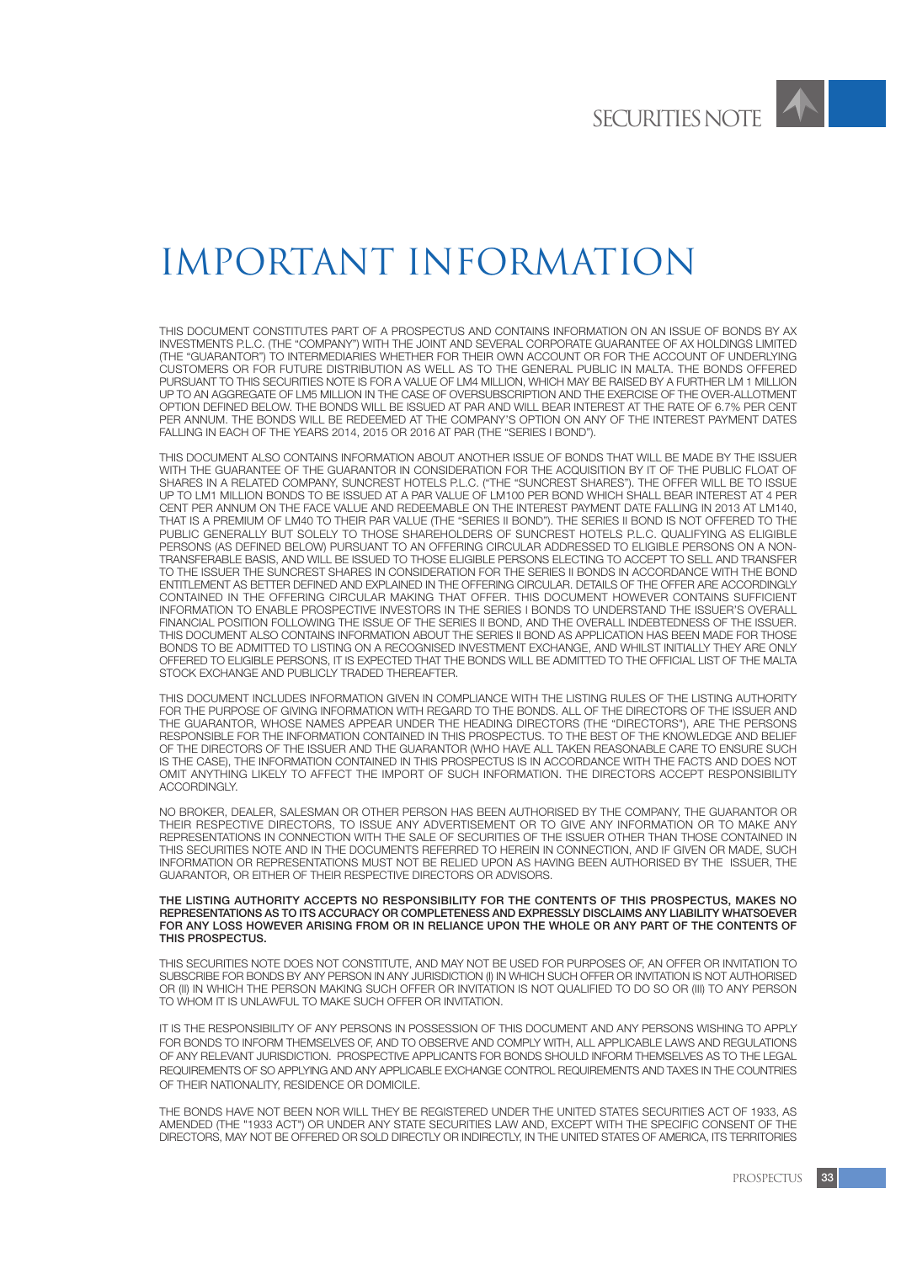

# IMPORTANT INFORMATION

THIS DOCUMENT CONSTITUTES PART OF A PROSPECTUS AND CONTAINS INFORMATION ON AN ISSUE OF BONDS BY AX INVESTMENTS P.L.C. (THE "COMPANY") WITH THE JOINT AND SEVERAL CORPORATE GUARANTEE OF AX HOLDINGS LIMITED (THE "GUARANTOR") TO INTERMEDIARIES WHETHER FOR THEIR OWN ACCOUNT OR FOR THE ACCOUNT OF UNDERLYING CUSTOMERS OR FOR FUTURE DISTRIBUTION AS WELL AS TO THE GENERAL PUBLIC IN MALTA. THE BONDS OFFERED PURSUANT TO THIS SECURITIES NOTE IS FOR A VALUE OF LM4 MILLION, WHICH MAY BE RAISED BY A FURTHER LM 1 MILLION UP TO AN AGGREGATE OF LM5 MILLION IN THE CASE OF OVERSUBSCRIPTION AND THE EXERCISE OF THE OVER-ALLOTMENT OPTION DEFINED BELOW. THE BONDS WILL BE ISSUED AT PAR AND WILL BEAR INTEREST AT THE RATE OF 6.7% PER CENT PER ANNUM. THE BONDS WILL BE REDEEMED AT THE COMPANY'S OPTION ON ANY OF THE INTEREST PAYMENT DATES FALLING IN EACH OF THE YEARS 2014, 2015 OR 2016 AT PAR (THE "SERIES I BOND").

THIS DOCUMENT ALSO CONTAINS INFORMATION ABOUT ANOTHER ISSUE OF BONDS THAT WILL BE MADE BY THE ISSUER WITH THE GUARANTEE OF THE GUARANTOR IN CONSIDERATION FOR THE ACQUISITION BY IT OF THE PUBLIC FLOAT OF SHARES IN A RELATED COMPANY, SUNCREST HOTELS P.L.C. ("THE "SUNCREST SHARES"). THE OFFER WILL BE TO ISSUE UP TO LM1 MILLION BONDS TO BE ISSUED AT A PAR VALUE OF LM100 PER BOND WHICH SHALL BEAR INTEREST AT 4 PER CENT PER ANNUM ON THE FACE VALUE AND REDEEMABLE ON THE INTEREST PAYMENT DATE FALLING IN 2013 AT LM140, THAT IS A PREMIUM OF LM40 TO THEIR PAR VALUE (THE "SERIES II BOND"). THE SERIES II BOND IS NOT OFFERED TO THE PUBLIC GENERALLY BUT SOLELY TO THOSE SHAREHOLDERS OF SUNCREST HOTELS P.L.C. QUALIFYING AS ELIGIBLE PERSONS (AS DEFINED BELOW) PURSUANT TO AN OFFERING CIRCULAR ADDRESSED TO ELIGIBLE PERSONS ON A NON-TRANSFERABLE BASIS, AND WILL BE ISSUED TO THOSE ELIGIBLE PERSONS ELECTING TO ACCEPT TO SELL AND TRANSFER TO THE ISSUER THE SUNCREST SHARES IN CONSIDERATION FOR THE SERIES II BONDS IN ACCORDANCE WITH THE BOND ENTITLEMENT AS BETTER DEFINED AND EXPLAINED IN THE OFFERING CIRCULAR. DETAILS OF THE OFFER ARE ACCORDINGLY CONTAINED IN THE OFFERING CIRCULAR MAKING THAT OFFER. THIS DOCUMENT HOWEVER CONTAINS SUFFICIENT INFORMATION TO ENABLE PROSPECTIVE INVESTORS IN THE SERIES I BONDS TO UNDERSTAND THE ISSUER'S OVERALL FINANCIAL POSITION FOLLOWING THE ISSUE OF THE SERIES II BOND, AND THE OVERALL INDEBTEDNESS OF THE ISSUER. THIS DOCUMENT ALSO CONTAINS INFORMATION ABOUT THE SERIES II BOND AS APPLICATION HAS BEEN MADE FOR THOSE BONDS TO BE ADMITTED TO LISTING ON A RECOGNISED INVESTMENT EXCHANGE, AND WHILST INITIALLY THEY ARE ONLY OFFERED TO ELIGIBLE PERSONS, IT IS EXPECTED THAT THE BONDS WILL BE ADMITTED TO THE OFFICIAL LIST OF THE MALTA STOCK EXCHANGE AND PUBLICLY TRADED THEREAFTER.

THIS DOCUMENT INCLUDES INFORMATION GIVEN IN COMPLIANCE WITH THE LISTING RULES OF THE LISTING AUTHORITY FOR THE PURPOSE OF GIVING INFORMATION WITH REGARD TO THE BONDS. ALL OF THE DIRECTORS OF THE ISSUER AND THE GUARANTOR, WHOSE NAMES APPEAR UNDER THE HEADING DIRECTORS (THE "DIRECTORS"), ARE THE PERSONS RESPONSIBLE FOR THE INFORMATION CONTAINED IN THIS PROSPECTUS. TO THE BEST OF THE KNOWLEDGE AND BELIEF OF THE DIRECTORS OF THE ISSUER AND THE GUARANTOR (WHO HAVE ALL TAKEN REASONABLE CARE TO ENSURE SUCH IS THE CASE), THE INFORMATION CONTAINED IN THIS PROSPECTUS IS IN ACCORDANCE WITH THE FACTS AND DOES NOT OMIT ANYTHING LIKELY TO AFFECT THE IMPORT OF SUCH INFORMATION. THE DIRECTORS ACCEPT RESPONSIBILITY ACCORDINGLY.

NO BROKER, DEALER, SALESMAN OR OTHER PERSON HAS BEEN AUTHORISED BY THE COMPANY, THE GUARANTOR OR THEIR RESPECTIVE DIRECTORS, TO ISSUE ANY ADVERTISEMENT OR TO GIVE ANY INFORMATION OR TO MAKE ANY REPRESENTATIONS IN CONNECTION WITH THE SALE OF SECURITIES OF THE ISSUER OTHER THAN THOSE CONTAINED IN THIS SECURITIES NOTE AND IN THE DOCUMENTS REFERRED TO HEREIN IN CONNECTION, AND IF GIVEN OR MADE, SUCH INFORMATION OR REPRESENTATIONS MUST NOT BE RELIED UPON AS HAVING BEEN AUTHORISED BY THE ISSUER, THE GUARANTOR, OR EITHER OF THEIR RESPECTIVE DIRECTORS OR ADVISORS.

THE LISTING AUTHORITY ACCEPTS NO RESPONSIBILITY FOR THE CONTENTS OF THIS PROSPECTUS, MAKES NO REPRESENTATIONS AS TO ITS ACCURACY OR COMPLETENESS AND EXPRESSLY DISCLAIMS ANY LIABILITY WHATSOEVER FOR ANY LOSS HOWEVER ARISING FROM OR IN RELIANCE UPON THE WHOLE OR ANY PART OF THE CONTENTS OF THIS PROSPECTUS.

THIS SECURITIES NOTE DOES NOT CONSTITUTE, AND MAY NOT BE USED FOR PURPOSES OF, AN OFFER OR INVITATION TO SUBSCRIBE FOR BONDS BY ANY PERSON IN ANY JURISDICTION (I) IN WHICH SUCH OFFER OR INVITATION IS NOT AUTHORISED OR (II) IN WHICH THE PERSON MAKING SUCH OFFER OR INVITATION IS NOT QUALIFIED TO DO SO OR (III) TO ANY PERSON TO WHOM IT IS UNLAWFUL TO MAKE SUCH OFFER OR INVITATION.

IT IS THE RESPONSIBILITY OF ANY PERSONS IN POSSESSION OF THIS DOCUMENT AND ANY PERSONS WISHING TO APPLY FOR BONDS TO INFORM THEMSELVES OF, AND TO OBSERVE AND COMPLY WITH, ALL APPLICABLE LAWS AND REGULATIONS OF ANY RELEVANT JURISDICTION. PROSPECTIVE APPLICANTS FOR BONDS SHOULD INFORM THEMSELVES AS TO THE LEGAL REQUIREMENTS OF SO APPLYING AND ANY APPLICABLE EXCHANGE CONTROL REQUIREMENTS AND TAXES IN THE COUNTRIES OF THEIR NATIONALITY, RESIDENCE OR DOMICILE.

THE BONDS HAVE NOT BEEN NOR WILL THEY BE REGISTERED UNDER THE UNITED STATES SECURITIES ACT OF 1933, AS AMENDED (THE "1933 ACT") OR UNDER ANY STATE SECURITIES LAW AND, EXCEPT WITH THE SPECIFIC CONSENT OF THE DIRECTORS, MAY NOT BE OFFERED OR SOLD DIRECTLY OR INDIRECTLY, IN THE UNITED STATES OF AMERICA, ITS TERRITORIES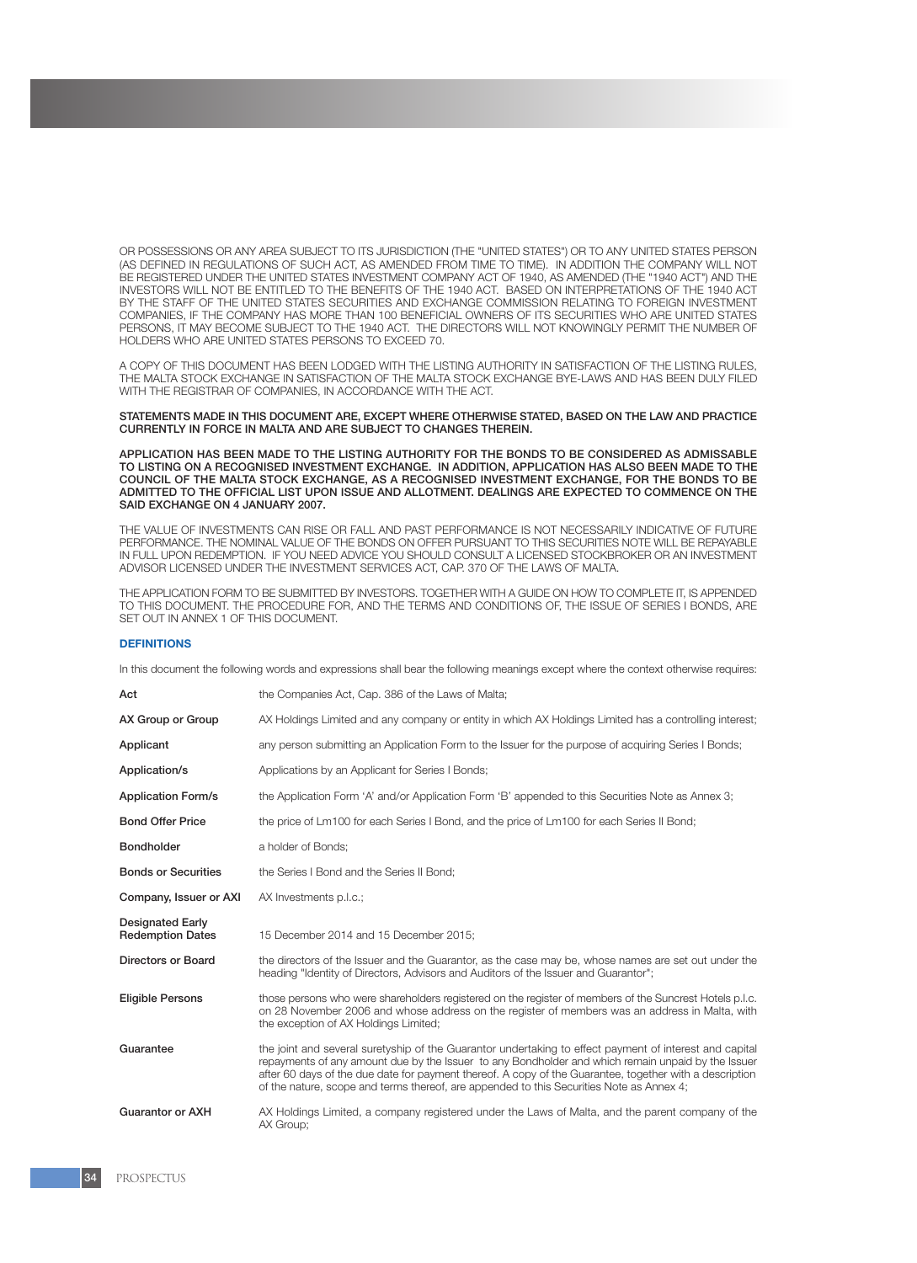OR POSSESSIONS OR ANY AREA SUBJECT TO ITS JURISDICTION (THE "UNITED STATES") OR TO ANY UNITED STATES PERSON (AS DEFINED IN REGULATIONS OF SUCH ACT, AS AMENDED FROM TIME TO TIME). IN ADDITION THE COMPANY WILL NOT BE REGISTERED UNDER THE UNITED STATES INVESTMENT COMPANY ACT OF 1940, AS AMENDED (THE "1940 ACT") AND THE INVESTORS WILL NOT BE ENTITLED TO THE BENEFITS OF THE 1940 ACT. BASED ON INTERPRETATIONS OF THE 1940 ACT BY THE STAFF OF THE UNITED STATES SECURITIES AND EXCHANGE COMMISSION RELATING TO FOREIGN INVESTMENT COMPANIES, IF THE COMPANY HAS MORE THAN 100 BENEFICIAL OWNERS OF ITS SECURITIES WHO ARE UNITED STATES PERSONS, IT MAY BECOME SUBJECT TO THE 1940 ACT. THE DIRECTORS WILL NOT KNOWINGLY PERMIT THE NUMBER OF HOLDERS WHO ARE UNITED STATES PERSONS TO EXCEED 70.

A COPY OF THIS DOCUMENT HAS BEEN LODGED WITH THE LISTING AUTHORITY IN SATISFACTION OF THE LISTING RULES, THE MALTA STOCK EXCHANGE IN SATISFACTION OF THE MALTA STOCK EXCHANGE BYE-LAWS AND HAS BEEN DULY FILED WITH THE REGISTRAR OF COMPANIES, IN ACCORDANCE WITH THE ACT.

STATEMENTS MADE IN THIS DOCUMENT ARE, EXCEPT WHERE OTHERWISE STATED, BASED ON THE LAW AND PRACTICE CURRENTLY IN FORCE IN MALTA AND ARE SUBJECT TO CHANGES THEREIN.

APPLICATION HAS BEEN MADE TO THE LISTING AUTHORITY FOR THE BONDS TO BE CONSIDERED AS ADMISSABLE TO LISTING ON A RECOGNISED INVESTMENT EXCHANGE. IN ADDITION, APPLICATION HAS ALSO BEEN MADE TO THE COUNCIL OF THE MALTA STOCK EXCHANGE, AS A RECOGNISED INVESTMENT EXCHANGE, FOR THE BONDS TO BE ADMITTED TO THE OFFICIAL LIST UPON ISSUE AND ALLOTMENT. DEALINGS ARE EXPECTED TO COMMENCE ON THE SAID EXCHANGE ON 4 JANUARY 2007.

THE VALUE OF INVESTMENTS CAN RISE OR FALL AND PAST PERFORMANCE IS NOT NECESSARILY INDICATIVE OF FUTURE PERFORMANCE. THE NOMINAL VALUE OF THE BONDS ON OFFER PURSUANT TO THIS SECURITIES NOTE WILL BE REPAYABLE IN FULL UPON REDEMPTION. IF YOU NEED ADVICE YOU SHOULD CONSULT A LICENSED STOCKBROKER OR AN INVESTMENT ADVISOR LICENSED UNDER THE INVESTMENT SERVICES ACT, CAP. 370 OF THE LAWS OF MALTA.

THE APPLICATION FORM TO BE SUBMITTED BY INVESTORS. TOGETHER WITH A GUIDE ON HOW TO COMPLETE IT, IS APPENDED TO THIS DOCUMENT. THE PROCEDURE FOR, AND THE TERMS AND CONDITIONS OF, THE ISSUE OF SERIES I BONDS, ARE SET OUT IN ANNEX 1 OF THIS DOCUMENT.

# **DEFINITIONS**

In this document the following words and expressions shall bear the following meanings except where the context otherwise requires:

| Act                                                | the Companies Act, Cap. 386 of the Laws of Malta;                                                                                                                                                                                                                                                                                                                                                                    |
|----------------------------------------------------|----------------------------------------------------------------------------------------------------------------------------------------------------------------------------------------------------------------------------------------------------------------------------------------------------------------------------------------------------------------------------------------------------------------------|
| AX Group or Group                                  | AX Holdings Limited and any company or entity in which AX Holdings Limited has a controlling interest;                                                                                                                                                                                                                                                                                                               |
| Applicant                                          | any person submitting an Application Form to the Issuer for the purpose of acquiring Series I Bonds;                                                                                                                                                                                                                                                                                                                 |
| Application/s                                      | Applications by an Applicant for Series I Bonds;                                                                                                                                                                                                                                                                                                                                                                     |
| <b>Application Form/s</b>                          | the Application Form 'A' and/or Application Form 'B' appended to this Securities Note as Annex 3;                                                                                                                                                                                                                                                                                                                    |
| <b>Bond Offer Price</b>                            | the price of Lm100 for each Series I Bond, and the price of Lm100 for each Series II Bond;                                                                                                                                                                                                                                                                                                                           |
| <b>Bondholder</b>                                  | a holder of Bonds;                                                                                                                                                                                                                                                                                                                                                                                                   |
| <b>Bonds or Securities</b>                         | the Series I Bond and the Series II Bond;                                                                                                                                                                                                                                                                                                                                                                            |
| Company, Issuer or AXI                             | AX Investments p.l.c.;                                                                                                                                                                                                                                                                                                                                                                                               |
| <b>Designated Early</b><br><b>Redemption Dates</b> | 15 December 2014 and 15 December 2015;                                                                                                                                                                                                                                                                                                                                                                               |
| <b>Directors or Board</b>                          | the directors of the Issuer and the Guarantor, as the case may be, whose names are set out under the<br>heading "Identity of Directors, Advisors and Auditors of the Issuer and Guarantor";                                                                                                                                                                                                                          |
| <b>Eligible Persons</b>                            | those persons who were shareholders registered on the register of members of the Suncrest Hotels p.l.c.<br>on 28 November 2006 and whose address on the register of members was an address in Malta, with<br>the exception of AX Holdings Limited;                                                                                                                                                                   |
| Guarantee                                          | the joint and several suretyship of the Guarantor undertaking to effect payment of interest and capital<br>repayments of any amount due by the Issuer to any Bondholder and which remain unpaid by the Issuer<br>after 60 days of the due date for payment thereof. A copy of the Guarantee, together with a description<br>of the nature, scope and terms thereof, are appended to this Securities Note as Annex 4; |
| <b>Guarantor or AXH</b>                            | AX Holdings Limited, a company registered under the Laws of Malta, and the parent company of the<br>AX Group:                                                                                                                                                                                                                                                                                                        |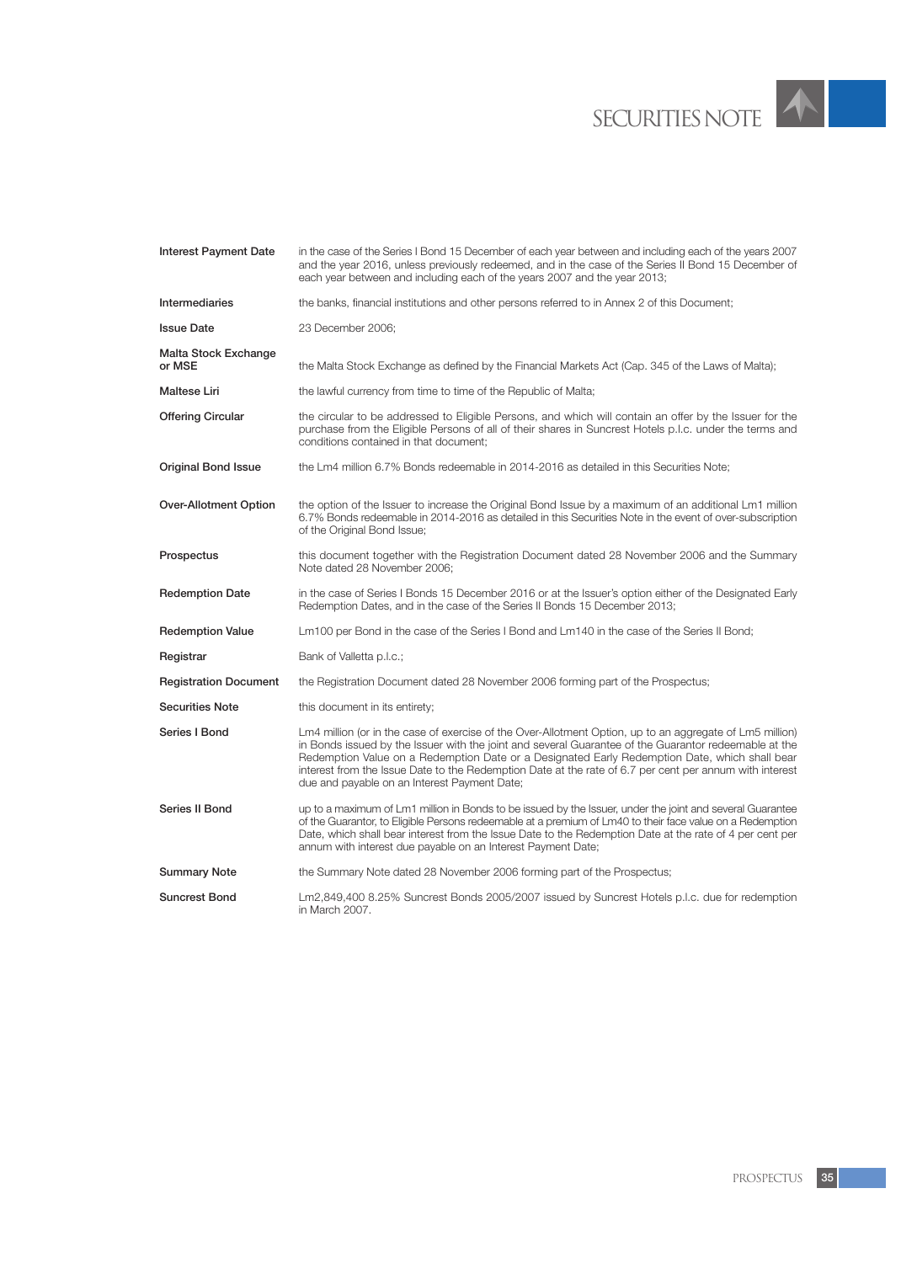

| <b>Interest Payment Date</b>   | in the case of the Series I Bond 15 December of each year between and including each of the years 2007<br>and the year 2016, unless previously redeemed, and in the case of the Series II Bond 15 December of<br>each year between and including each of the years 2007 and the year 2013;                                                                                                                                                                                    |
|--------------------------------|-------------------------------------------------------------------------------------------------------------------------------------------------------------------------------------------------------------------------------------------------------------------------------------------------------------------------------------------------------------------------------------------------------------------------------------------------------------------------------|
| Intermediaries                 | the banks, financial institutions and other persons referred to in Annex 2 of this Document;                                                                                                                                                                                                                                                                                                                                                                                  |
| <b>Issue Date</b>              | 23 December 2006;                                                                                                                                                                                                                                                                                                                                                                                                                                                             |
| Malta Stock Exchange<br>or MSE | the Malta Stock Exchange as defined by the Financial Markets Act (Cap. 345 of the Laws of Malta);                                                                                                                                                                                                                                                                                                                                                                             |
| <b>Maltese Liri</b>            | the lawful currency from time to time of the Republic of Malta;                                                                                                                                                                                                                                                                                                                                                                                                               |
| <b>Offering Circular</b>       | the circular to be addressed to Eligible Persons, and which will contain an offer by the Issuer for the<br>purchase from the Eligible Persons of all of their shares in Suncrest Hotels p.l.c. under the terms and<br>conditions contained in that document;                                                                                                                                                                                                                  |
| <b>Original Bond Issue</b>     | the Lm4 million 6.7% Bonds redeemable in 2014-2016 as detailed in this Securities Note;                                                                                                                                                                                                                                                                                                                                                                                       |
| Over-Allotment Option          | the option of the Issuer to increase the Original Bond Issue by a maximum of an additional Lm1 million<br>6.7% Bonds redeemable in 2014-2016 as detailed in this Securities Note in the event of over-subscription<br>of the Original Bond Issue;                                                                                                                                                                                                                             |
| Prospectus                     | this document together with the Registration Document dated 28 November 2006 and the Summary<br>Note dated 28 November 2006;                                                                                                                                                                                                                                                                                                                                                  |
| <b>Redemption Date</b>         | in the case of Series I Bonds 15 December 2016 or at the Issuer's option either of the Designated Early<br>Redemption Dates, and in the case of the Series II Bonds 15 December 2013;                                                                                                                                                                                                                                                                                         |
| <b>Redemption Value</b>        | Lm100 per Bond in the case of the Series I Bond and Lm140 in the case of the Series II Bond;                                                                                                                                                                                                                                                                                                                                                                                  |
| Registrar                      | Bank of Valletta p.l.c.;                                                                                                                                                                                                                                                                                                                                                                                                                                                      |
| <b>Registration Document</b>   | the Registration Document dated 28 November 2006 forming part of the Prospectus;                                                                                                                                                                                                                                                                                                                                                                                              |
| <b>Securities Note</b>         | this document in its entirety;                                                                                                                                                                                                                                                                                                                                                                                                                                                |
| Series I Bond                  | Lm4 million (or in the case of exercise of the Over-Allotment Option, up to an aggregate of Lm5 million)<br>in Bonds issued by the Issuer with the joint and several Guarantee of the Guarantor redeemable at the<br>Redemption Value on a Redemption Date or a Designated Early Redemption Date, which shall bear<br>interest from the Issue Date to the Redemption Date at the rate of 6.7 per cent per annum with interest<br>due and payable on an Interest Payment Date; |
| Series II Bond                 | up to a maximum of Lm1 million in Bonds to be issued by the Issuer, under the joint and several Guarantee<br>of the Guarantor, to Eligible Persons redeemable at a premium of Lm40 to their face value on a Redemption<br>Date, which shall bear interest from the Issue Date to the Redemption Date at the rate of 4 per cent per<br>annum with interest due payable on an Interest Payment Date;                                                                            |
| <b>Summary Note</b>            | the Summary Note dated 28 November 2006 forming part of the Prospectus;                                                                                                                                                                                                                                                                                                                                                                                                       |
| <b>Suncrest Bond</b>           | Lm2,849,400 8.25% Suncrest Bonds 2005/2007 issued by Suncrest Hotels p.l.c. due for redemption<br>in March 2007.                                                                                                                                                                                                                                                                                                                                                              |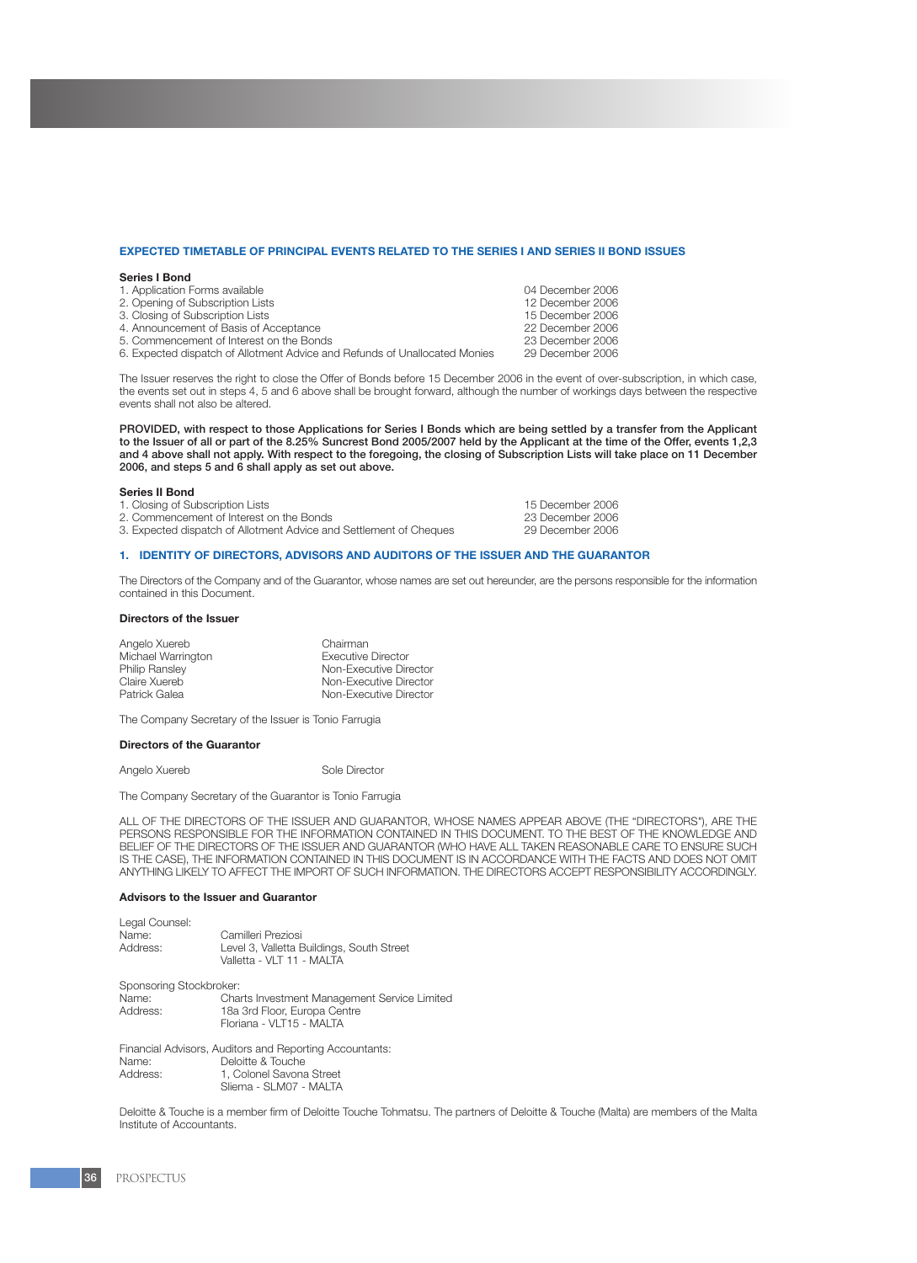#### **EXPECTED TIMETABLE OF PRINCIPAL EVENTS RELATED TO THE SERIES I AND SERIES II BOND ISSUES**

#### **Series I Bond**

| 04 December 2006 |
|------------------|
| 12 December 2006 |
| 15 December 2006 |
| 22 December 2006 |
| 23 December 2006 |
| 29 December 2006 |
|                  |

The Issuer reserves the right to close the Offer of Bonds before 15 December 2006 in the event of over-subscription, in which case, the events set out in steps 4, 5 and 6 above shall be brought forward, although the number of workings days between the respective events shall not also be altered.

PROVIDED, with respect to those Applications for Series I Bonds which are being settled by a transfer from the Applicant to the Issuer of all or part of the 8.25% Suncrest Bond 2005/2007 held by the Applicant at the time of the Offer, events 1,2,3 and 4 above shall not apply. With respect to the foregoing, the closing of Subscription Lists will take place on 11 December 2006, and steps 5 and 6 shall apply as set out above.

#### **Series II Bond**

- 
- 1. Closing of Subscription Lists 15 December 2006<br>
2. Commencement of Interest on the Bonds<br>
23 December 2006
- 2. Commencement of Interest on the Bonds<br>
23 December 2006<br>
29 December 2006<br>
29 December 2006 3. Expected dispatch of Allotment Advice and Settlement of Cheques

#### **1. IDENTITY OF DIRECTORS, ADVISORS AND AUDITORS OF THE ISSUER AND THE GUARANTOR**

The Directors of the Company and of the Guarantor, whose names are set out hereunder, are the persons responsible for the information contained in this Document.

#### **Directors of the Issuer**

| Chairman                  |
|---------------------------|
| <b>Executive Director</b> |
| Non-Executive Director    |
| Non-Executive Director    |
| Non-Executive Director    |
|                           |

The Company Secretary of the Issuer is Tonio Farrugia

#### **Directors of the Guarantor**

Angelo Xuereb Sole Director

The Company Secretary of the Guarantor is Tonio Farrugia

ALL OF THE DIRECTORS OF THE ISSUER AND GUARANTOR, WHOSE NAMES APPEAR ABOVE (THE "DIRECTORS"), ARE THE PERSONS RESPONSIBLE FOR THE INFORMATION CONTAINED IN THIS DOCUMENT. TO THE BEST OF THE KNOWLEDGE AND BELIEF OF THE DIRECTORS OF THE ISSUER AND GUARANTOR (WHO HAVE ALL TAKEN REASONABLE CARE TO ENSURE SUCH IS THE CASE), THE INFORMATION CONTAINED IN THIS DOCUMENT IS IN ACCORDANCE WITH THE FACTS AND DOES NOT OMIT ANYTHING LIKELY TO AFFECT THE IMPORT OF SUCH INFORMATION. THE DIRECTORS ACCEPT RESPONSIBILITY ACCORDINGLY.

#### **Advisors to the Issuer and Guarantor**

| Legal Counsel:<br>Name:<br>Address:          | Camilleri Preziosi<br>Level 3, Valletta Buildings, South Street<br>Valletta - VLT 11 - MALTA             |
|----------------------------------------------|----------------------------------------------------------------------------------------------------------|
| Sponsoring Stockbroker:<br>Name:<br>Address: | Charts Investment Management Service Limited<br>18a 3rd Floor, Europa Centre<br>Floriana - VLT15 - MALTA |
|                                              | Financial Advisors, Auditors and Reporting Accountants:                                                  |
| Name:                                        | Deloitte & Touche                                                                                        |
| Address:                                     | 1, Colonel Savona Street                                                                                 |

Sliema - SLM07 - MALTA

Deloitte & Touche is a member firm of Deloitte Touche Tohmatsu. The partners of Deloitte & Touche (Malta) are members of the Malta Institute of Accountants.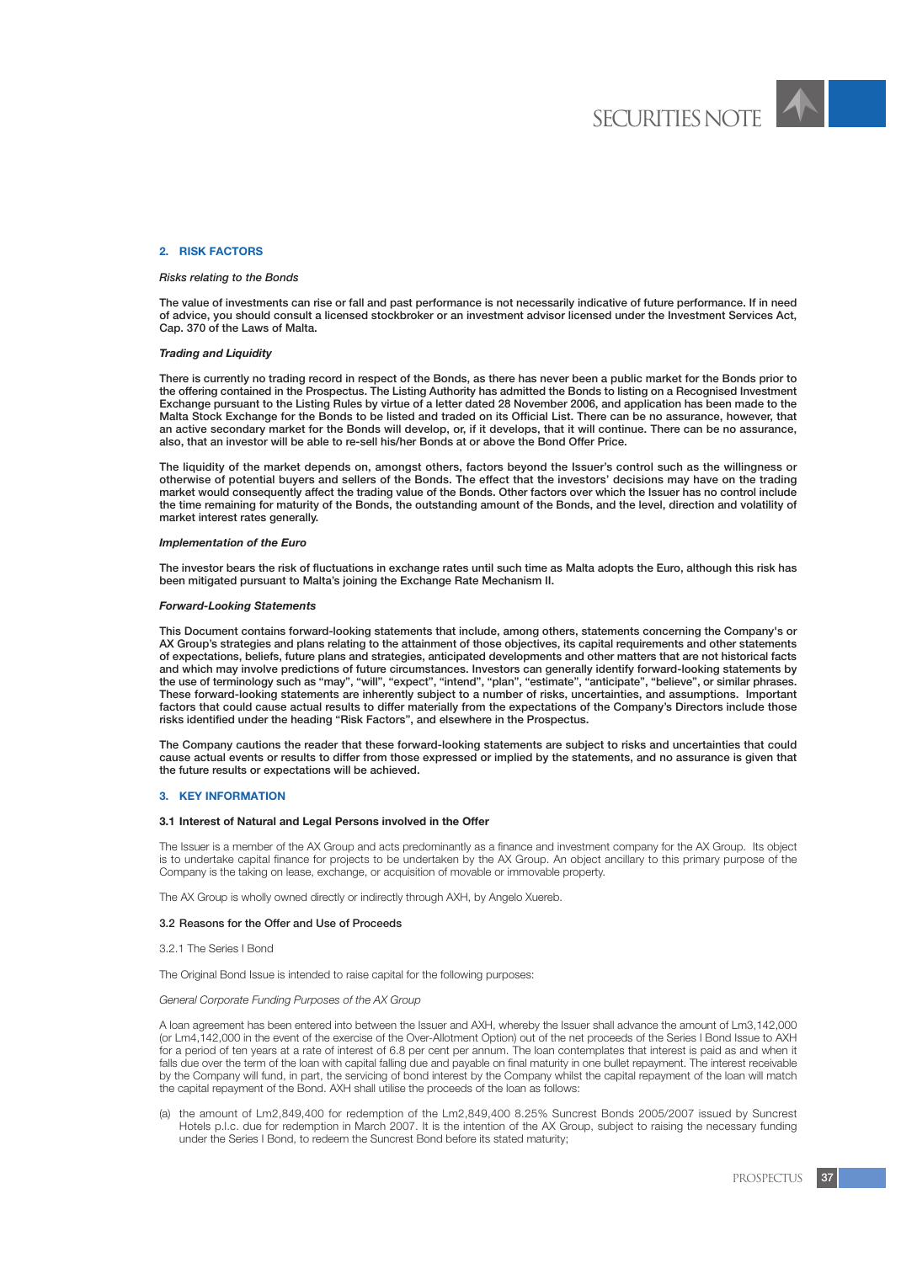

# **2. RISK FACTORS**

# *Risks relating to the Bonds*

The value of investments can rise or fall and past performance is not necessarily indicative of future performance. If in need of advice, you should consult a licensed stockbroker or an investment advisor licensed under the Investment Services Act, Cap. 370 of the Laws of Malta.

# *Trading and Liquidity*

There is currently no trading record in respect of the Bonds, as there has never been a public market for the Bonds prior to the offering contained in the Prospectus. The Listing Authority has admitted the Bonds to listing on a Recognised Investment Exchange pursuant to the Listing Rules by virtue of a letter dated 28 November 2006, and application has been made to the Malta Stock Exchange for the Bonds to be listed and traded on its Official List. There can be no assurance, however, that an active secondary market for the Bonds will develop, or, if it develops, that it will continue. There can be no assurance, also, that an investor will be able to re-sell his/her Bonds at or above the Bond Offer Price.

The liquidity of the market depends on, amongst others, factors beyond the Issuer's control such as the willingness or otherwise of potential buyers and sellers of the Bonds. The effect that the investors' decisions may have on the trading market would consequently affect the trading value of the Bonds. Other factors over which the Issuer has no control include the time remaining for maturity of the Bonds, the outstanding amount of the Bonds, and the level, direction and volatility of market interest rates generally.

# *Implementation of the Euro*

The investor bears the risk of fluctuations in exchange rates until such time as Malta adopts the Euro, although this risk has been mitigated pursuant to Malta's joining the Exchange Rate Mechanism II.

# *Forward-Looking Statements*

This Document contains forward-looking statements that include, among others, statements concerning the Company's or AX Group's strategies and plans relating to the attainment of those objectives, its capital requirements and other statements of expectations, beliefs, future plans and strategies, anticipated developments and other matters that are not historical facts and which may involve predictions of future circumstances. Investors can generally identify forward-looking statements by the use of terminology such as "may", "will", "expect", "intend", "plan", "estimate", "anticipate", "believe", or similar phrases. These forward-looking statements are inherently subject to a number of risks, uncertainties, and assumptions. Important factors that could cause actual results to differ materially from the expectations of the Company's Directors include those risks identified under the heading "Risk Factors", and elsewhere in the Prospectus.

The Company cautions the reader that these forward-looking statements are subject to risks and uncertainties that could cause actual events or results to differ from those expressed or implied by the statements, and no assurance is given that the future results or expectations will be achieved.

# **3. KEY INFORMATION**

# **3.1 Interest of Natural and Legal Persons involved in the Offer**

The Issuer is a member of the AX Group and acts predominantly as a finance and investment company for the AX Group. Its object is to undertake capital finance for projects to be undertaken by the AX Group. An object ancillary to this primary purpose of the Company is the taking on lease, exchange, or acquisition of movable or immovable property.

The AX Group is wholly owned directly or indirectly through AXH, by Angelo Xuereb.

# 3.2 Reasons for the Offer and Use of Proceeds

3.2.1 The Series I Bond

The Original Bond Issue is intended to raise capital for the following purposes:

*General Corporate Funding Purposes of the AX Group*

A loan agreement has been entered into between the Issuer and AXH, whereby the Issuer shall advance the amount of Lm3,142,000 (or Lm4,142,000 in the event of the exercise of the Over-Allotment Option) out of the net proceeds of the Series I Bond Issue to AXH for a period of ten years at a rate of interest of 6.8 per cent per annum. The loan contemplates that interest is paid as and when it falls due over the term of the loan with capital falling due and payable on final maturity in one bullet repayment. The interest receivable by the Company will fund, in part, the servicing of bond interest by the Company whilst the capital repayment of the loan will match the capital repayment of the Bond. AXH shall utilise the proceeds of the loan as follows:

(a) the amount of Lm2,849,400 for redemption of the Lm2,849,400 8.25% Suncrest Bonds 2005/2007 issued by Suncrest Hotels p.l.c. due for redemption in March 2007. It is the intention of the AX Group, subject to raising the necessary funding under the Series I Bond, to redeem the Suncrest Bond before its stated maturity;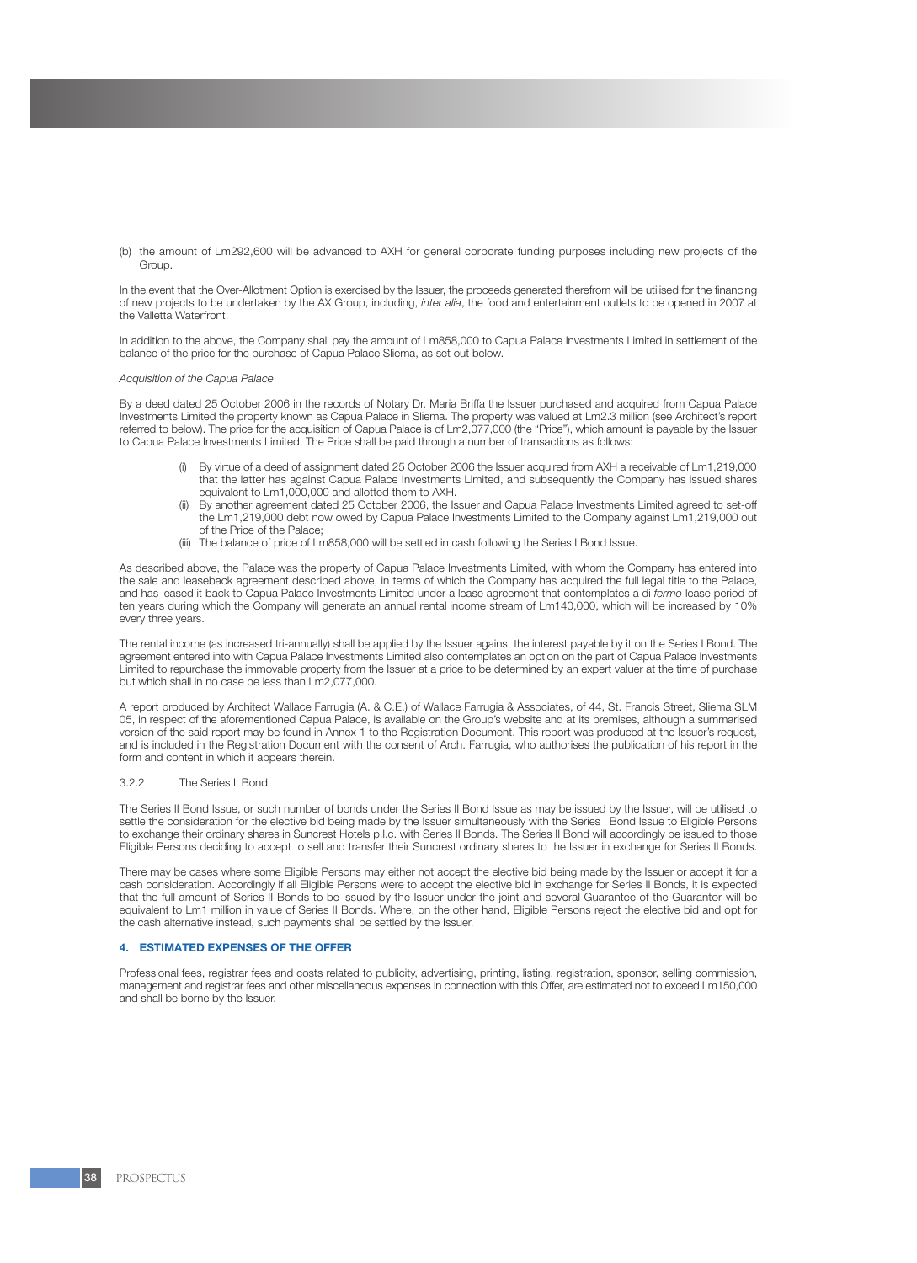(b) the amount of Lm292,600 will be advanced to AXH for general corporate funding purposes including new projects of the Group.

In the event that the Over-Allotment Option is exercised by the Issuer, the proceeds generated therefrom will be utilised for the financing of new projects to be undertaken by the AX Group, including, *inter alia*, the food and entertainment outlets to be opened in 2007 at the Valletta Waterfront.

In addition to the above, the Company shall pay the amount of Lm858,000 to Capua Palace Investments Limited in settlement of the balance of the price for the purchase of Capua Palace Sliema, as set out below.

#### *Acquisition of the Capua Palace*

By a deed dated 25 October 2006 in the records of Notary Dr. Maria Briffa the Issuer purchased and acquired from Capua Palace Investments Limited the property known as Capua Palace in Sliema. The property was valued at Lm2.3 million (see Architect's report referred to below). The price for the acquisition of Capua Palace is of Lm2,077,000 (the "Price"), which amount is payable by the Issuer to Capua Palace Investments Limited. The Price shall be paid through a number of transactions as follows:

- (i) By virtue of a deed of assignment dated 25 October 2006 the Issuer acquired from AXH a receivable of Lm1,219,000 that the latter has against Capua Palace Investments Limited, and subsequently the Company has issued shares equivalent to Lm1,000,000 and allotted them to AXH.
- (ii) By another agreement dated 25 October 2006, the Issuer and Capua Palace Investments Limited agreed to set-off the Lm1,219,000 debt now owed by Capua Palace Investments Limited to the Company against Lm1,219,000 out of the Price of the Palace;
- (iii) The balance of price of Lm858,000 will be settled in cash following the Series I Bond Issue.

As described above, the Palace was the property of Capua Palace Investments Limited, with whom the Company has entered into the sale and leaseback agreement described above, in terms of which the Company has acquired the full legal title to the Palace, and has leased it back to Capua Palace Investments Limited under a lease agreement that contemplates a di *fermo* lease period of ten years during which the Company will generate an annual rental income stream of Lm140,000, which will be increased by 10% every three years.

The rental income (as increased tri-annually) shall be applied by the Issuer against the interest payable by it on the Series I Bond. The agreement entered into with Capua Palace Investments Limited also contemplates an option on the part of Capua Palace Investments Limited to repurchase the immovable property from the Issuer at a price to be determined by an expert valuer at the time of purchase but which shall in no case be less than Lm2,077,000.

A report produced by Architect Wallace Farrugia (A. & C.E.) of Wallace Farrugia & Associates, of 44, St. Francis Street, Sliema SLM 05, in respect of the aforementioned Capua Palace, is available on the Group's website and at its premises, although a summarised version of the said report may be found in Annex 1 to the Registration Document. This report was produced at the Issuer's request, and is included in the Registration Document with the consent of Arch. Farrugia, who authorises the publication of his report in the form and content in which it appears therein.

#### 3.2.2 The Series II Bond

The Series II Bond Issue, or such number of bonds under the Series II Bond Issue as may be issued by the Issuer, will be utilised to settle the consideration for the elective bid being made by the Issuer simultaneously with the Series I Bond Issue to Eligible Persons to exchange their ordinary shares in Suncrest Hotels p.l.c. with Series II Bonds. The Series II Bond will accordingly be issued to those Eligible Persons deciding to accept to sell and transfer their Suncrest ordinary shares to the Issuer in exchange for Series II Bonds.

There may be cases where some Eligible Persons may either not accept the elective bid being made by the Issuer or accept it for a cash consideration. Accordingly if all Eligible Persons were to accept the elective bid in exchange for Series II Bonds, it is expected that the full amount of Series II Bonds to be issued by the Issuer under the joint and several Guarantee of the Guarantor will be equivalent to Lm1 million in value of Series II Bonds. Where, on the other hand, Eligible Persons reject the elective bid and opt for the cash alternative instead, such payments shall be settled by the Issuer.

#### **4. ESTIMATED EXPENSES OF THE OFFER**

Professional fees, registrar fees and costs related to publicity, advertising, printing, listing, registration, sponsor, selling commission, management and registrar fees and other miscellaneous expenses in connection with this Offer, are estimated not to exceed Lm150,000 and shall be borne by the Issuer.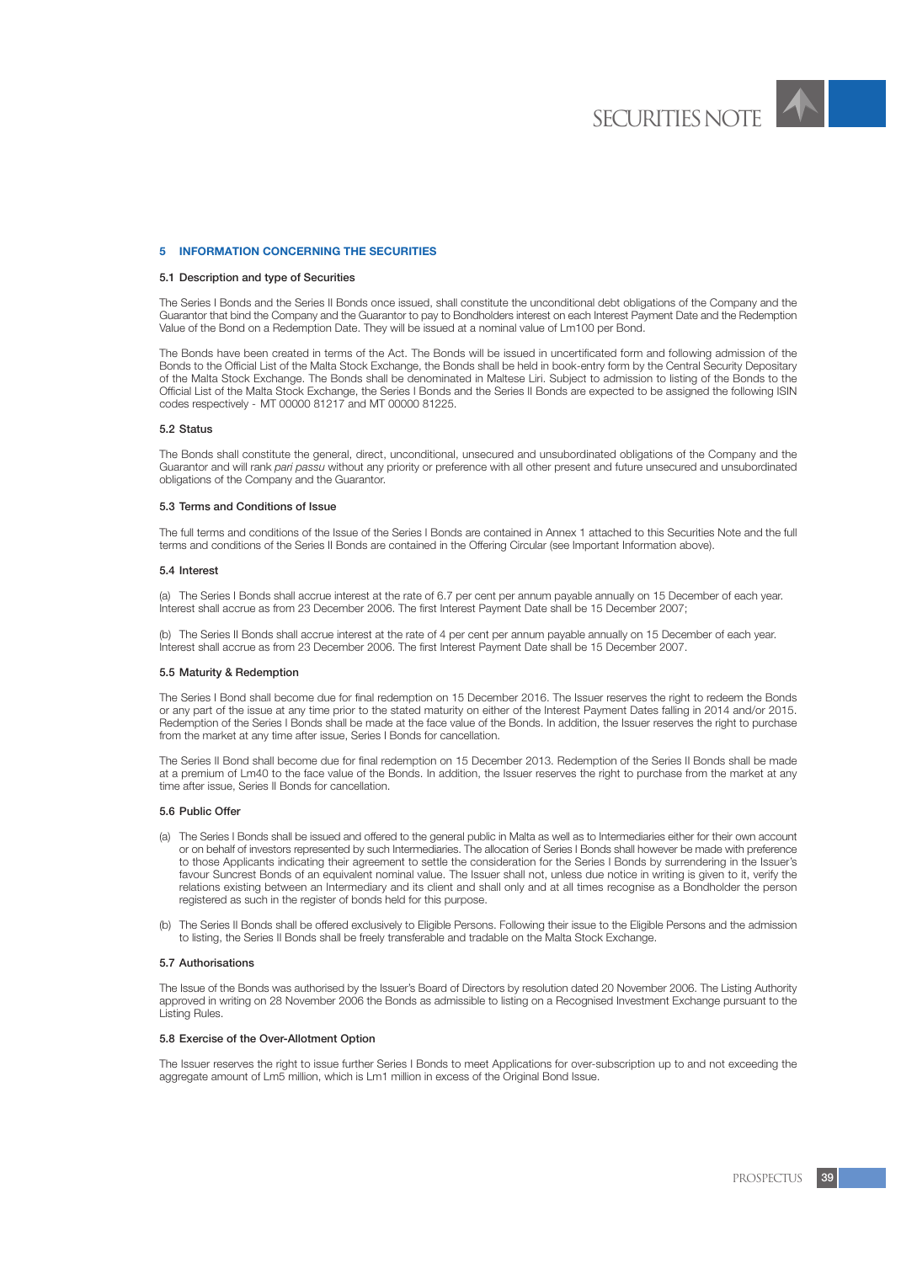

# **5 INFORMATION CONCERNING THE SECURITIES**

# 5.1 Description and type of Securities

The Series I Bonds and the Series II Bonds once issued, shall constitute the unconditional debt obligations of the Company and the Guarantor that bind the Company and the Guarantor to pay to Bondholders interest on each Interest Payment Date and the Redemption Value of the Bond on a Redemption Date. They will be issued at a nominal value of Lm100 per Bond.

The Bonds have been created in terms of the Act. The Bonds will be issued in uncertificated form and following admission of the Bonds to the Official List of the Malta Stock Exchange, the Bonds shall be held in book-entry form by the Central Security Depositary of the Malta Stock Exchange. The Bonds shall be denominated in Maltese Liri. Subject to admission to listing of the Bonds to the Official List of the Malta Stock Exchange, the Series I Bonds and the Series II Bonds are expected to be assigned the following ISIN codes respectively - MT 00000 81217 and MT 00000 81225.

#### 5.2 Status

The Bonds shall constitute the general, direct, unconditional, unsecured and unsubordinated obligations of the Company and the Guarantor and will rank *pari passu* without any priority or preference with all other present and future unsecured and unsubordinated obligations of the Company and the Guarantor.

### 5.3 Terms and Conditions of Issue

The full terms and conditions of the Issue of the Series I Bonds are contained in Annex 1 attached to this Securities Note and the full terms and conditions of the Series II Bonds are contained in the Offering Circular (see Important Information above).

#### 5.4 Interest

(a) The Series I Bonds shall accrue interest at the rate of 6.7 per cent per annum payable annually on 15 December of each year. Interest shall accrue as from 23 December 2006. The first Interest Payment Date shall be 15 December 2007;

(b) The Series II Bonds shall accrue interest at the rate of 4 per cent per annum payable annually on 15 December of each year. Interest shall accrue as from 23 December 2006. The first Interest Payment Date shall be 15 December 2007.

#### 5.5 Maturity & Redemption

The Series I Bond shall become due for final redemption on 15 December 2016. The Issuer reserves the right to redeem the Bonds or any part of the issue at any time prior to the stated maturity on either of the Interest Payment Dates falling in 2014 and/or 2015. Redemption of the Series I Bonds shall be made at the face value of the Bonds. In addition, the Issuer reserves the right to purchase from the market at any time after issue, Series I Bonds for cancellation.

The Series II Bond shall become due for final redemption on 15 December 2013. Redemption of the Series II Bonds shall be made at a premium of Lm40 to the face value of the Bonds. In addition, the Issuer reserves the right to purchase from the market at any time after issue, Series II Bonds for cancellation.

#### 5.6 Public Offer

- (a) The Series I Bonds shall be issued and offered to the general public in Malta as well as to Intermediaries either for their own account or on behalf of investors represented by such Intermediaries. The allocation of Series I Bonds shall however be made with preference to those Applicants indicating their agreement to settle the consideration for the Series I Bonds by surrendering in the Issuer's favour Suncrest Bonds of an equivalent nominal value. The Issuer shall not, unless due notice in writing is given to it, verify the relations existing between an Intermediary and its client and shall only and at all times recognise as a Bondholder the person registered as such in the register of bonds held for this purpose.
- (b) The Series II Bonds shall be offered exclusively to Eligible Persons. Following their issue to the Eligible Persons and the admission to listing, the Series II Bonds shall be freely transferable and tradable on the Malta Stock Exchange.

#### 5.7 Authorisations

The Issue of the Bonds was authorised by the Issuer's Board of Directors by resolution dated 20 November 2006. The Listing Authority approved in writing on 28 November 2006 the Bonds as admissible to listing on a Recognised Investment Exchange pursuant to the Listing Rules.

#### 5.8 Exercise of the Over-Allotment Option

The Issuer reserves the right to issue further Series I Bonds to meet Applications for over-subscription up to and not exceeding the aggregate amount of Lm5 million, which is Lm1 million in excess of the Original Bond Issue.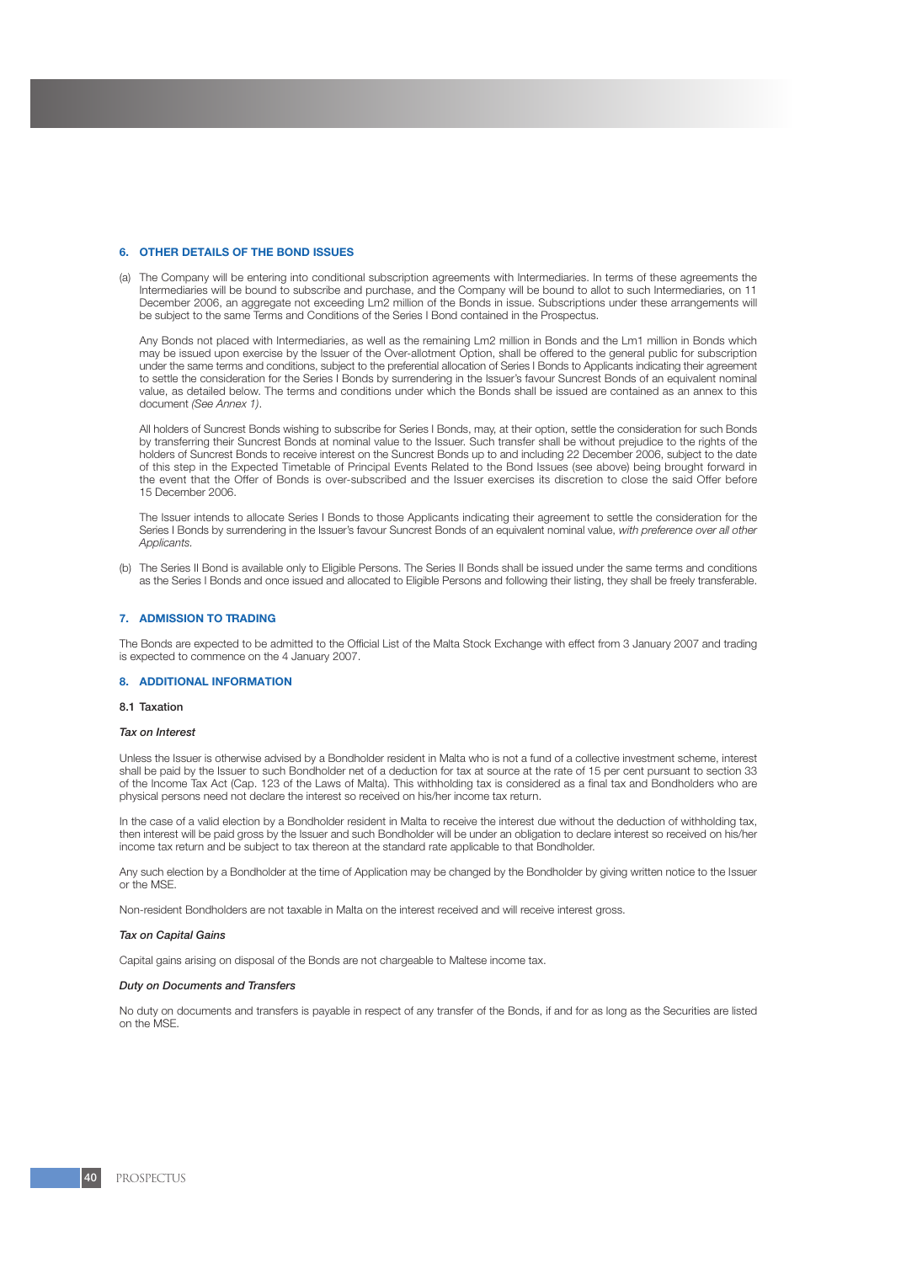#### **6. OTHER DETAILS OF THE BOND ISSUES**

(a) The Company will be entering into conditional subscription agreements with Intermediaries. In terms of these agreements the Intermediaries will be bound to subscribe and purchase, and the Company will be bound to allot to such Intermediaries, on 11 December 2006, an aggregate not exceeding Lm2 million of the Bonds in issue. Subscriptions under these arrangements will be subject to the same Terms and Conditions of the Series I Bond contained in the Prospectus.

Any Bonds not placed with Intermediaries, as well as the remaining Lm2 million in Bonds and the Lm1 million in Bonds which may be issued upon exercise by the Issuer of the Over-allotment Option, shall be offered to the general public for subscription under the same terms and conditions, subject to the preferential allocation of Series I Bonds to Applicants indicating their agreement to settle the consideration for the Series I Bonds by surrendering in the Issuer's favour Suncrest Bonds of an equivalent nominal value, as detailed below. The terms and conditions under which the Bonds shall be issued are contained as an annex to this document *(See Annex 1)*.

All holders of Suncrest Bonds wishing to subscribe for Series I Bonds, may, at their option, settle the consideration for such Bonds by transferring their Suncrest Bonds at nominal value to the Issuer. Such transfer shall be without prejudice to the rights of the holders of Suncrest Bonds to receive interest on the Suncrest Bonds up to and including 22 December 2006, subject to the date of this step in the Expected Timetable of Principal Events Related to the Bond Issues (see above) being brought forward in the event that the Offer of Bonds is over-subscribed and the Issuer exercises its discretion to close the said Offer before 15 December 2006.

The Issuer intends to allocate Series I Bonds to those Applicants indicating their agreement to settle the consideration for the Series I Bonds by surrendering in the Issuer's favour Suncrest Bonds of an equivalent nominal value, *with preference over all other Applicants.*

(b) The Series II Bond is available only to Eligible Persons. The Series II Bonds shall be issued under the same terms and conditions as the Series I Bonds and once issued and allocated to Eligible Persons and following their listing, they shall be freely transferable.

#### **7. ADMISSION TO TRADING**

The Bonds are expected to be admitted to the Official List of the Malta Stock Exchange with effect from 3 January 2007 and trading is expected to commence on the 4 January 2007.

#### **8. ADDITIONAL INFORMATION**

### 8.1 Taxation

#### *Tax on Interest*

Unless the Issuer is otherwise advised by a Bondholder resident in Malta who is not a fund of a collective investment scheme, interest shall be paid by the Issuer to such Bondholder net of a deduction for tax at source at the rate of 15 per cent pursuant to section 33 of the Income Tax Act (Cap. 123 of the Laws of Malta). This withholding tax is considered as a final tax and Bondholders who are physical persons need not declare the interest so received on his/her income tax return.

In the case of a valid election by a Bondholder resident in Malta to receive the interest due without the deduction of withholding tax, then interest will be paid gross by the Issuer and such Bondholder will be under an obligation to declare interest so received on his/her income tax return and be subject to tax thereon at the standard rate applicable to that Bondholder.

Any such election by a Bondholder at the time of Application may be changed by the Bondholder by giving written notice to the Issuer or the MSE.

Non-resident Bondholders are not taxable in Malta on the interest received and will receive interest gross.

#### *Tax on Capital Gains*

Capital gains arising on disposal of the Bonds are not chargeable to Maltese income tax.

#### *Duty on Documents and Transfers*

No duty on documents and transfers is payable in respect of any transfer of the Bonds, if and for as long as the Securities are listed on the MSE.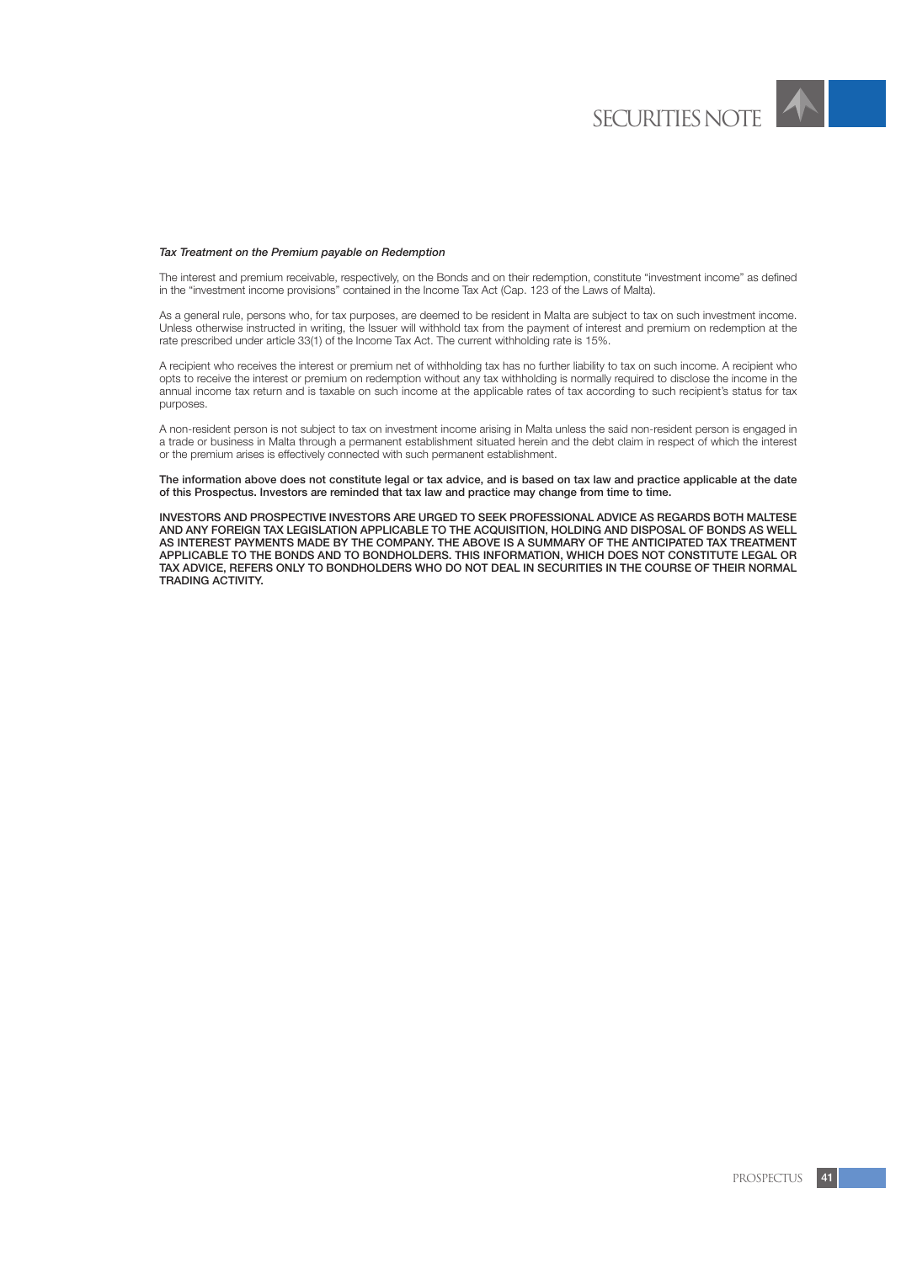

The interest and premium receivable, respectively, on the Bonds and on their redemption, constitute "investment income" as defined in the "investment income provisions" contained in the Income Tax Act (Cap. 123 of the Laws of Malta).

As a general rule, persons who, for tax purposes, are deemed to be resident in Malta are subject to tax on such investment income. Unless otherwise instructed in writing, the Issuer will withhold tax from the payment of interest and premium on redemption at the rate prescribed under article 33(1) of the Income Tax Act. The current withholding rate is 15%.

A recipient who receives the interest or premium net of withholding tax has no further liability to tax on such income. A recipient who opts to receive the interest or premium on redemption without any tax withholding is normally required to disclose the income in the annual income tax return and is taxable on such income at the applicable rates of tax according to such recipient's status for tax purposes.

A non-resident person is not subject to tax on investment income arising in Malta unless the said non-resident person is engaged in a trade or business in Malta through a permanent establishment situated herein and the debt claim in respect of which the interest or the premium arises is effectively connected with such permanent establishment.

The information above does not constitute legal or tax advice, and is based on tax law and practice applicable at the date of this Prospectus. Investors are reminded that tax law and practice may change from time to time.

INVESTORS AND PROSPECTIVE INVESTORS ARE URGED TO SEEK PROFESSIONAL ADVICE AS REGARDS BOTH MALTESE AND ANY FOREIGN TAX LEGISLATION APPLICABLE TO THE ACQUISITION, HOLDING AND DISPOSAL OF BONDS AS WELL AS INTEREST PAYMENTS MADE BY THE COMPANY. THE ABOVE IS A SUMMARY OF THE ANTICIPATED TAX TREATMENT APPLICABLE TO THE BONDS AND TO BONDHOLDERS. THIS INFORMATION, WHICH DOES NOT CONSTITUTE LEGAL OR TAX ADVICE, REFERS ONLY TO BONDHOLDERS WHO DO NOT DEAL IN SECURITIES IN THE COURSE OF THEIR NORMAL TRADING ACTIVITY.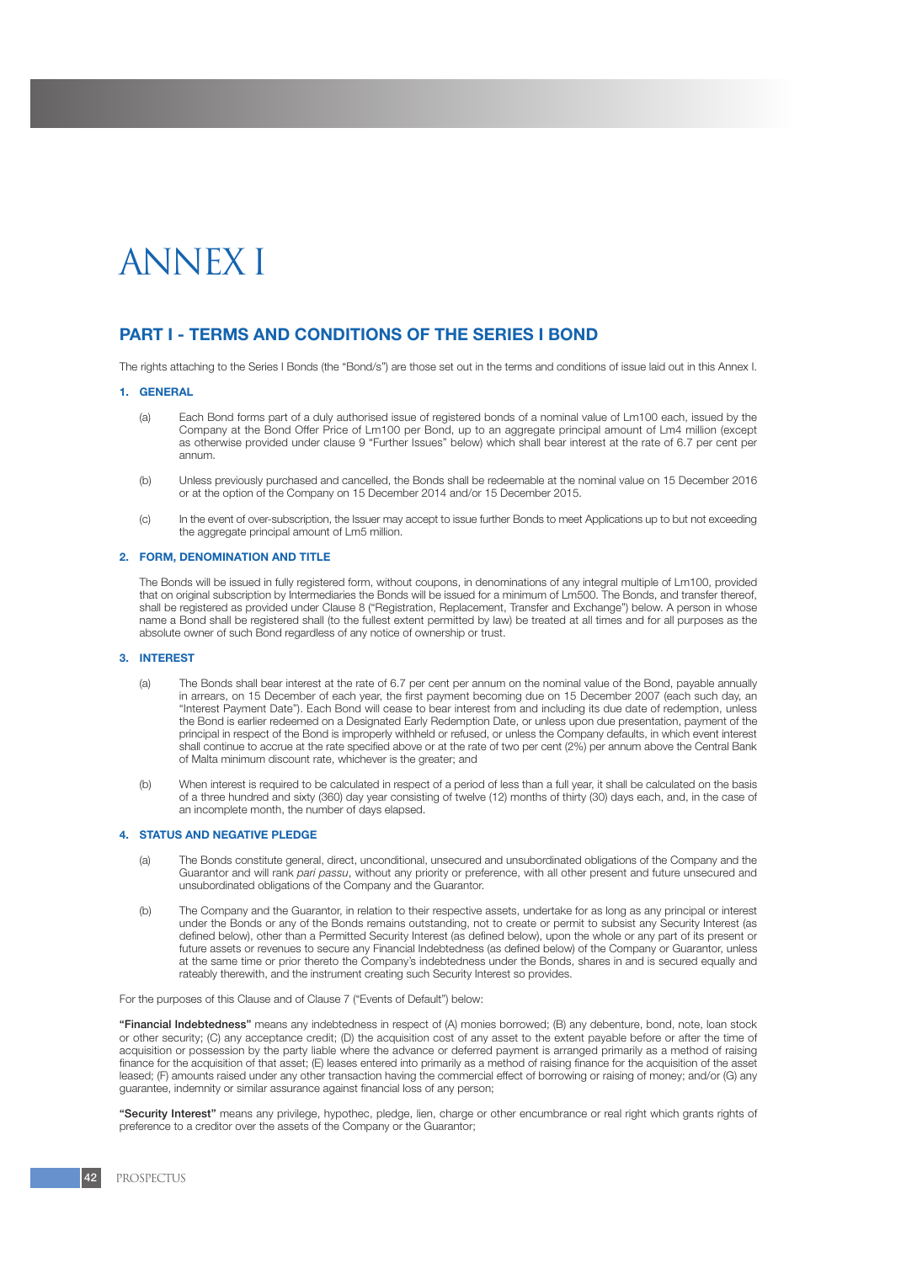# **ANNEX I**

# **PART I - TERMS AND CONDITIONS OF THE SERIES I BOND**

The rights attaching to the Series I Bonds (the "Bond/s") are those set out in the terms and conditions of issue laid out in this Annex I.

### **1. GENERAL**

- (a) Each Bond forms part of a duly authorised issue of registered bonds of a nominal value of Lm100 each, issued by the Company at the Bond Offer Price of Lm100 per Bond, up to an aggregate principal amount of Lm4 million (except as otherwise provided under clause 9 "Further Issues" below) which shall bear interest at the rate of 6.7 per cent per annum.
- (b) Unless previously purchased and cancelled, the Bonds shall be redeemable at the nominal value on 15 December 2016 or at the option of the Company on 15 December 2014 and/or 15 December 2015.
- (c) In the event of over-subscription, the Issuer may accept to issue further Bonds to meet Applications up to but not exceeding the aggregate principal amount of Lm5 million.

#### **2. FORM, DENOMINATION AND TITLE**

The Bonds will be issued in fully registered form, without coupons, in denominations of any integral multiple of Lm100, provided that on original subscription by Intermediaries the Bonds will be issued for a minimum of Lm500. The Bonds, and transfer thereof, shall be registered as provided under Clause 8 ("Registration, Replacement, Transfer and Exchange") below. A person in whose name a Bond shall be registered shall (to the fullest extent permitted by law) be treated at all times and for all purposes as the absolute owner of such Bond regardless of any notice of ownership or trust.

#### **3. INTEREST**

- (a) The Bonds shall bear interest at the rate of 6.7 per cent per annum on the nominal value of the Bond, payable annually in arrears, on 15 December of each year, the first payment becoming due on 15 December 2007 (each such day, an "Interest Payment Date"). Each Bond will cease to bear interest from and including its due date of redemption, unless the Bond is earlier redeemed on a Designated Early Redemption Date, or unless upon due presentation, payment of the principal in respect of the Bond is improperly withheld or refused, or unless the Company defaults, in which event interest shall continue to accrue at the rate specified above or at the rate of two per cent (2%) per annum above the Central Bank of Malta minimum discount rate, whichever is the greater; and
- (b) When interest is required to be calculated in respect of a period of less than a full year, it shall be calculated on the basis of a three hundred and sixty (360) day year consisting of twelve (12) months of thirty (30) days each, and, in the case of an incomplete month, the number of days elapsed.

## **4. STATUS AND NEGATIVE PLEDGE**

- (a) The Bonds constitute general, direct, unconditional, unsecured and unsubordinated obligations of the Company and the Guarantor and will rank *pari passu*, without any priority or preference, with all other present and future unsecured and unsubordinated obligations of the Company and the Guarantor.
- (b) The Company and the Guarantor, in relation to their respective assets, undertake for as long as any principal or interest under the Bonds or any of the Bonds remains outstanding, not to create or permit to subsist any Security Interest (as defined below), other than a Permitted Security Interest (as defined below), upon the whole or any part of its present or future assets or revenues to secure any Financial Indebtedness (as defined below) of the Company or Guarantor, unless at the same time or prior thereto the Company's indebtedness under the Bonds, shares in and is secured equally and rateably therewith, and the instrument creating such Security Interest so provides.

For the purposes of this Clause and of Clause 7 ("Events of Default") below:

"Financial Indebtedness" means any indebtedness in respect of (A) monies borrowed; (B) any debenture, bond, note, loan stock or other security; (C) any acceptance credit; (D) the acquisition cost of any asset to the extent payable before or after the time of acquisition or possession by the party liable where the advance or deferred payment is arranged primarily as a method of raising finance for the acquisition of that asset; (E) leases entered into primarily as a method of raising finance for the acquisition of the asset leased; (F) amounts raised under any other transaction having the commercial effect of borrowing or raising of money; and/or (G) any guarantee, indemnity or similar assurance against financial loss of any person;

"Security Interest" means any privilege, hypothec, pledge, lien, charge or other encumbrance or real right which grants rights of preference to a creditor over the assets of the Company or the Guarantor;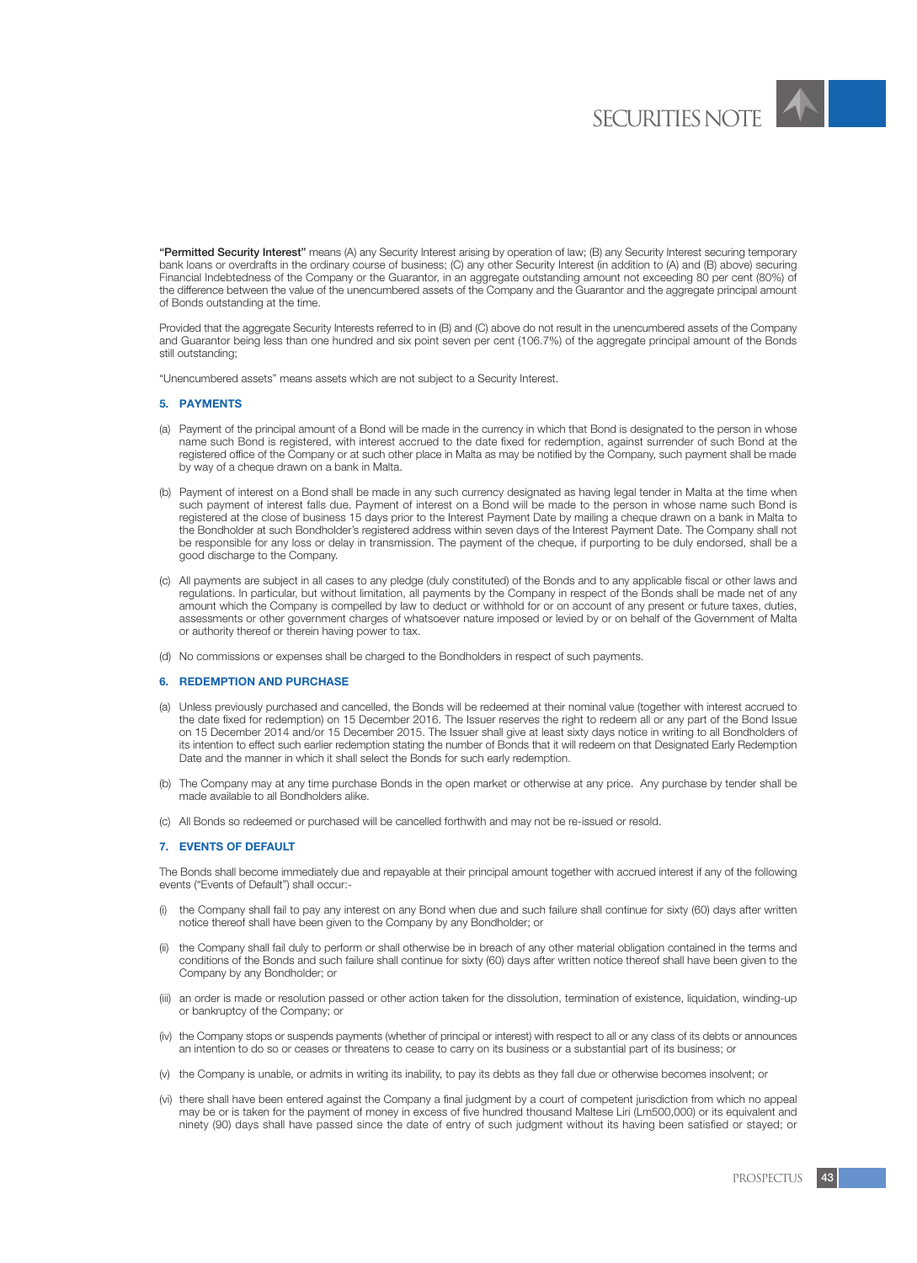

"Permitted Security Interest" means (A) any Security Interest arising by operation of law; (B) any Security Interest securing temporary bank loans or overdrafts in the ordinary course of business; (C) any other Security Interest (in addition to (A) and (B) above) securing Financial Indebtedness of the Company or the Guarantor, in an aggregate outstanding amount not exceeding 80 per cent (80%) of the difference between the value of the unencumbered assets of the Company and the Guarantor and the aggregate principal amount of Bonds outstanding at the time.

Provided that the aggregate Security Interests referred to in (B) and (C) above do not result in the unencumbered assets of the Company and Guarantor being less than one hundred and six point seven per cent (106.7%) of the aggregate principal amount of the Bonds still outstanding;

"Unencumbered assets" means assets which are not subject to a Security Interest.

## **5. PAYMENTS**

- (a) Payment of the principal amount of a Bond will be made in the currency in which that Bond is designated to the person in whose name such Bond is registered, with interest accrued to the date fixed for redemption, against surrender of such Bond at the registered office of the Company or at such other place in Malta as may be notified by the Company, such payment shall be made by way of a cheque drawn on a bank in Malta.
- (b) Payment of interest on a Bond shall be made in any such currency designated as having legal tender in Malta at the time when such payment of interest falls due. Payment of interest on a Bond will be made to the person in whose name such Bond is registered at the close of business 15 days prior to the Interest Payment Date by mailing a cheque drawn on a bank in Malta to the Bondholder at such Bondholder's registered address within seven days of the Interest Payment Date. The Company shall not be responsible for any loss or delay in transmission. The payment of the cheque, if purporting to be duly endorsed, shall be a good discharge to the Company.
- (c) All payments are subject in all cases to any pledge (duly constituted) of the Bonds and to any applicable fiscal or other laws and regulations. In particular, but without limitation, all payments by the Company in respect of the Bonds shall be made net of any amount which the Company is compelled by law to deduct or withhold for or on account of any present or future taxes, duties, assessments or other government charges of whatsoever nature imposed or levied by or on behalf of the Government of Malta or authority thereof or therein having power to tax.
- (d) No commissions or expenses shall be charged to the Bondholders in respect of such payments.

#### **6. REDEMPTION AND PURCHASE**

- (a) Unless previously purchased and cancelled, the Bonds will be redeemed at their nominal value (together with interest accrued to the date fixed for redemption) on 15 December 2016. The Issuer reserves the right to redeem all or any part of the Bond Issue on 15 December 2014 and/or 15 December 2015. The Issuer shall give at least sixty days notice in writing to all Bondholders of its intention to effect such earlier redemption stating the number of Bonds that it will redeem on that Designated Early Redemption Date and the manner in which it shall select the Bonds for such early redemption.
- (b) The Company may at any time purchase Bonds in the open market or otherwise at any price. Any purchase by tender shall be made available to all Bondholders alike.
- (c) All Bonds so redeemed or purchased will be cancelled forthwith and may not be re-issued or resold.

### **7. EVENTS OF DEFAULT**

The Bonds shall become immediately due and repayable at their principal amount together with accrued interest if any of the following events ("Events of Default") shall occur:-

- (i) the Company shall fail to pay any interest on any Bond when due and such failure shall continue for sixty (60) days after written notice thereof shall have been given to the Company by any Bondholder; or
- (ii) the Company shall fail duly to perform or shall otherwise be in breach of any other material obligation contained in the terms and conditions of the Bonds and such failure shall continue for sixty (60) days after written notice thereof shall have been given to the Company by any Bondholder; or
- (iii) an order is made or resolution passed or other action taken for the dissolution, termination of existence, liquidation, winding-up or bankruptcy of the Company; or
- (iv) the Company stops or suspends payments (whether of principal or interest) with respect to all or any class of its debts or announces an intention to do so or ceases or threatens to cease to carry on its business or a substantial part of its business; or
- (v) the Company is unable, or admits in writing its inability, to pay its debts as they fall due or otherwise becomes insolvent; or
- (vi) there shall have been entered against the Company a final judgment by a court of competent jurisdiction from which no appeal may be or is taken for the payment of money in excess of five hundred thousand Maltese Liri (Lm500,000) or its equivalent and ninety (90) days shall have passed since the date of entry of such judgment without its having been satisfied or stayed; or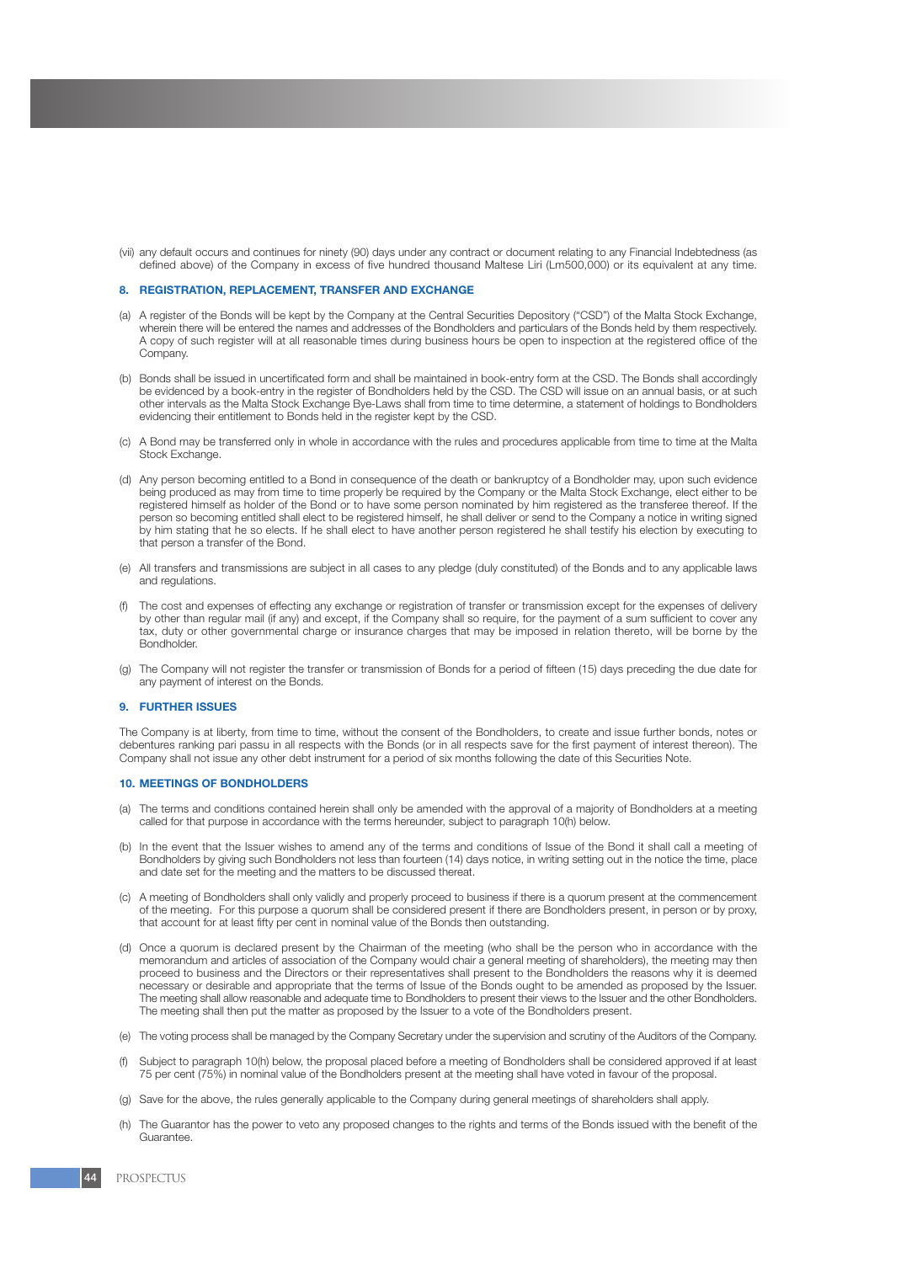(vii) any default occurs and continues for ninety (90) days under any contract or document relating to any Financial Indebtedness (as defined above) of the Company in excess of five hundred thousand Maltese Liri (Lm500,000) or its equivalent at any time.

## **8. REGISTRATION, REPLACEMENT, TRANSFER AND EXCHANGE**

- (a) A register of the Bonds will be kept by the Company at the Central Securities Depository ("CSD") of the Malta Stock Exchange, wherein there will be entered the names and addresses of the Bondholders and particulars of the Bonds held by them respectively. A copy of such register will at all reasonable times during business hours be open to inspection at the registered office of the Company.
- (b) Bonds shall be issued in uncertificated form and shall be maintained in book-entry form at the CSD. The Bonds shall accordingly be evidenced by a book-entry in the register of Bondholders held by the CSD. The CSD will issue on an annual basis, or at such other intervals as the Malta Stock Exchange Bye-Laws shall from time to time determine, a statement of holdings to Bondholders evidencing their entitlement to Bonds held in the register kept by the CSD.
- (c) A Bond may be transferred only in whole in accordance with the rules and procedures applicable from time to time at the Malta Stock Exchange.
- (d) Any person becoming entitled to a Bond in consequence of the death or bankruptcy of a Bondholder may, upon such evidence being produced as may from time to time properly be required by the Company or the Malta Stock Exchange, elect either to be registered himself as holder of the Bond or to have some person nominated by him registered as the transferee thereof. If the person so becoming entitled shall elect to be registered himself, he shall deliver or send to the Company a notice in writing signed by him stating that he so elects. If he shall elect to have another person registered he shall testify his election by executing to that person a transfer of the Bond.
- (e) All transfers and transmissions are subject in all cases to any pledge (duly constituted) of the Bonds and to any applicable laws and regulations.
- (f) The cost and expenses of effecting any exchange or registration of transfer or transmission except for the expenses of delivery by other than regular mail (if any) and except, if the Company shall so require, for the payment of a sum sufficient to cover any tax, duty or other governmental charge or insurance charges that may be imposed in relation thereto, will be borne by the Bondholder.
- (g) The Company will not register the transfer or transmission of Bonds for a period of fifteen (15) days preceding the due date for any payment of interest on the Bonds.

#### **9. FURTHER ISSUES**

The Company is at liberty, from time to time, without the consent of the Bondholders, to create and issue further bonds, notes or debentures ranking pari passu in all respects with the Bonds (or in all respects save for the first payment of interest thereon). The Company shall not issue any other debt instrument for a period of six months following the date of this Securities Note.

#### **10. MEETINGS OF BONDHOLDERS**

- (a) The terms and conditions contained herein shall only be amended with the approval of a majority of Bondholders at a meeting called for that purpose in accordance with the terms hereunder, subject to paragraph 10(h) below.
- (b) In the event that the Issuer wishes to amend any of the terms and conditions of Issue of the Bond it shall call a meeting of Bondholders by giving such Bondholders not less than fourteen (14) days notice, in writing setting out in the notice the time, place and date set for the meeting and the matters to be discussed thereat.
- (c) A meeting of Bondholders shall only validly and properly proceed to business if there is a quorum present at the commencement of the meeting. For this purpose a quorum shall be considered present if there are Bondholders present, in person or by proxy, that account for at least fifty per cent in nominal value of the Bonds then outstanding.
- (d) Once a quorum is declared present by the Chairman of the meeting (who shall be the person who in accordance with the memorandum and articles of association of the Company would chair a general meeting of shareholders), the meeting may then proceed to business and the Directors or their representatives shall present to the Bondholders the reasons why it is deemed necessary or desirable and appropriate that the terms of Issue of the Bonds ought to be amended as proposed by the Issuer. The meeting shall allow reasonable and adequate time to Bondholders to present their views to the Issuer and the other Bondholders. The meeting shall then put the matter as proposed by the Issuer to a vote of the Bondholders present.
- (e) The voting process shall be managed by the Company Secretary under the supervision and scrutiny of the Auditors of the Company.
- Subject to paragraph 10(h) below, the proposal placed before a meeting of Bondholders shall be considered approved if at least 75 per cent (75%) in nominal value of the Bondholders present at the meeting shall have voted in favour of the proposal.
- (g) Save for the above, the rules generally applicable to the Company during general meetings of shareholders shall apply.
- (h) The Guarantor has the power to veto any proposed changes to the rights and terms of the Bonds issued with the benefit of the Guarantee.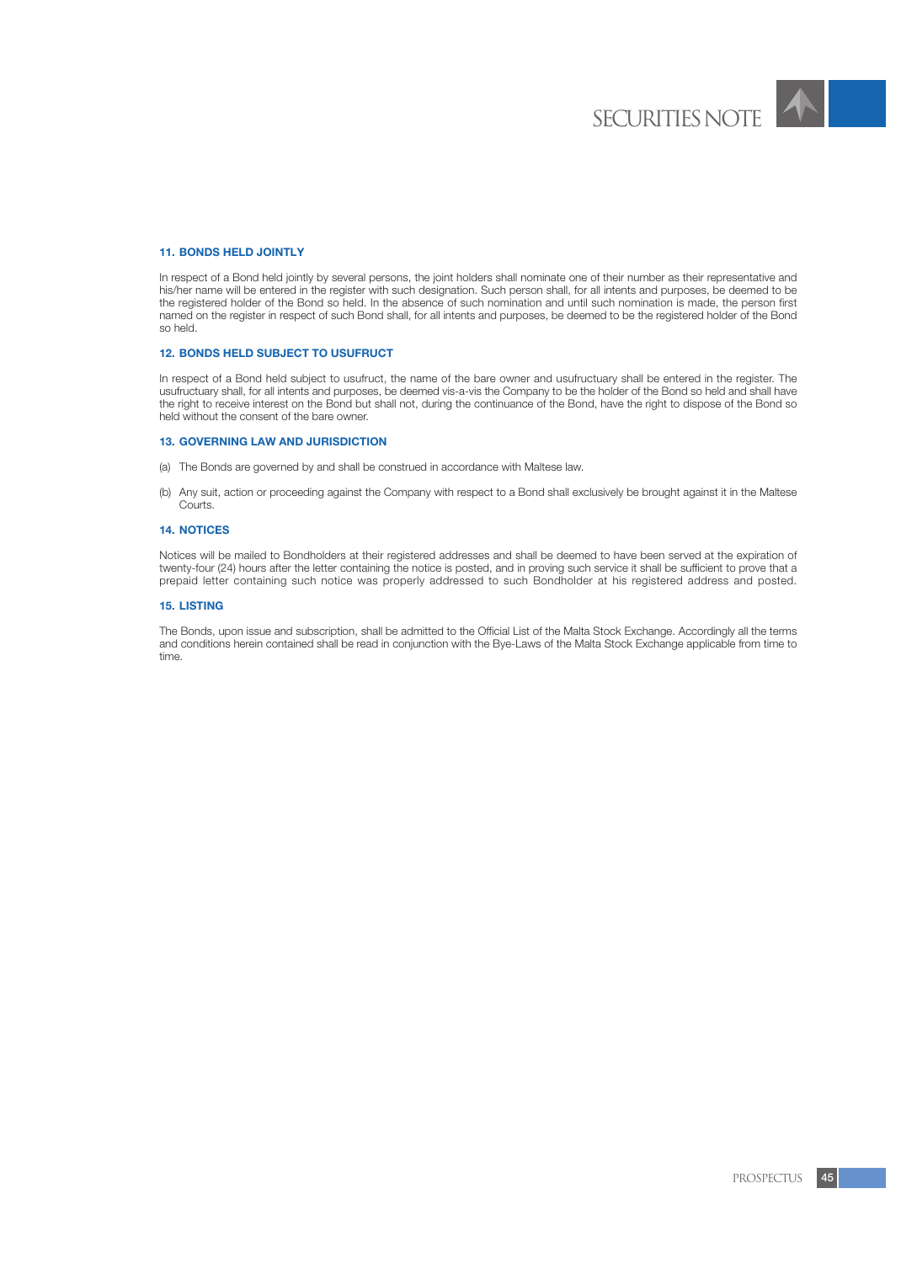

# **11. BONDS HELD JOINTLY**

In respect of a Bond held jointly by several persons, the joint holders shall nominate one of their number as their representative and his/her name will be entered in the register with such designation. Such person shall, for all intents and purposes, be deemed to be the registered holder of the Bond so held. In the absence of such nomination and until such nomination is made, the person first named on the register in respect of such Bond shall, for all intents and purposes, be deemed to be the registered holder of the Bond so held.

### **12. BONDS HELD SUBJECT TO USUFRUCT**

In respect of a Bond held subject to usufruct, the name of the bare owner and usufructuary shall be entered in the register. The usufructuary shall, for all intents and purposes, be deemed vis-a-vis the Company to be the holder of the Bond so held and shall have the right to receive interest on the Bond but shall not, during the continuance of the Bond, have the right to dispose of the Bond so held without the consent of the bare owner.

#### **13. GOVERNING LAW AND JURISDICTION**

- (a) The Bonds are governed by and shall be construed in accordance with Maltese law.
- (b) Any suit, action or proceeding against the Company with respect to a Bond shall exclusively be brought against it in the Maltese Courts.

# **14. NOTICES**

Notices will be mailed to Bondholders at their registered addresses and shall be deemed to have been served at the expiration of twenty-four (24) hours after the letter containing the notice is posted, and in proving such service it shall be sufficient to prove that a prepaid letter containing such notice was properly addressed to such Bondholder at his registered address and posted.

#### **15. LISTING**

The Bonds, upon issue and subscription, shall be admitted to the Official List of the Malta Stock Exchange. Accordingly all the terms and conditions herein contained shall be read in conjunction with the Bye-Laws of the Malta Stock Exchange applicable from time to time.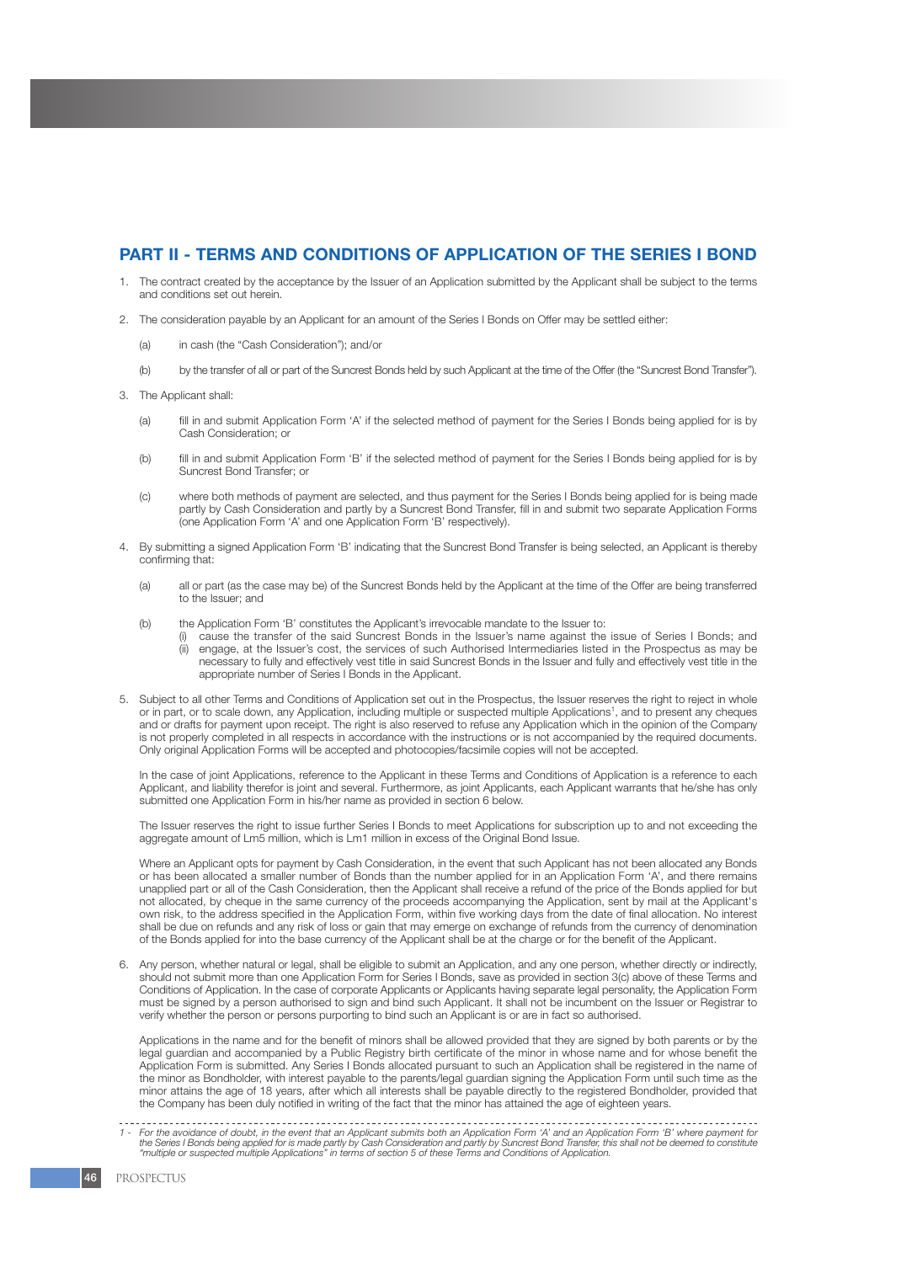# **PART II - TERMS AND CONDITIONS OF APPLICATION OF THE SERIES I BOND**

- 1. The contract created by the acceptance by the Issuer of an Application submitted by the Applicant shall be subject to the terms and conditions set out herein.
- 2. The consideration payable by an Applicant for an amount of the Series I Bonds on Offer may be settled either:
	- (a) in cash (the "Cash Consideration"); and/or
	- (b) by the transfer of all or part of the Suncrest Bonds held by such Applicant at the time of the Offer (the "Suncrest Bond Transfer").
- 3. The Applicant shall:
	- (a) fill in and submit Application Form 'A' if the selected method of payment for the Series I Bonds being applied for is by Cash Consideration; or
	- (b) fill in and submit Application Form 'B' if the selected method of payment for the Series I Bonds being applied for is by Suncrest Bond Transfer; or
	- (c) where both methods of payment are selected, and thus payment for the Series I Bonds being applied for is being made partly by Cash Consideration and partly by a Suncrest Bond Transfer, fill in and submit two separate Application Forms (one Application Form 'A' and one Application Form 'B' respectively).
- 4. By submitting a signed Application Form 'B' indicating that the Suncrest Bond Transfer is being selected, an Applicant is thereby confirming that:
	- (a) all or part (as the case may be) of the Suncrest Bonds held by the Applicant at the time of the Offer are being transferred to the Issuer; and
	- (b) the Application Form 'B' constitutes the Applicant's irrevocable mandate to the Issuer to:
		- (i) cause the transfer of the said Suncrest Bonds in the Issuer's name against the issue of Series I Bonds; and (ii) engage, at the Issuer's cost, the services of such Authorised Intermediaries listed in the Prospectus as may be necessary to fully and effectively vest title in said Suncrest Bonds in the Issuer and fully and effectively vest title in the appropriate number of Series I Bonds in the Applicant.
- 5. Subject to all other Terms and Conditions of Application set out in the Prospectus, the Issuer reserves the right to reject in whole or in part, or to scale down, any Application, including multiple or suspected multiple Applications<sup>1</sup>, and to present any cheques and or drafts for payment upon receipt. The right is also reserved to refuse any Application which in the opinion of the Company is not properly completed in all respects in accordance with the instructions or is not accompanied by the required documents. Only original Application Forms will be accepted and photocopies/facsimile copies will not be accepted.

In the case of joint Applications, reference to the Applicant in these Terms and Conditions of Application is a reference to each Applicant, and liability therefor is joint and several. Furthermore, as joint Applicants, each Applicant warrants that he/she has only submitted one Application Form in his/her name as provided in section 6 below.

The Issuer reserves the right to issue further Series I Bonds to meet Applications for subscription up to and not exceeding the aggregate amount of Lm5 million, which is Lm1 million in excess of the Original Bond Issue.

Where an Applicant opts for payment by Cash Consideration, in the event that such Applicant has not been allocated any Bonds or has been allocated a smaller number of Bonds than the number applied for in an Application Form 'A', and there remains unapplied part or all of the Cash Consideration, then the Applicant shall receive a refund of the price of the Bonds applied for but not allocated, by cheque in the same currency of the proceeds accompanying the Application, sent by mail at the Applicant's own risk, to the address specified in the Application Form, within five working days from the date of final allocation. No interest shall be due on refunds and any risk of loss or gain that may emerge on exchange of refunds from the currency of denomination of the Bonds applied for into the base currency of the Applicant shall be at the charge or for the benefit of the Applicant.

6. Any person, whether natural or legal, shall be eligible to submit an Application, and any one person, whether directly or indirectly, should not submit more than one Application Form for Series I Bonds, save as provided in section 3(c) above of these Terms and Conditions of Application. In the case of corporate Applicants or Applicants having separate legal personality, the Application Form must be signed by a person authorised to sign and bind such Applicant. It shall not be incumbent on the Issuer or Registrar to verify whether the person or persons purporting to bind such an Applicant is or are in fact so authorised.

Applications in the name and for the benefit of minors shall be allowed provided that they are signed by both parents or by the legal guardian and accompanied by a Public Registry birth certificate of the minor in whose name and for whose benefit the Application Form is submitted. Any Series I Bonds allocated pursuant to such an Application shall be registered in the name of the minor as Bondholder, with interest payable to the parents/legal guardian signing the Application Form until such time as the minor attains the age of 18 years, after which all interests shall be payable directly to the registered Bondholder, provided that the Company has been duly notified in writing of the fact that the minor has attained the age of eighteen years.

for the avoidance of doubt, in the event that an Applicant submits both an Application Form 'A' and an Application Form 'B' where payment for the Series I Bonds being application form is the Series I Bonds being applicatio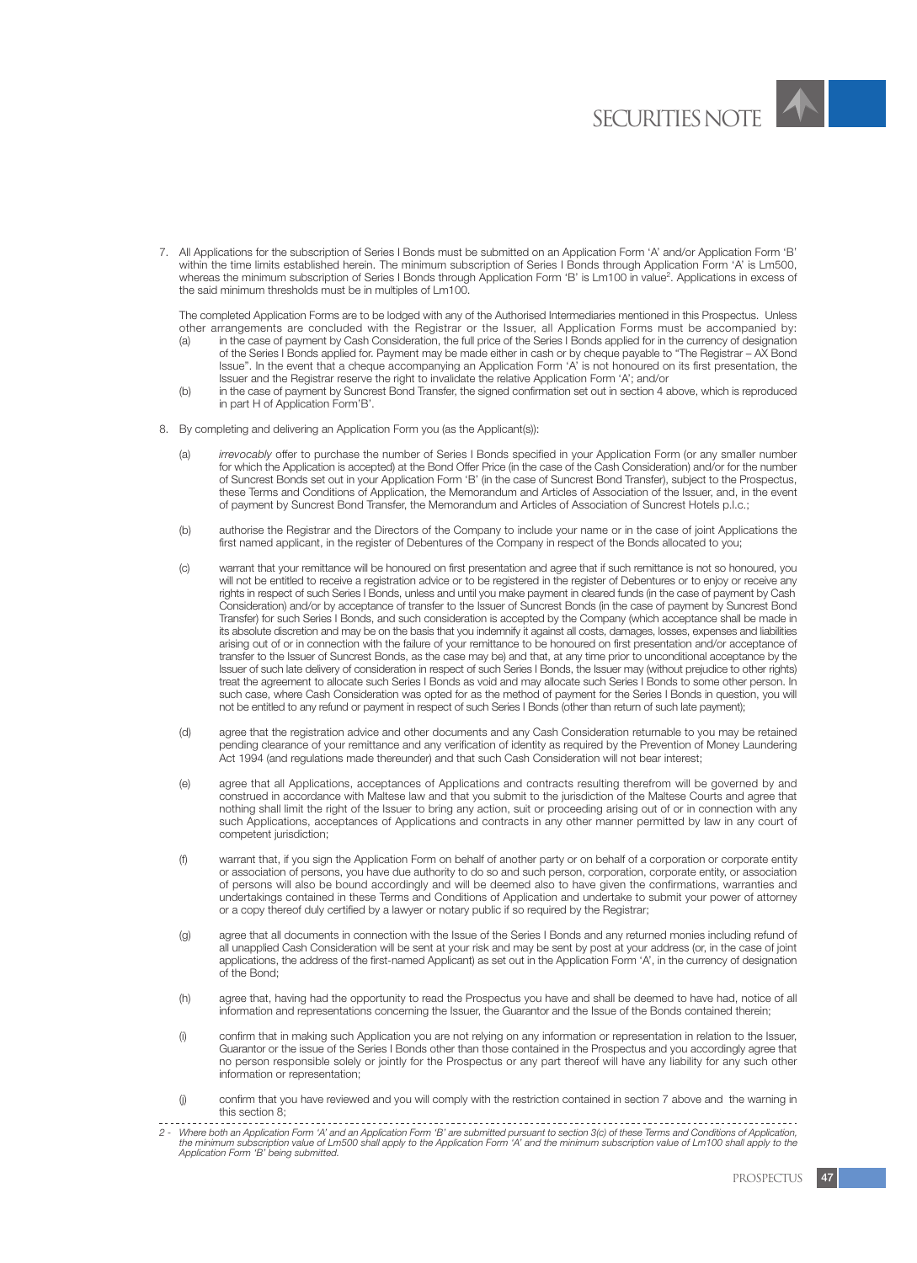

7. All Applications for the subscription of Series I Bonds must be submitted on an Application Form 'A' and/or Application Form 'B' within the time limits established herein. The minimum subscription of Series I Bonds through Application Form 'A' is Lm500, whereas the minimum subscription of Series I Bonds through Application Form 'B' is Lm100 in value<sup>2</sup>. Applications in excess of the said minimum thresholds must be in multiples of Lm100.

The completed Application Forms are to be lodged with any of the Authorised Intermediaries mentioned in this Prospectus. Unless other arrangements are concluded with the Registrar or the Issuer, all Application Forms must be accompanied by:

- (a) in the case of payment by Cash Consideration, the full price of the Series I Bonds applied for in the currency of designation of the Series I Bonds applied for. Payment may be made either in cash or by cheque payable to "The Registrar – AX Bond Issue". In the event that a cheque accompanying an Application Form 'A' is not honoured on its first presentation, the Issuer and the Registrar reserve the right to invalidate the relative Application Form 'A'; and/or
- (b) in the case of payment by Suncrest Bond Transfer, the signed confirmation set out in section 4 above, which is reproduced in part H of Application Form'B'.
- 8. By completing and delivering an Application Form you (as the Applicant(s)):
	- (a) *irrevocably* offer to purchase the number of Series I Bonds specified in your Application Form (or any smaller number for which the Application is accepted) at the Bond Offer Price (in the case of the Cash Consideration) and/or for the number of Suncrest Bonds set out in your Application Form 'B' (in the case of Suncrest Bond Transfer), subject to the Prospectus, these Terms and Conditions of Application, the Memorandum and Articles of Association of the Issuer, and, in the event of payment by Suncrest Bond Transfer, the Memorandum and Articles of Association of Suncrest Hotels p.l.c.;
	- (b) authorise the Registrar and the Directors of the Company to include your name or in the case of joint Applications the first named applicant, in the register of Debentures of the Company in respect of the Bonds allocated to you;
	- (c) warrant that your remittance will be honoured on first presentation and agree that if such remittance is not so honoured, you will not be entitled to receive a registration advice or to be registered in the register of Debentures or to enjoy or receive any rights in respect of such Series I Bonds, unless and until you make payment in cleared funds (in the case of payment by Cash Consideration) and/or by acceptance of transfer to the Issuer of Suncrest Bonds (in the case of payment by Suncrest Bond Transfer) for such Series I Bonds, and such consideration is accepted by the Company (which acceptance shall be made in its absolute discretion and may be on the basis that you indemnify it against all costs, damages, losses, expenses and liabilities arising out of or in connection with the failure of your remittance to be honoured on first presentation and/or acceptance of transfer to the Issuer of Suncrest Bonds, as the case may be) and that, at any time prior to unconditional acceptance by the Issuer of such late delivery of consideration in respect of such Series I Bonds, the Issuer may (without prejudice to other rights) treat the agreement to allocate such Series I Bonds as void and may allocate such Series I Bonds to some other person. In such case, where Cash Consideration was opted for as the method of payment for the Series I Bonds in question, you will not be entitled to any refund or payment in respect of such Series I Bonds (other than return of such late payment);
	- (d) agree that the registration advice and other documents and any Cash Consideration returnable to you may be retained pending clearance of your remittance and any verification of identity as required by the Prevention of Money Laundering Act 1994 (and regulations made thereunder) and that such Cash Consideration will not bear interest;
	- (e) agree that all Applications, acceptances of Applications and contracts resulting therefrom will be governed by and construed in accordance with Maltese law and that you submit to the jurisdiction of the Maltese Courts and agree that nothing shall limit the right of the Issuer to bring any action, suit or proceeding arising out of or in connection with any such Applications, acceptances of Applications and contracts in any other manner permitted by law in any court of competent jurisdiction:
	- (f) warrant that, if you sign the Application Form on behalf of another party or on behalf of a corporation or corporate entity or association of persons, you have due authority to do so and such person, corporation, corporate entity, or association of persons will also be bound accordingly and will be deemed also to have given the confirmations, warranties and undertakings contained in these Terms and Conditions of Application and undertake to submit your power of attorney or a copy thereof duly certified by a lawyer or notary public if so required by the Registrar;
	- (g) agree that all documents in connection with the Issue of the Series I Bonds and any returned monies including refund of all unapplied Cash Consideration will be sent at your risk and may be sent by post at your address (or, in the case of joint applications, the address of the first-named Applicant) as set out in the Application Form 'A', in the currency of designation of the Bond;
	- (h) agree that, having had the opportunity to read the Prospectus you have and shall be deemed to have had, notice of all information and representations concerning the Issuer, the Guarantor and the Issue of the Bonds contained therein;
	- (i) confirm that in making such Application you are not relying on any information or representation in relation to the Issuer, Guarantor or the issue of the Series I Bonds other than those contained in the Prospectus and you accordingly agree that no person responsible solely or jointly for the Prospectus or any part thereof will have any liability for any such other information or representation;
	- (j) confirm that you have reviewed and you will comply with the restriction contained in section 7 above and the warning in this section 8;
- 2 Where both an Application Form 'A' and an Application Form 'B' are submitted pursuant to section 3(c) of these Terms and Conditions of Application,<br>the minimum subscription value of Lm100 shall apply to the Application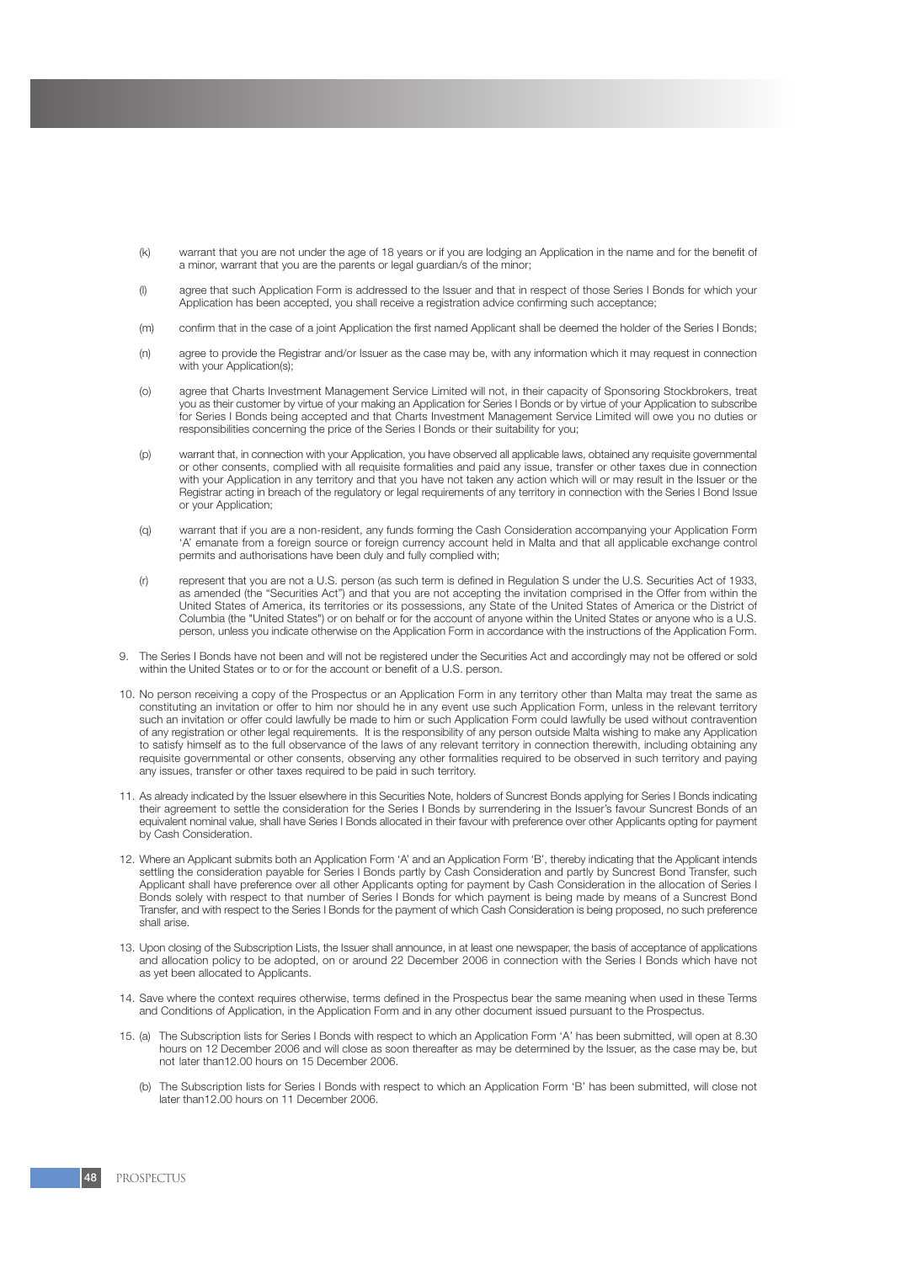- (k) warrant that you are not under the age of 18 years or if you are lodging an Application in the name and for the benefit of a minor, warrant that you are the parents or legal guardian/s of the minor;
- (l) agree that such Application Form is addressed to the Issuer and that in respect of those Series I Bonds for which your Application has been accepted, you shall receive a registration advice confirming such acceptance;
- (m) confirm that in the case of a joint Application the first named Applicant shall be deemed the holder of the Series I Bonds;
- (n) agree to provide the Registrar and/or Issuer as the case may be, with any information which it may request in connection with your Application(s);
- (o) agree that Charts Investment Management Service Limited will not, in their capacity of Sponsoring Stockbrokers, treat you as their customer by virtue of your making an Application for Series I Bonds or by virtue of your Application to subscribe for Series I Bonds being accepted and that Charts Investment Management Service Limited will owe you no duties or responsibilities concerning the price of the Series I Bonds or their suitability for you;
- (p) warrant that, in connection with your Application, you have observed all applicable laws, obtained any requisite governmental or other consents, complied with all requisite formalities and paid any issue, transfer or other taxes due in connection with your Application in any territory and that you have not taken any action which will or may result in the Issuer or the Registrar acting in breach of the regulatory or legal requirements of any territory in connection with the Series I Bond Issue or your Application;
- (q) warrant that if you are a non-resident, any funds forming the Cash Consideration accompanying your Application Form 'A' emanate from a foreign source or foreign currency account held in Malta and that all applicable exchange control permits and authorisations have been duly and fully complied with;
- (r) represent that you are not a U.S. person (as such term is defined in Regulation S under the U.S. Securities Act of 1933, as amended (the "Securities Act") and that you are not accepting the invitation comprised in the Offer from within the United States of America, its territories or its possessions, any State of the United States of America or the District of Columbia (the "United States") or on behalf or for the account of anyone within the United States or anyone who is a U.S. person, unless you indicate otherwise on the Application Form in accordance with the instructions of the Application Form.
- 9. The Series I Bonds have not been and will not be registered under the Securities Act and accordingly may not be offered or sold within the United States or to or for the account or benefit of a U.S. person.
- 10. No person receiving a copy of the Prospectus or an Application Form in any territory other than Malta may treat the same as constituting an invitation or offer to him nor should he in any event use such Application Form, unless in the relevant territory such an invitation or offer could lawfully be made to him or such Application Form could lawfully be used without contravention of any registration or other legal requirements. It is the responsibility of any person outside Malta wishing to make any Application to satisfy himself as to the full observance of the laws of any relevant territory in connection therewith, including obtaining any requisite governmental or other consents, observing any other formalities required to be observed in such territory and paying any issues, transfer or other taxes required to be paid in such territory.
- 11. As already indicated by the Issuer elsewhere in this Securities Note, holders of Suncrest Bonds applying for Series I Bonds indicating their agreement to settle the consideration for the Series I Bonds by surrendering in the Issuer's favour Suncrest Bonds of an equivalent nominal value, shall have Series I Bonds allocated in their favour with preference over other Applicants opting for payment by Cash Consideration.
- 12. Where an Applicant submits both an Application Form 'A' and an Application Form 'B', thereby indicating that the Applicant intends settling the consideration payable for Series I Bonds partly by Cash Consideration and partly by Suncrest Bond Transfer, such Applicant shall have preference over all other Applicants opting for payment by Cash Consideration in the allocation of Series I Bonds solely with respect to that number of Series I Bonds for which payment is being made by means of a Suncrest Bond Transfer, and with respect to the Series I Bonds for the payment of which Cash Consideration is being proposed, no such preference shall arise.
- 13. Upon closing of the Subscription Lists, the Issuer shall announce, in at least one newspaper, the basis of acceptance of applications and allocation policy to be adopted, on or around 22 December 2006 in connection with the Series I Bonds which have not as yet been allocated to Applicants.
- 14. Save where the context requires otherwise, terms defined in the Prospectus bear the same meaning when used in these Terms and Conditions of Application, in the Application Form and in any other document issued pursuant to the Prospectus.
- 15. (a) The Subscription lists for Series I Bonds with respect to which an Application Form 'A' has been submitted, will open at 8.30 hours on 12 December 2006 and will close as soon thereafter as may be determined by the Issuer, as the case may be, but not later than12.00 hours on 15 December 2006.
	- (b) The Subscription lists for Series I Bonds with respect to which an Application Form 'B' has been submitted, will close not later than12.00 hours on 11 December 2006.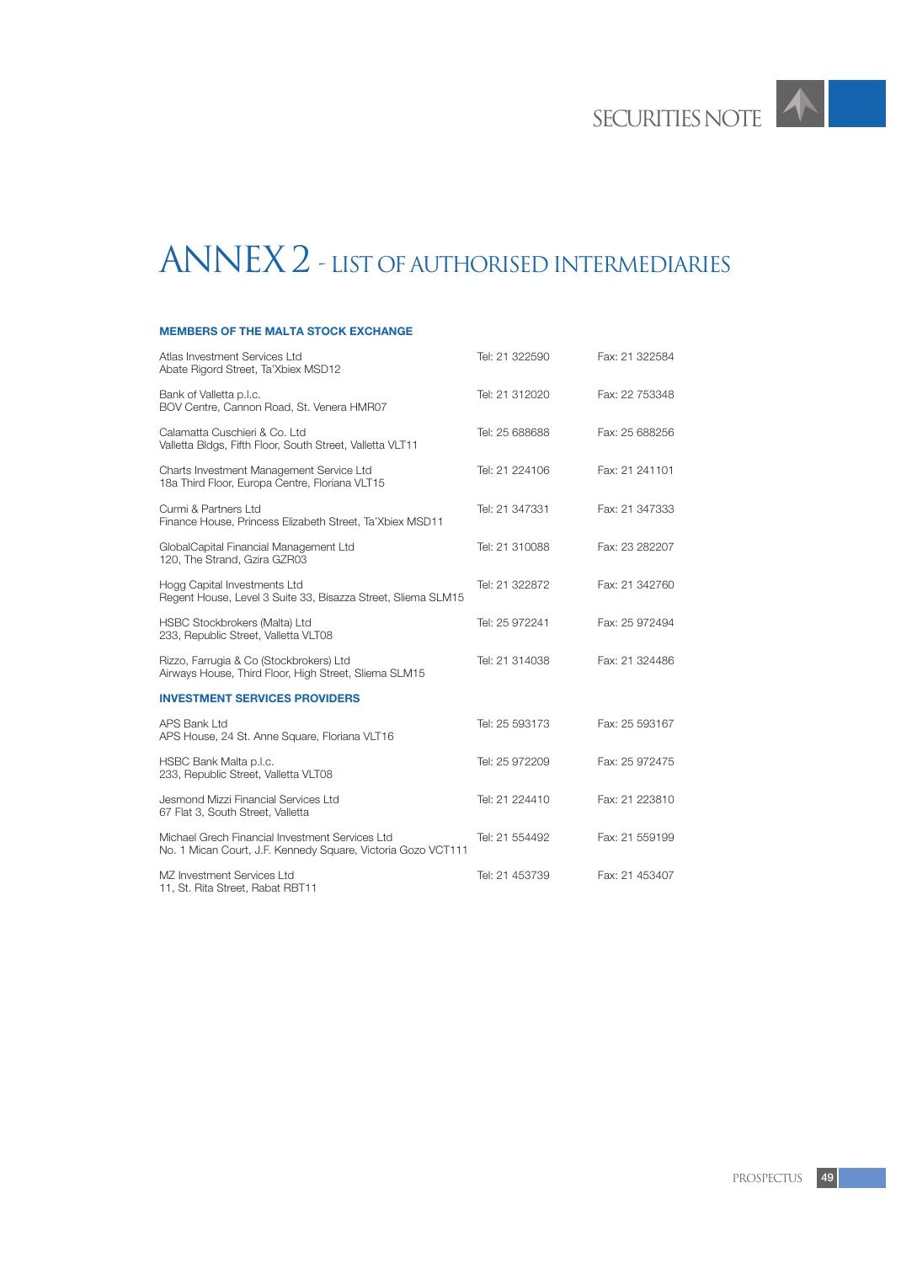# ANNEX 2 - LIST OF AUTHORISED INTERMEDIARIES

# **MEMBERS OF THE MALTA STOCK EXCHANGE**

| Atlas Investment Services Ltd<br>Abate Rigord Street, Ta'Xbiex MSD12                                            | Tel: 21 322590 | Fax: 21 322584 |
|-----------------------------------------------------------------------------------------------------------------|----------------|----------------|
| Bank of Valletta p.l.c.<br>BOV Centre, Cannon Road, St. Venera HMR07                                            | Tel: 21 312020 | Fax: 22 753348 |
| Calamatta Cuschieri & Co. Ltd<br>Valletta Bldgs, Fifth Floor, South Street, Valletta VLT11                      | Tel: 25 688688 | Fax: 25 688256 |
| Charts Investment Management Service Ltd<br>18a Third Floor, Europa Centre, Floriana VLT15                      | Tel: 21 224106 | Fax: 21 241101 |
| Curmi & Partners Ltd<br>Finance House, Princess Elizabeth Street, Ta'Xbiex MSD11                                | Tel: 21 347331 | Fax: 21 347333 |
| GlobalCapital Financial Management Ltd<br>120, The Strand, Gzira GZR03                                          | Tel: 21 310088 | Fax: 23 282207 |
| Hogg Capital Investments Ltd<br>Regent House, Level 3 Suite 33, Bisazza Street, Sliema SLM15                    | Tel: 21 322872 | Fax: 21 342760 |
| <b>HSBC Stockbrokers (Malta) Ltd</b><br>233, Republic Street, Valletta VLT08                                    | Tel: 25 972241 | Fax: 25 972494 |
| Rizzo, Farrugia & Co (Stockbrokers) Ltd<br>Airways House, Third Floor, High Street, Sliema SLM15                | Tel: 21 314038 | Fax: 21 324486 |
| <b>INVESTMENT SERVICES PROVIDERS</b>                                                                            |                |                |
| APS Bank Ltd<br>APS House, 24 St. Anne Square, Floriana VLT16                                                   | Tel: 25 593173 | Fax: 25 593167 |
| HSBC Bank Malta p.l.c.<br>233, Republic Street, Valletta VLT08                                                  | Tel: 25 972209 | Fax: 25 972475 |
| Jesmond Mizzi Financial Services Ltd<br>67 Flat 3, South Street, Valletta                                       | Tel: 21 224410 | Fax: 21 223810 |
| Michael Grech Financial Investment Services Ltd<br>No. 1 Mican Court, J.F. Kennedy Square, Victoria Gozo VCT111 | Tel: 21 554492 | Fax: 21 559199 |
| MZ Investment Services Ltd<br>11, St. Rita Street, Rabat RBT11                                                  | Tel: 21 453739 | Fax: 21 453407 |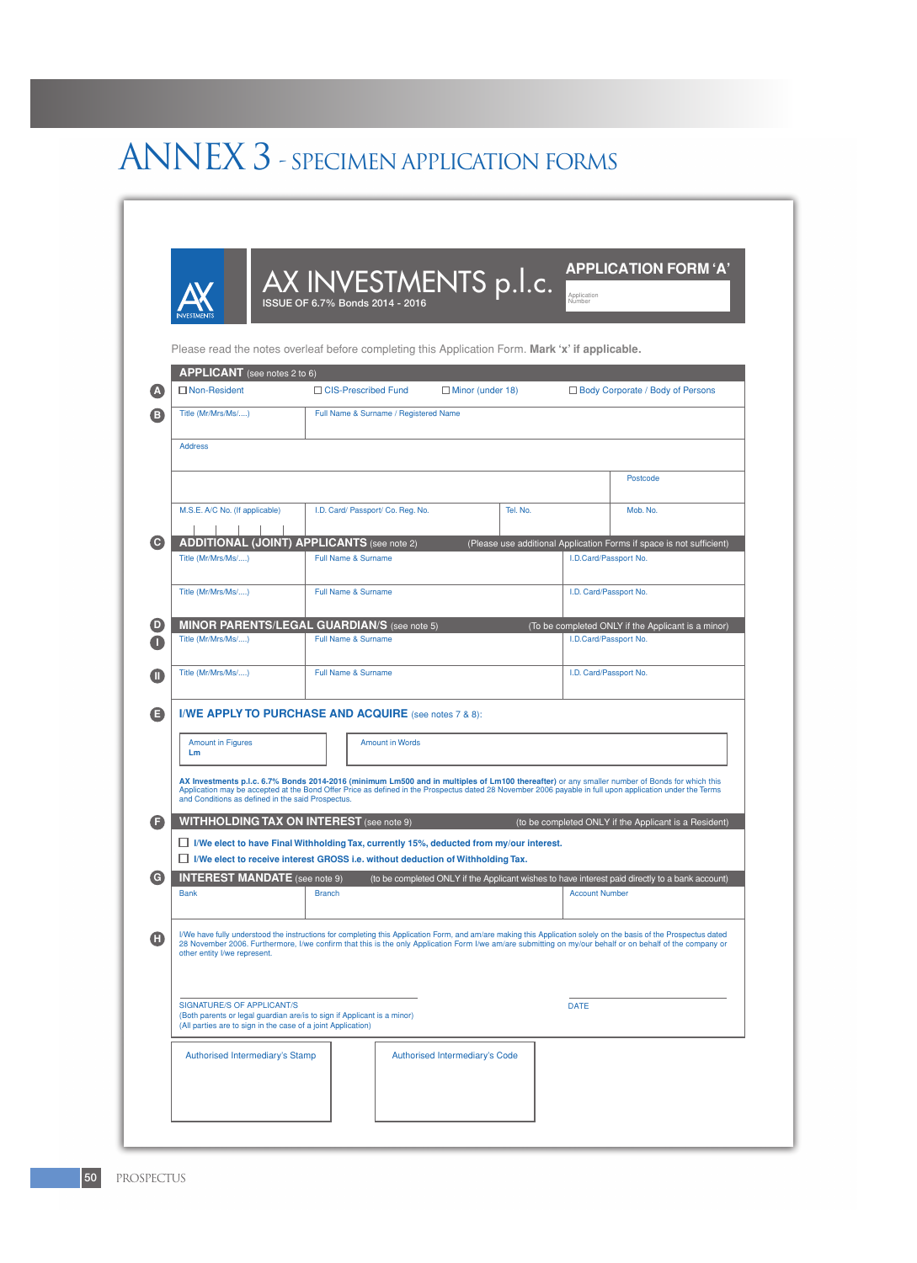# ANNEX 3 - SPECIMEN APPLICATION FORMS

|                  |                                                                                                                                               | Please read the notes overleaf before completing this Application Form. Mark 'x' if applicable.                                                                                          |                                                    |                                                                                                 |  |
|------------------|-----------------------------------------------------------------------------------------------------------------------------------------------|------------------------------------------------------------------------------------------------------------------------------------------------------------------------------------------|----------------------------------------------------|-------------------------------------------------------------------------------------------------|--|
| Δ                | APPLICANT (see notes 2 to 6)<br>$\Box$ Non-Resident                                                                                           | □ CIS-Prescribed Fund                                                                                                                                                                    | $\Box$ Minor (under 18)                            | □ Body Corporate / Body of Persons                                                              |  |
| в                | Title (Mr/Mrs/Ms/)                                                                                                                            | Full Name & Surname / Registered Name                                                                                                                                                    |                                                    |                                                                                                 |  |
|                  | <b>Address</b>                                                                                                                                |                                                                                                                                                                                          |                                                    |                                                                                                 |  |
|                  |                                                                                                                                               |                                                                                                                                                                                          |                                                    | Postcode                                                                                        |  |
|                  |                                                                                                                                               |                                                                                                                                                                                          |                                                    |                                                                                                 |  |
|                  | M.S.E. A/C No. (If applicable)                                                                                                                | I.D. Card/ Passport/ Co. Reg. No.                                                                                                                                                        | Tel. No.                                           | Mob. No.                                                                                        |  |
| O                |                                                                                                                                               | <b>ADDITIONAL (JOINT) APPLICANTS (see note 2)</b>                                                                                                                                        |                                                    | (Please use additional Application Forms if space is not sufficient)                            |  |
|                  | Title (Mr/Mrs/Ms/)                                                                                                                            | <b>Full Name &amp; Surname</b>                                                                                                                                                           |                                                    | I.D.Card/Passport No.                                                                           |  |
|                  | Title (Mr/Mrs/Ms/)                                                                                                                            | Full Name & Surname                                                                                                                                                                      |                                                    | I.D. Card/Passport No.                                                                          |  |
| D                |                                                                                                                                               | <b>MINOR PARENTS/LEGAL GUARDIAN/S (see note 5)</b>                                                                                                                                       | (To be completed ONLY if the Applicant is a minor) |                                                                                                 |  |
|                  | Title (Mr/Mrs/Ms/)                                                                                                                            | Full Name & Surname                                                                                                                                                                      |                                                    | I.D.Card/Passport No.                                                                           |  |
| M                | Title (Mr/Mrs/Ms/)                                                                                                                            | <b>Full Name &amp; Surname</b>                                                                                                                                                           |                                                    | I.D. Card/Passport No.                                                                          |  |
|                  |                                                                                                                                               |                                                                                                                                                                                          |                                                    |                                                                                                 |  |
| G                |                                                                                                                                               | I/WE APPLY TO PURCHASE AND ACQUIRE (see notes 7 & 8):                                                                                                                                    |                                                    |                                                                                                 |  |
|                  | <b>Amount in Figures</b><br>Lm                                                                                                                | <b>Amount in Words</b>                                                                                                                                                                   |                                                    |                                                                                                 |  |
|                  | AX Investments p.l.c. 6.7% Bonds 2014-2016 (minimum Lm500 and in multiples of Lm100 thereafter) or any smaller number of Bonds for which this |                                                                                                                                                                                          |                                                    |                                                                                                 |  |
|                  | and Conditions as defined in the said Prospectus.                                                                                             | Application may be accepted at the Bond Offer Price as defined in the Prospectus dated 28 November 2006 payable in full upon application under the Terms                                 |                                                    |                                                                                                 |  |
| Œ                |                                                                                                                                               | <b>WITHHOLDING TAX ON INTEREST</b> (see note 9)                                                                                                                                          |                                                    | (to be completed ONLY if the Applicant is a Resident)                                           |  |
|                  |                                                                                                                                               | $\Box$ I/We elect to have Final Withholding Tax, currently 15%, deducted from my/our interest.<br>$\Box$ I/We elect to receive interest GROSS i.e. without deduction of Withholding Tax. |                                                    |                                                                                                 |  |
| $\mathbf \Theta$ | <b>INTEREST MANDATE</b> (see note 9)                                                                                                          |                                                                                                                                                                                          |                                                    | (to be completed ONLY if the Applicant wishes to have interest paid directly to a bank account) |  |
|                  | <b>Bank</b>                                                                                                                                   | <b>Branch</b>                                                                                                                                                                            |                                                    | <b>Account Number</b>                                                                           |  |
| O                |                                                                                                                                               | I/We have fully understood the instructions for completing this Application Form, and am/are making this Application solely on the basis of the Prospectus dated                         |                                                    |                                                                                                 |  |
|                  | other entity I/we represent.                                                                                                                  | 28 November 2006. Furthermore, I/we confirm that this is the only Application Form I/we am/are submitting on my/our behalf or on behalf of the company or                                |                                                    |                                                                                                 |  |
|                  |                                                                                                                                               |                                                                                                                                                                                          |                                                    |                                                                                                 |  |
|                  | <b>SIGNATURE/S OF APPLICANT/S</b>                                                                                                             |                                                                                                                                                                                          |                                                    | <b>DATE</b>                                                                                     |  |
|                  | (Both parents or legal guardian are/is to sign if Applicant is a minor)<br>(All parties are to sign in the case of a joint Application)       |                                                                                                                                                                                          |                                                    |                                                                                                 |  |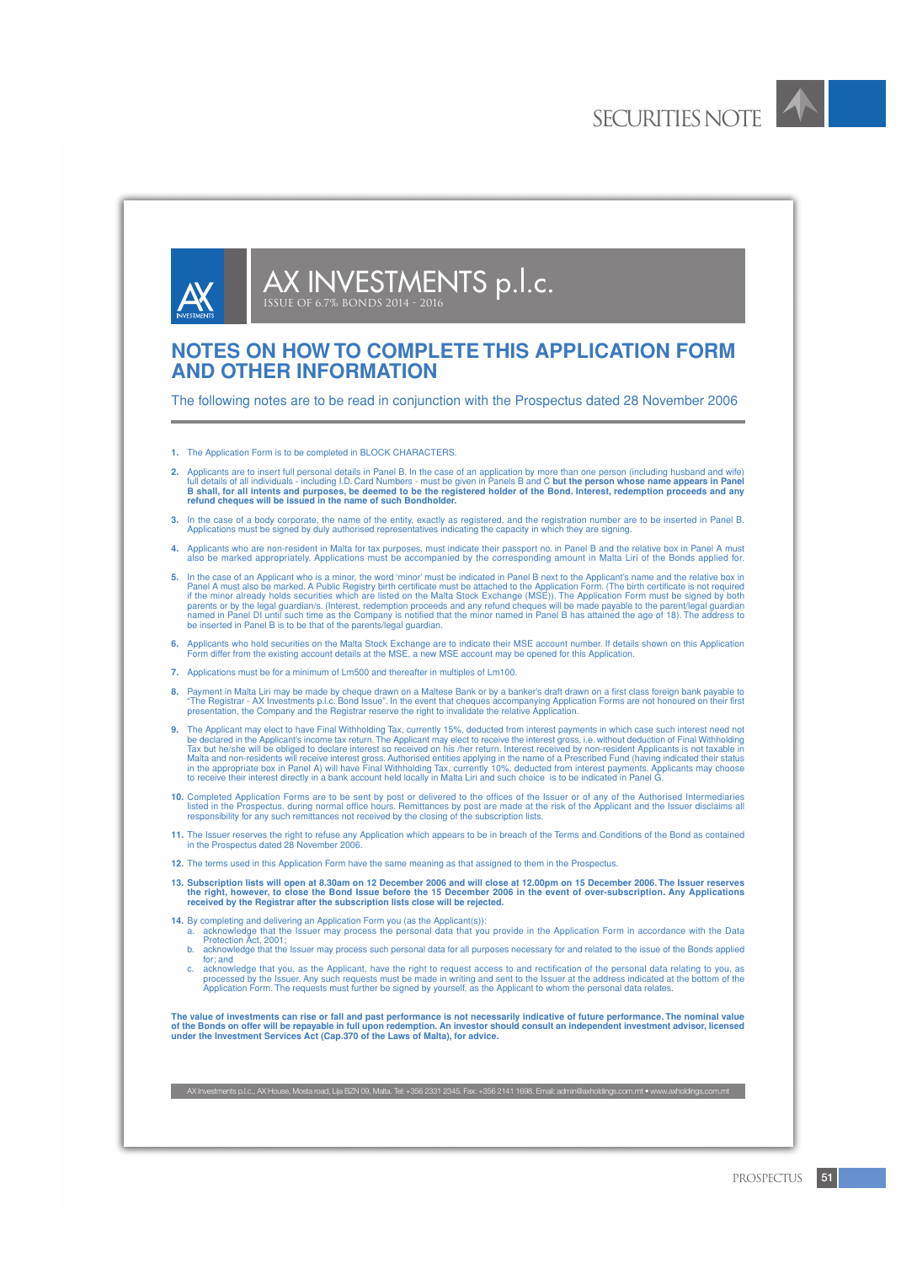

AX INVESTMENTS p.l.c. ISSUE OF 6.7% Bonds 2014 - 2016

# **NOTES ON HOW TO COMPLETE THIS APPLICATION FORM AND OTHER INFORMATION**

The following notes are to be read in conjunction with the Prospectus dated 28 November 2006

- **1.** The Application Form is to be completed in BLOCK CHARACTERS.
- Applicants are to insert full personal details in Panel B. In the case of an application by more than one person (including husband and wife) full details of all individuals including I.D. Card Numbers must be given in **refund cheques will be issued in the name of such Bondholder.**
- 3. In the case of a body corporate, the name of the entity, exactly as registered, and the registration number are to be inserted in Panel B.<br>Applications must be signed by duly authorised representatives indicating the ca
- 4. Applicants who are non-resident in Malta for tax purposes, must indicate their passport no. in Panel B and the relative box in Panel A must<br>also be marked appropriately. Applications must be accompanied by the correspon
- **5.** In the case of an Applicant who is a minor, the word 'minor' must be indicated in Panel B next to the Applicant's name and the relative box in Panel A must also be marked. A Public Registry birth certificate must be attached to the Application Form. (The birth certificate is not required<br>if the minor already holds securities which are listed on the Malta Stock Ex parents or by the legal guardian/s. (Interest, redemption proceeds and any refund cheques will be made payable to the parent/legal guardian<br>named in Panel DI until such time as the Company is notified that the minor named
- **6.** Applicants who hold securities on the Malta Stock Exchange are to indicate their MSE account number. If details shown on this Application Form differ from the existing account details at the MSE, a new MSE account may be opened for this Application.
- **7.** Applications must be for a minimum of Lm500 and thereafter in multiples of Lm100.
- **8.** Payment in Malta Liri may be made by cheque drawn on a Maltese Bank or by a banker's draft drawn on a first class foreign bank payable to "The Registrar - AX Investments p.l.c. Bond Issue". In the event that cheques accompanying Application Forms are not honoured on their first<br>presentation, the Company and the Registrar reserve the right to invalidate the r
- The Applicant may elect to have Final Withholding Tax, currently 15%, deducted from interest payments in which case such interest need not be declared in the Applicant's income tax return. The Applicant may elect to receive the interest gross, i.e. without deduction of Final Withholding<br>Tax but he/she will be obliged to declare interest so received on his /he
- 10. Completed Application Forms are to be sent by post or delivered to the offices of the Issuer or of any of the Authorised Intermediaries<br>Isted in the Prospectus, during normal office hours. Remittances by post are made
- **11.** The Issuer reserves the right to refuse any Application which appears to be in breach of the Terms and Conditions of the Bond as contained in the Prospectus dated 28 November 2006.
- **12.** The terms used in this Application Form have the same meaning as that assigned to them in the Prospectus.
- 13. Subscription lists will open at 8.30am on 12 December 2006 and will close at 12.00pm on 15 December 2006. The Issuer reserves<br>the right, however, to close the Bond Issue before the 15 December 2006 in the event of over **received by the Registrar after the subscription lists close will be rejected.**
- 
- 14. By completing and delivering an Application Form you (as the Applicant(s)):<br>a. acknowledge that the Issuer may process the personal data that you provide in the Application Form in accordance with the Data<br>Protection A
	- b. acknowledge that the Issuer may process such personal data for all purposes necessary for and related to the issue of the Bonds applied for; and
	- c. acknowledge that you, as the Applicant, have the right to request access to and rectification of the personal data relating to you, as<br>processed by the Issuer. Any such requests must be made in writing and sent to the I

The value of investments can rise or fall and past performance is not necessarily indicative of future performance. The nominal value<br>of the Bonds on offer will be repayable in full upon redemption. An investor should cons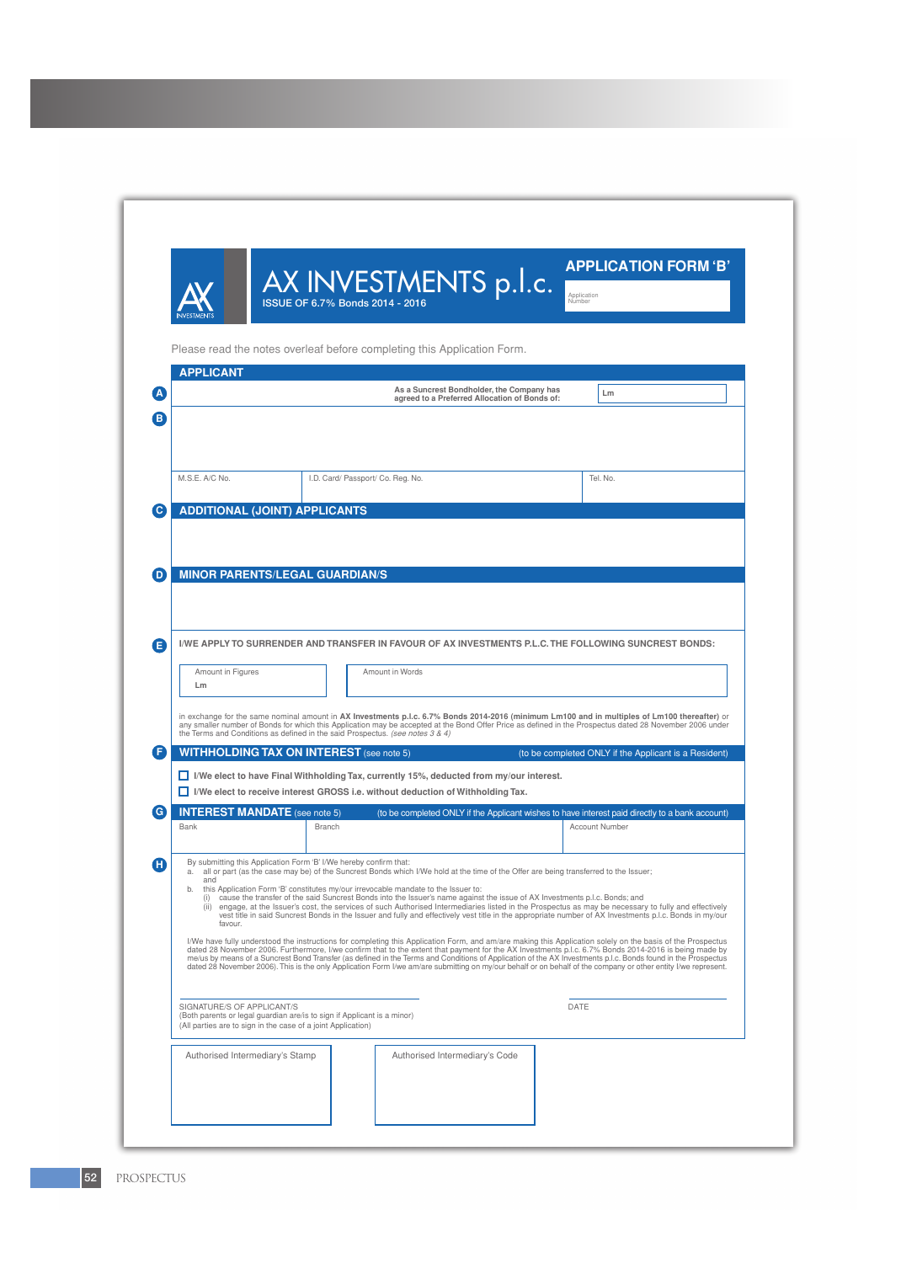|                                                                                                                                                                       |               | AX INVESTMENTS p.l.c.<br>ISSUE OF 6.7% Bonds 2014 - 2016                                                                                                                                                                                                                                                                                                        | <b>APPLICATION FORM 'B'</b><br>Application<br>Niumber                                                                                                                                                                                                                                                                                                                                                                                                                                                                                                                                                                                                 |
|-----------------------------------------------------------------------------------------------------------------------------------------------------------------------|---------------|-----------------------------------------------------------------------------------------------------------------------------------------------------------------------------------------------------------------------------------------------------------------------------------------------------------------------------------------------------------------|-------------------------------------------------------------------------------------------------------------------------------------------------------------------------------------------------------------------------------------------------------------------------------------------------------------------------------------------------------------------------------------------------------------------------------------------------------------------------------------------------------------------------------------------------------------------------------------------------------------------------------------------------------|
| <b>APPLICANT</b>                                                                                                                                                      |               | Please read the notes overleaf before completing this Application Form.                                                                                                                                                                                                                                                                                         |                                                                                                                                                                                                                                                                                                                                                                                                                                                                                                                                                                                                                                                       |
|                                                                                                                                                                       |               | As a Suncrest Bondholder, the Company has<br>agreed to a Preferred Allocation of Bonds of:                                                                                                                                                                                                                                                                      | Lm                                                                                                                                                                                                                                                                                                                                                                                                                                                                                                                                                                                                                                                    |
|                                                                                                                                                                       |               |                                                                                                                                                                                                                                                                                                                                                                 |                                                                                                                                                                                                                                                                                                                                                                                                                                                                                                                                                                                                                                                       |
| M.S.E. A/C No.                                                                                                                                                        |               | I.D. Card/ Passport/ Co. Reg. No.                                                                                                                                                                                                                                                                                                                               | Tel. No.                                                                                                                                                                                                                                                                                                                                                                                                                                                                                                                                                                                                                                              |
| <b>ADDITIONAL (JOINT) APPLICANTS</b>                                                                                                                                  |               |                                                                                                                                                                                                                                                                                                                                                                 |                                                                                                                                                                                                                                                                                                                                                                                                                                                                                                                                                                                                                                                       |
|                                                                                                                                                                       |               |                                                                                                                                                                                                                                                                                                                                                                 |                                                                                                                                                                                                                                                                                                                                                                                                                                                                                                                                                                                                                                                       |
|                                                                                                                                                                       |               |                                                                                                                                                                                                                                                                                                                                                                 |                                                                                                                                                                                                                                                                                                                                                                                                                                                                                                                                                                                                                                                       |
| <b>MINOR PARENTS/LEGAL GUARDIAN/S</b>                                                                                                                                 |               |                                                                                                                                                                                                                                                                                                                                                                 |                                                                                                                                                                                                                                                                                                                                                                                                                                                                                                                                                                                                                                                       |
|                                                                                                                                                                       |               |                                                                                                                                                                                                                                                                                                                                                                 |                                                                                                                                                                                                                                                                                                                                                                                                                                                                                                                                                                                                                                                       |
|                                                                                                                                                                       |               |                                                                                                                                                                                                                                                                                                                                                                 |                                                                                                                                                                                                                                                                                                                                                                                                                                                                                                                                                                                                                                                       |
|                                                                                                                                                                       |               |                                                                                                                                                                                                                                                                                                                                                                 |                                                                                                                                                                                                                                                                                                                                                                                                                                                                                                                                                                                                                                                       |
|                                                                                                                                                                       |               |                                                                                                                                                                                                                                                                                                                                                                 | I/WE APPLY TO SURRENDER AND TRANSFER IN FAVOUR OF AX INVESTMENTS P.L.C. THE FOLLOWING SUNCREST BONDS:                                                                                                                                                                                                                                                                                                                                                                                                                                                                                                                                                 |
|                                                                                                                                                                       |               |                                                                                                                                                                                                                                                                                                                                                                 |                                                                                                                                                                                                                                                                                                                                                                                                                                                                                                                                                                                                                                                       |
| Amount in Figures<br>Lm                                                                                                                                               |               | Amount in Words                                                                                                                                                                                                                                                                                                                                                 |                                                                                                                                                                                                                                                                                                                                                                                                                                                                                                                                                                                                                                                       |
|                                                                                                                                                                       |               | the Terms and Conditions as defined in the said Prospectus. (see notes 3 & 4)                                                                                                                                                                                                                                                                                   | in exchange for the same nominal amount in AX Investments p.l.c. 6.7% Bonds 2014-2016 (minimum Lm100 and in multiples of Lm100 thereafter) or<br>any smaller number of Bonds for which this Application may be accepted at the Bond Offer Price as defined in the Prospectus dated 28 November 2006 under                                                                                                                                                                                                                                                                                                                                             |
| <b>WITHHOLDING TAX ON INTEREST</b> (see note 5)                                                                                                                       |               |                                                                                                                                                                                                                                                                                                                                                                 | (to be completed ONLY if the Applicant is a Resident)                                                                                                                                                                                                                                                                                                                                                                                                                                                                                                                                                                                                 |
|                                                                                                                                                                       |               | $\Box$ I/We elect to have Final Withholding Tax, currently 15%, deducted from my/our interest.                                                                                                                                                                                                                                                                  |                                                                                                                                                                                                                                                                                                                                                                                                                                                                                                                                                                                                                                                       |
|                                                                                                                                                                       |               | $\Box$ I/We elect to receive interest GROSS i.e. without deduction of Withholding Tax.                                                                                                                                                                                                                                                                          |                                                                                                                                                                                                                                                                                                                                                                                                                                                                                                                                                                                                                                                       |
| <b>INTEREST MANDATE</b> (see note 5)                                                                                                                                  | <b>Branch</b> |                                                                                                                                                                                                                                                                                                                                                                 | (to be completed ONLY if the Applicant wishes to have interest paid directly to a bank account)<br><b>Account Number</b>                                                                                                                                                                                                                                                                                                                                                                                                                                                                                                                              |
| Bank                                                                                                                                                                  |               |                                                                                                                                                                                                                                                                                                                                                                 |                                                                                                                                                                                                                                                                                                                                                                                                                                                                                                                                                                                                                                                       |
| By submitting this Application Form 'B' I/We hereby confirm that:                                                                                                     |               |                                                                                                                                                                                                                                                                                                                                                                 |                                                                                                                                                                                                                                                                                                                                                                                                                                                                                                                                                                                                                                                       |
| and<br>b.<br>favour.                                                                                                                                                  |               | a. all or part (as the case may be) of the Suncrest Bonds which I/We hold at the time of the Offer are being transferred to the Issuer;<br>this Application Form 'B' constitutes my/our irrevocable mandate to the Issuer to:<br>(i) cause the transfer of the said Suncrest Bonds into the Issuer's name against the issue of AX Investments p.l.c. Bonds; and | (ii) engage, at the Issuer's cost, the services of such Authorised Intermediaries listed in the Prospectus as may be necessary to fully and effectively<br>vest title in said Suncrest Bonds in the Issuer and fully and effectively vest title in the appropriate number of AX Investments p.l.c. Bonds in my/our                                                                                                                                                                                                                                                                                                                                    |
|                                                                                                                                                                       |               |                                                                                                                                                                                                                                                                                                                                                                 | I/We have fully understood the instructions for completing this Application Form, and am/are making this Application solely on the basis of the Prospectus<br>dated 28 November 2006. Furthermore, I/we confirm that to the extent that payment for the AX Investments p.l.c. 6.7% Bonds 2014-2016 is being made by<br>me/us by means of a Suncrest Bond Transfer (as defined in the Terms and Conditions of Application of the AX Investments p.l.c. Bonds found in the Prospectus<br>dated 28 November 2006). This is the only Application Form I/we am/are submitting on my/our behalf or on behalf of the company or other entity I/we represent. |
|                                                                                                                                                                       |               |                                                                                                                                                                                                                                                                                                                                                                 |                                                                                                                                                                                                                                                                                                                                                                                                                                                                                                                                                                                                                                                       |
| SIGNATURE/S OF APPLICANT/S<br>(Both parents or legal guardian are/is to sign if Applicant is a minor)<br>(All parties are to sign in the case of a joint Application) |               |                                                                                                                                                                                                                                                                                                                                                                 | DATE                                                                                                                                                                                                                                                                                                                                                                                                                                                                                                                                                                                                                                                  |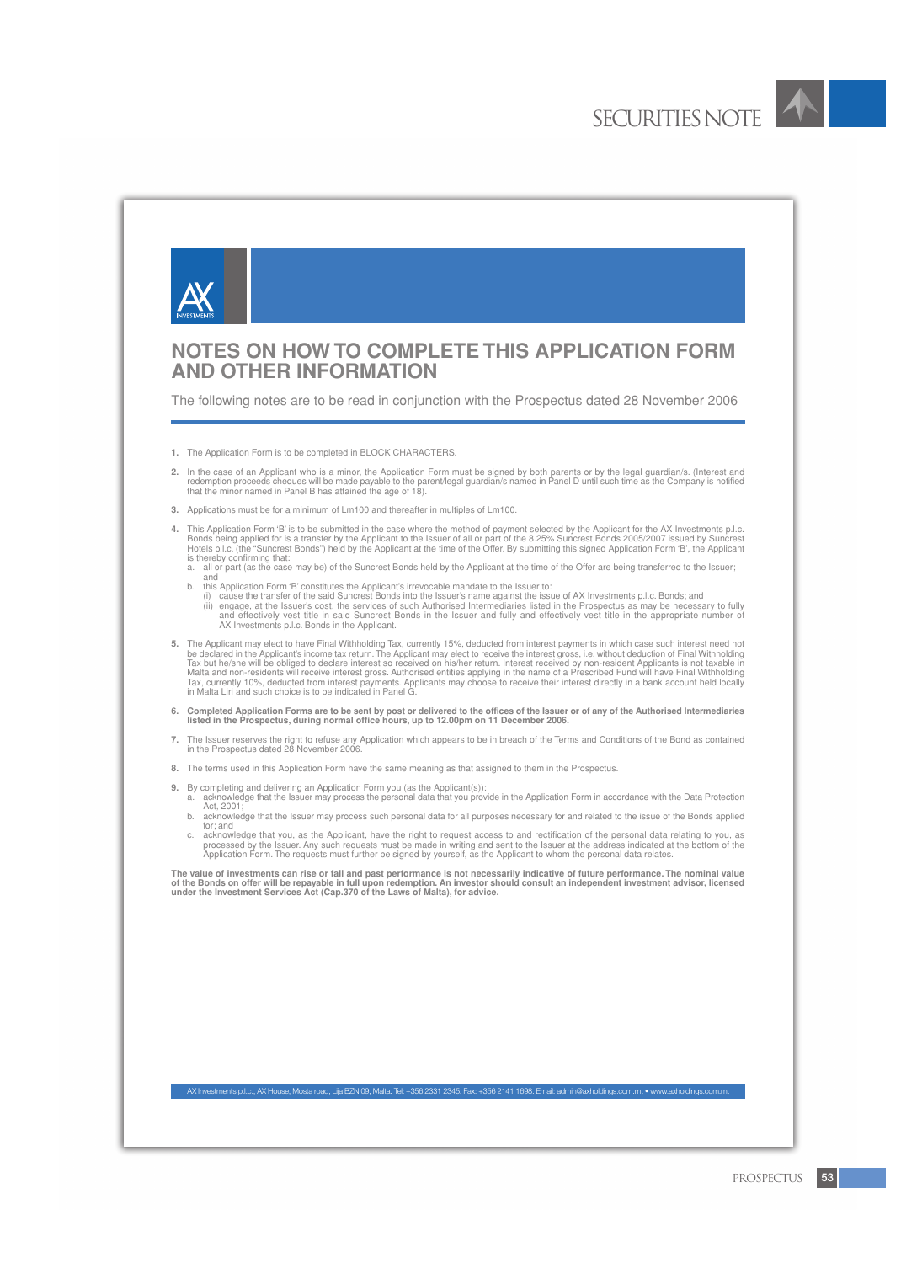

# **NOTES ON HOW TO COMPLETE THIS APPLICATION FORM AND OTHER INFORMATION**

The following notes are to be read in conjunction with the Prospectus dated 28 November 2006

- **1.** The Application Form is to be completed in BLOCK CHARACTERS.
- 2. In the case of an Applicant who is a minor, the Application Form must be signed by both parents or by the legal guardian/s. (Interest and redemption proceeds cheaption proceeds cheaption proceeds redemption proceeds red
- **3.** Applications must be for a minimum of Lm100 and thereafter in multiples of Lm100.
- **4.** This Application Form 'B' is to be submitted in the case where the method of payment selected by the Applicant for the AX Investments p.l.c. Bonds being applied for is a transfer by the Applicant to the Issuer of all or part of the 8.25% Suncrest Bonds 2005/2007 issued by Suncrest<br>Hotels p.l.c. (the "Suncrest Bonds") held by the Applicant at the time of the Off is thereby confirming that:
	- a. all or part (as the case may be) of the Suncrest Bonds held by the Applicant at the time of the Offer are being transferred to the Issuer; and
	-
	- b. this Application Form 'B' constitutes the Applicant's irrevocable mandate to the Issuer to: (i) cause the transfer of the said Suncrest Bonds into the Issuer's name against the issue of AX Investments p.l.c. Bonds; and
		- (ii) engage, at the Issuer's cost, the services of such Authorised Intermediaries listed in the Prospectus as may be necessary to fully and effectively vest title in the appropriate number of AX Investments place it is sai
- **5.** The Applicant may elect to have Final Withholding Tax, currently 15%, deducted from interest payments in which case such interest need not be declared in the Applicant's income tax return. The Applicant may elect to receive the interest gross, i.e. without deduction of Final Withholding<br>Tax but he/she will be obliged to declare interest so received on his/her Malta and non-residents will receive interest gross. Authorised entities applying in the name of a Prescribed Fund will have Final Withholding<br>Tax, currently 10%, deducted from interest payments. Applicants may choose to r in Malta Liri and such choice is to be indicated in Panel G.
- **6. Completed Application Forms are to be sent by post or delivered to the offices of the Issuer or of any of the Authorised Intermediaries listed in the Prospectus, during normal office hours, up to 12.00pm on 11 December 2006.**
- **7.** The Issuer reserves the right to refuse any Application which appears to be in breach of the Terms and Conditions of the Bond as contained in the Prospectus dated 28 November 2006.
- **8.** The terms used in this Application Form have the same meaning as that assigned to them in the Prospectus.
- 
- 9. By completing and delivering an Application Form you (as the Applicant(s)):<br>a. acknowledge that the Issuer may process the personal data that you provide in the Application Form in accordance with the Data Protection Act, 2001; b. acknowledge that the Issuer may process such personal data for all purposes necessary for and related to the issue of the Bonds applied
	- for; and
	- c. acknowledge that you, as the Applicant, have the right to request access to and rectification of the personal data relating to you, as<br>processed by the Issuer. Any such requests must be marked in writing and sent to the

The value of investments can rise or fall and past performance is not necessarily indicative of future performance. The nominal value<br>of the Bonds on offer will be repayable in full upon redemption. An investor should cons

AX Investments p.l.c., AX House, Mosta road, Lija BZN 09, Malta. Tel: +356 2331 2345. Fax: +356 2141 1698. Email: admin@axholdings.com.mt • www.axholdings.com.mt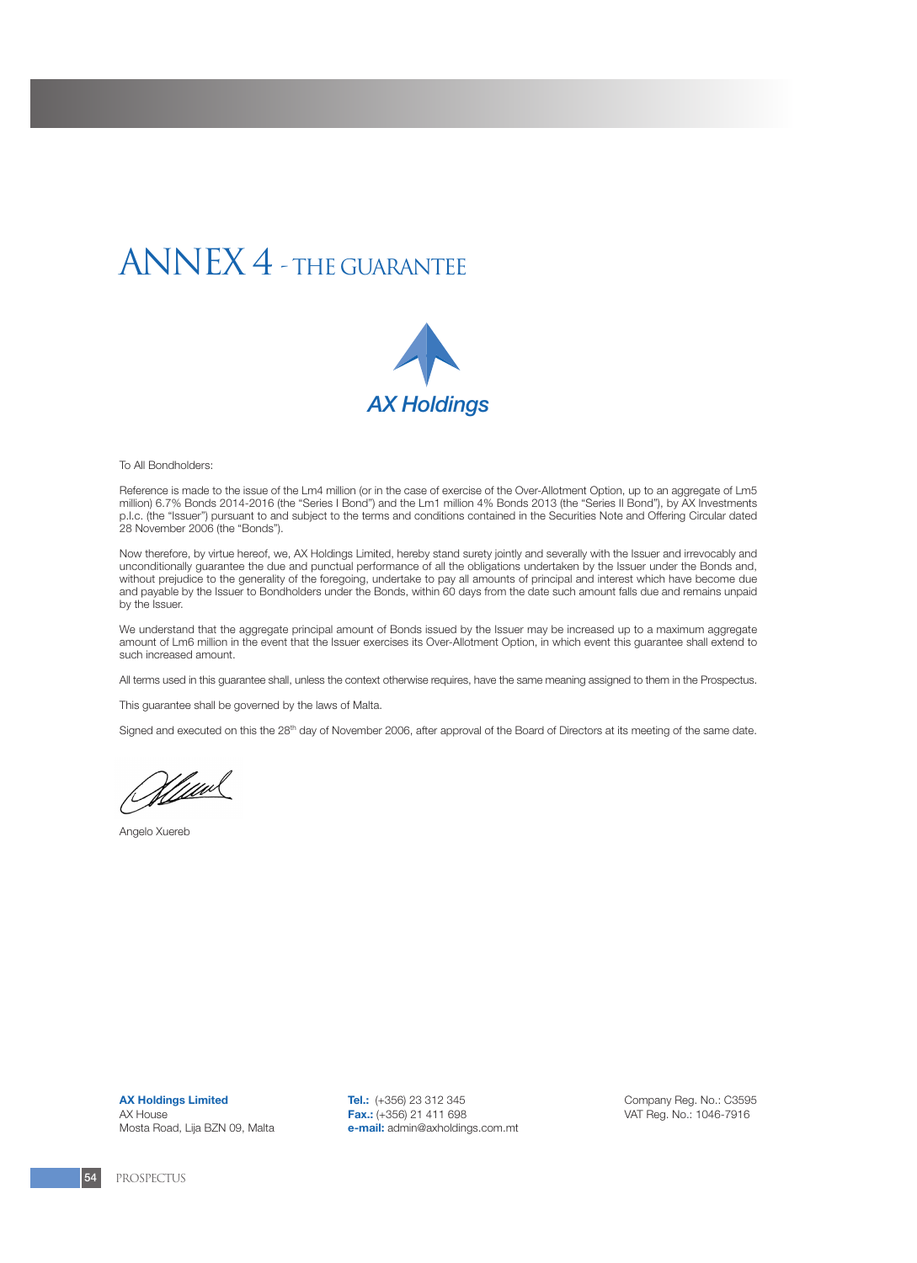# ANNEX 4 - THE GUARANTEE



To All Bondholders:

Reference is made to the issue of the Lm4 million (or in the case of exercise of the Over-Allotment Option, up to an aggregate of Lm5 million) 6.7% Bonds 2014-2016 (the "Series I Bond") and the Lm1 million 4% Bonds 2013 (the "Series II Bond"), by AX Investments p.l.c. (the "Issuer") pursuant to and subject to the terms and conditions contained in the Securities Note and Offering Circular dated 28 November 2006 (the "Bonds").

Now therefore, by virtue hereof, we, AX Holdings Limited, hereby stand surety jointly and severally with the Issuer and irrevocably and unconditionally guarantee the due and punctual performance of all the obligations undertaken by the Issuer under the Bonds and, without prejudice to the generality of the foregoing, undertake to pay all amounts of principal and interest which have become due and payable by the Issuer to Bondholders under the Bonds, within 60 days from the date such amount falls due and remains unpaid by the Issuer.

We understand that the aggregate principal amount of Bonds issued by the Issuer may be increased up to a maximum aggregate amount of Lm6 million in the event that the Issuer exercises its Over-Allotment Option, in which event this guarantee shall extend to such increased amount.

All terms used in this guarantee shall, unless the context otherwise requires, have the same meaning assigned to them in the Prospectus.

This guarantee shall be governed by the laws of Malta.

Signed and executed on this the 28<sup>th</sup> day of November 2006, after approval of the Board of Directors at its meeting of the same date.

<u>Hluw</u>

Angelo Xuereb

**AX Holdings Limited** AX House Mosta Road, Lija BZN 09, Malta **Tel.:** (+356) 23 312 345 **Fax.:** (+356) 21 411 698 **e-mail:** admin@axholdings.com.mt Company Reg. No.: C3595 VAT Reg. No.: 1046-7916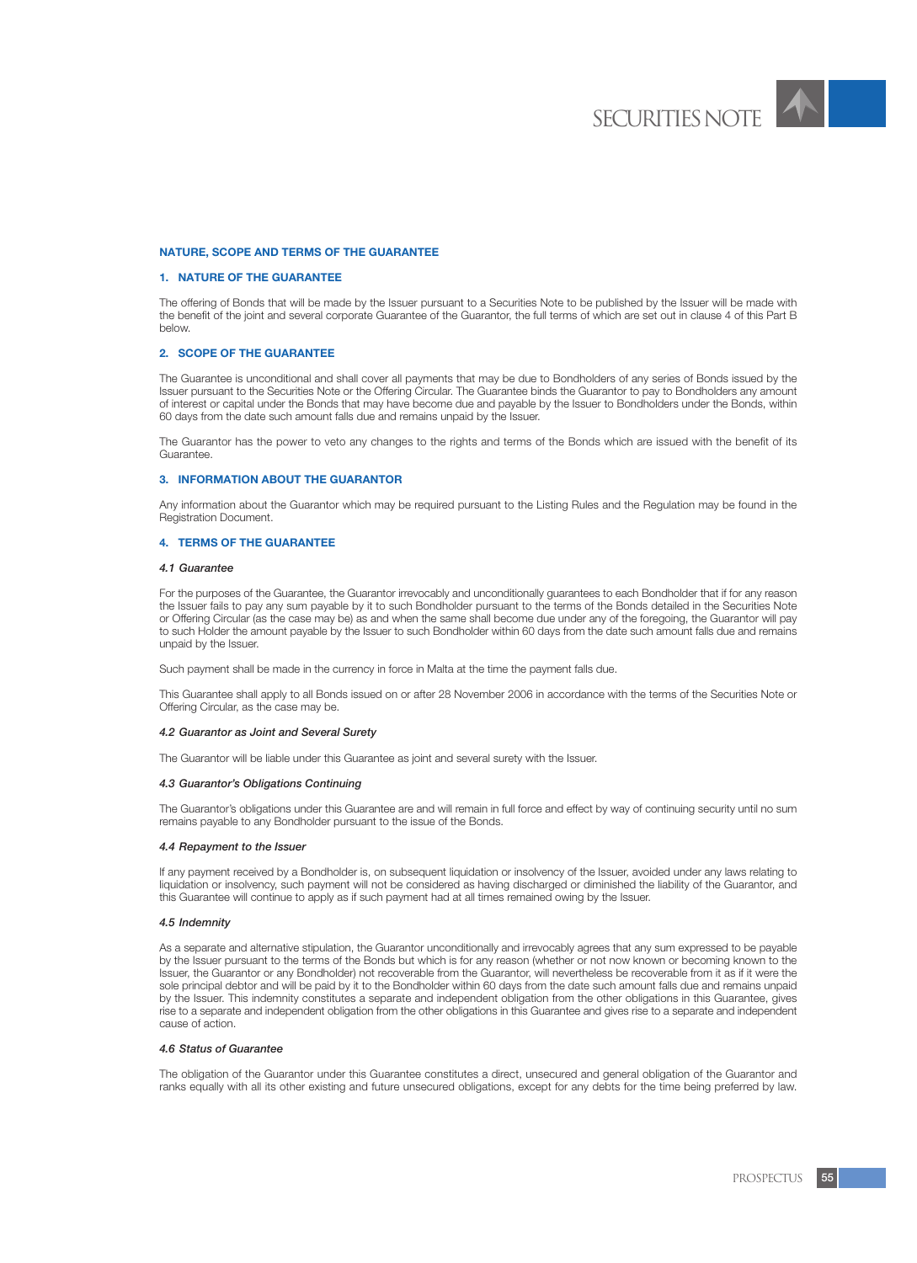

# **NATURE, SCOPE AND TERMS OF THE GUARANTEE**

# **1. NATURE OF THE GUARANTEE**

The offering of Bonds that will be made by the Issuer pursuant to a Securities Note to be published by the Issuer will be made with the benefit of the joint and several corporate Guarantee of the Guarantor, the full terms of which are set out in clause 4 of this Part B below.

# **2. SCOPE OF THE GUARANTEE**

The Guarantee is unconditional and shall cover all payments that may be due to Bondholders of any series of Bonds issued by the Issuer pursuant to the Securities Note or the Offering Circular. The Guarantee binds the Guarantor to pay to Bondholders any amount of interest or capital under the Bonds that may have become due and payable by the Issuer to Bondholders under the Bonds, within 60 days from the date such amount falls due and remains unpaid by the Issuer.

The Guarantor has the power to veto any changes to the rights and terms of the Bonds which are issued with the benefit of its Guarantee.

# **3. INFORMATION ABOUT THE GUARANTOR**

Any information about the Guarantor which may be required pursuant to the Listing Rules and the Regulation may be found in the Registration Document.

# **4. TERMS OF THE GUARANTEE**

# *4.1 Guarantee*

For the purposes of the Guarantee, the Guarantor irrevocably and unconditionally guarantees to each Bondholder that if for any reason the Issuer fails to pay any sum payable by it to such Bondholder pursuant to the terms of the Bonds detailed in the Securities Note or Offering Circular (as the case may be) as and when the same shall become due under any of the foregoing, the Guarantor will pay to such Holder the amount payable by the Issuer to such Bondholder within 60 days from the date such amount falls due and remains unpaid by the Issuer.

Such payment shall be made in the currency in force in Malta at the time the payment falls due.

This Guarantee shall apply to all Bonds issued on or after 28 November 2006 in accordance with the terms of the Securities Note or Offering Circular, as the case may be.

#### *4.2 Guarantor as Joint and Several Surety*

The Guarantor will be liable under this Guarantee as joint and several surety with the Issuer.

#### *4.3 Guarantor's Obligations Continuing*

The Guarantor's obligations under this Guarantee are and will remain in full force and effect by way of continuing security until no sum remains payable to any Bondholder pursuant to the issue of the Bonds.

#### *4.4 Repayment to the Issuer*

If any payment received by a Bondholder is, on subsequent liquidation or insolvency of the Issuer, avoided under any laws relating to liquidation or insolvency, such payment will not be considered as having discharged or diminished the liability of the Guarantor, and this Guarantee will continue to apply as if such payment had at all times remained owing by the Issuer.

#### *4.5 Indemnity*

As a separate and alternative stipulation, the Guarantor unconditionally and irrevocably agrees that any sum expressed to be payable by the Issuer pursuant to the terms of the Bonds but which is for any reason (whether or not now known or becoming known to the Issuer, the Guarantor or any Bondholder) not recoverable from the Guarantor, will nevertheless be recoverable from it as if it were the sole principal debtor and will be paid by it to the Bondholder within 60 days from the date such amount falls due and remains unpaid by the Issuer. This indemnity constitutes a separate and independent obligation from the other obligations in this Guarantee, gives rise to a separate and independent obligation from the other obligations in this Guarantee and gives rise to a separate and independent cause of action.

#### *4.6 Status of Guarantee*

The obligation of the Guarantor under this Guarantee constitutes a direct, unsecured and general obligation of the Guarantor and ranks equally with all its other existing and future unsecured obligations, except for any debts for the time being preferred by law.